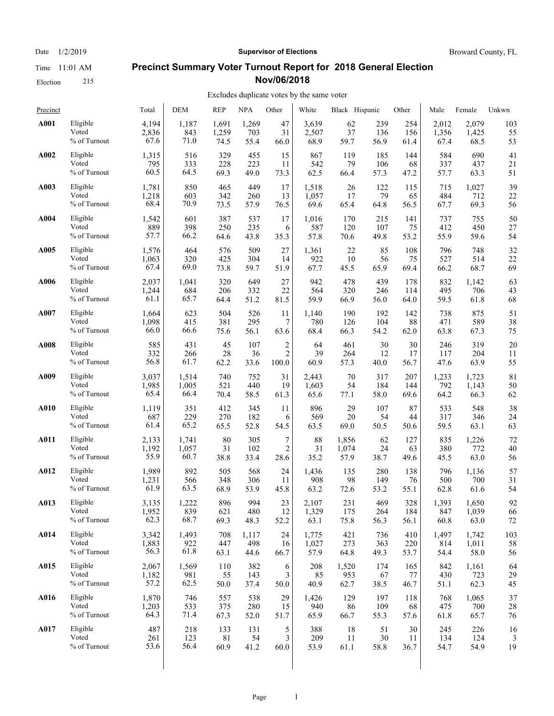Election 215

#### Date  $1/2/2019$  **Supervisor of Elections** Broward County, FL

#### **Precinct Summary Voter Turnout Report for 2018 General Election Nov/06/2018**

| Precinct |                 | Total | <b>DEM</b> | <b>REP</b>  | <b>NPA</b> | Other          | White | Black Hispanic |      | Other | Male  | Female | Unkwn |
|----------|-----------------|-------|------------|-------------|------------|----------------|-------|----------------|------|-------|-------|--------|-------|
| A001     | Eligible        | 4,194 | 1,187      | 1,691       | 1,269      | 47             | 3,639 | 62             | 239  | 254   | 2,012 | 2,079  | 103   |
|          | Voted           | 2,836 | 843        | 1,259       | 703        | 31             | 2,507 | 37             | 136  | 156   | 1,356 | 1,425  | 55    |
|          | % of Turnout    | 67.6  | 71.0       | 74.5        | 55.4       | 66.0           | 68.9  | 59.7           | 56.9 | 61.4  | 67.4  | 68.5   | 53    |
| A002     | Eligible        | 1,315 | 516        | 329         | 455        | 15             | 867   | 119            | 185  | 144   | 584   | 690    | 41    |
|          | Voted           | 795   | 333        | 228         | 223        | 11             | 542   | 79             | 106  | 68    | 337   | 437    | 21    |
|          | % of Turnout    | 60.5  | 64.5       | 69.3        | 49.0       | 73.3           | 62.5  | 66.4           | 57.3 | 47.2  | 57.7  | 63.3   | 51    |
| A003     | Eligible        | 1,781 | 850        | 465         | 449        | 17             | 1,518 | 26             | 122  | 115   | 715   | 1,027  | 39    |
|          | Voted           | 1,218 | 603        | 342         | 260        | 13             | 1,057 | 17             | 79   | 65    | 484   | 712    | 22    |
|          | % of Turnout    | 68.4  | 70.9       | 73.5        | 57.9       | 76.5           | 69.6  | 65.4           | 64.8 | 56.5  | 67.7  | 69.3   | 56    |
| A004     | Eligible        | 1,542 | 601        | 387         | 537        | 17             | 1,016 | 170            | 215  | 141   | 737   | 755    | 50    |
|          | Voted           | 889   | 398        | 250         | 235        | 6              | 587   | 120            | 107  | 75    | 412   | 450    | 27    |
|          | % of Turnout    | 57.7  | 66.2       | 64.6        | 43.8       | 35.3           | 57.8  | 70.6           | 49.8 | 53.2  | 55.9  | 59.6   | 54    |
| A005     | Eligible        | 1,576 | 464        | 576         | 509        | 27             | 1,361 | 22             | 85   | 108   | 796   | 748    | 32    |
|          | Voted           | 1,063 | 320        | 425         | 304        | 14             | 922   | 10             | 56   | 75    | 527   | 514    | 22    |
|          | % of Turnout    | 67.4  | 69.0       | 73.8        | 59.7       | 51.9           | 67.7  | 45.5           | 65.9 | 69.4  | 66.2  | 68.7   | 69    |
| A006     | Eligible        | 2,037 | 1,041      | 320         | 649        | 27             | 942   | 478            | 439  | 178   | 832   | 1,142  | 63    |
|          | Voted           | 1,244 | 684        | 206         | 332        | 22             | 564   | 320            | 246  | 114   | 495   | 706    | 43    |
|          | % of Turnout    | 61.1  | 65.7       | 64.4        | 51.2       | 81.5           | 59.9  | 66.9           | 56.0 | 64.0  | 59.5  | 61.8   | 68    |
| A007     | Eligible        | 1,664 | 623        | 504         | 526        | 11             | 1,140 | 190            | 192  | 142   | 738   | 875    | 51    |
|          | Voted           | 1,098 | 415        | 381         | 295        | 7              | 780   | 126            | 104  | 88    | 471   | 589    | 38    |
|          | % of Turnout    | 66.0  | 66.6       | 75.6        | 56.1       | 63.6           | 68.4  | 66.3           | 54.2 | 62.0  | 63.8  | 67.3   | 75    |
| A008     | Eligible        | 585   | 431        | 45          | 107        | $\overline{c}$ | 64    | 461            | 30   | 30    | 246   | 319    | 20    |
|          | Voted           | 332   | 266        | 28          | 36         | $\overline{2}$ | 39    | 264            | 12   | 17    | 117   | 204    | 11    |
|          | % of Turnout    | 56.8  | 61.7       | 62.2        | 33.6       | 100.0          | 60.9  | 57.3           | 40.0 | 56.7  | 47.6  | 63.9   | 55    |
| A009     | Eligible        | 3,037 | 1,514      | 740         | 752        | 31             | 2,443 | 70             | 317  | 207   | 1,233 | 1,723  | 81    |
|          | Voted           | 1,985 | 1,005      | 521         | 440        | 19             | 1,603 | 54             | 184  | 144   | 792   | 1,143  | 50    |
|          | % of Turnout    | 65.4  | 66.4       | 70.4        | 58.5       | 61.3           | 65.6  | 77.1           | 58.0 | 69.6  | 64.2  | 66.3   | 62    |
| A010     | Eligible        | 1,119 | 351        | 412         | 345        | 11             | 896   | 29             | 107  | 87    | 533   | 548    | 38    |
|          | Voted           | 687   | 229        | 270         | 182        | 6              | 569   | 20             | 54   | 44    | 317   | 346    | 24    |
|          | % of Turnout    | 61.4  | 65.2       | 65.5        | 52.8       | 54.5           | 63.5  | 69.0           | 50.5 | 50.6  | 59.5  | 63.1   | 63    |
| A011     | Eligible        | 2,133 | 1,741      | 80          | 305        | 7              | 88    | 1,856          | 62   | 127   | 835   | 1,226  | 72    |
|          | Voted           | 1,192 | 1,057      | 31          | 102        | $\overline{c}$ | 31    | 1,074          | 24   | 63    | 380   | 772    | 40    |
|          | % of Turnout    | 55.9  | 60.7       | 38.8        | 33.4       | 28.6           | 35.2  | 57.9           | 38.7 | 49.6  | 45.5  | 63.0   | 56    |
| A012     | Eligible        | 1,989 | 892        | 505         | 568        | 24             | 1,436 | 135            | 280  | 138   | 796   | 1,136  | 57    |
|          | Voted           | 1,231 | 566        | 348         | 306        | 11             | 908   | 98             | 149  | 76    | 500   | 700    | 31    |
|          | $\%$ of Turnout | 61.9  | 63.5       | 68.9        | 53.9       | 45.8           | 63.2  | 72.6           | 53.2 | 55.1  | 62.8  | 61.6   | 54    |
| A013     | Eligible        | 3,135 | 1,222      | 896         | 994        | 23             | 2,107 | 231            | 469  | 328   | 1,393 | 1,650  | 92    |
|          | Voted           | 1,952 | 839        | 621         | 480        | 12             | 1,329 | 175            | 264  | 184   | 847   | 1,039  | 66    |
|          | % of Turnout    | 62.3  | 68.7       | 69.3        | 48.3       | 52.2           | 63.1  | 75.8           | 56.3 | 56.1  | 60.8  | 63.0   | 72    |
| A014     | Eligible        | 3,342 | 1,493      | 708         | 1,117      | 24             | 1,775 | 421            | 736  | 410   | 1,497 | 1,742  | 103   |
|          | Voted           | 1,883 | 922        | 447         | 498        | 16             | 1,027 | 273            | 363  | 220   | 814   | 1,011  | 58    |
|          | % of Turnout    | 56.3  | 61.8       | 63.1        | 44.6       | 66.7           | 57.9  | 64.8           | 49.3 | 53.7  | 54.4  | 58.0   | 56    |
| A015     | Eligible        | 2,067 | 1,569      | 110         | 382        | 6              | 208   | 1,520          | 174  | 165   | 842   | 1,161  | 64    |
|          | Voted           | 1,182 | 981        | 55          | 143        | 3              | 85    | 953            | 67   | 77    | 430   | 723    | 29    |
|          | % of Turnout    | 57.2  | 62.5       | 50.0        | 37.4       | 50.0           | 40.9  | 62.7           | 38.5 | 46.7  | 51.1  | 62.3   | 45    |
| A016     | Eligible        | 1,870 | 746        | 557         | 538        | 29             | 1,426 | 129            | 197  | 118   | 768   | 1,065  | 37    |
|          | Voted           | 1,203 | 533        | 375         | 280        | 15             | 940   | 86             | 109  | 68    | 475   | 700    | 28    |
|          | % of Turnout    | 64.3  | 71.4       | 67.3        | 52.0       | 51.7           | 65.9  | 66.7           | 55.3 | 57.6  | 61.8  | 65.7   | 76    |
| A017     | Eligible        | 487   | 218        | 133         | 131        | 5              | 388   | 18             | 51   | 30    | 245   | 226    | 16    |
|          | Voted           | 261   | 123        | $8\sqrt{1}$ | 54         | 3              | 209   | 11             | 30   | 11    | 134   | 124    | 3     |
|          | % of Turnout    | 53.6  | 56.4       | 60.9        | 41.2       | 60.0           | 53.9  | 61.1           | 58.8 | 36.7  | 54.7  | 54.9   | 19    |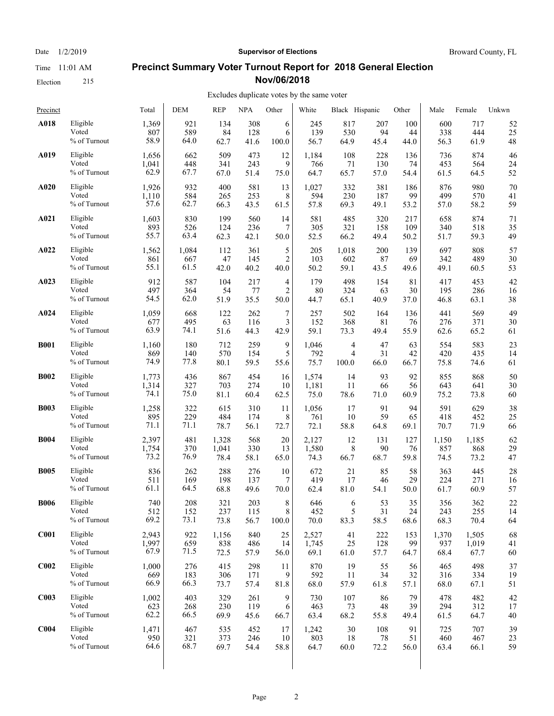Election 215

#### Date  $1/2/2019$  **Supervisor of Elections** Broward County, FL

#### **Precinct Summary Voter Turnout Report for 2018 General Election Nov/06/2018**

| Precinct         |              | Total | DEM   | <b>REP</b> | <b>NPA</b> | Other          | White | Black Hispanic |      | Other  | Male  | Female | Unkwn |
|------------------|--------------|-------|-------|------------|------------|----------------|-------|----------------|------|--------|-------|--------|-------|
| A018             | Eligible     | 1,369 | 921   | 134        | 308        | 6              | 245   | 817            | 207  | 100    | 600   | 717    | 52    |
|                  | Voted        | 807   | 589   | 84         | 128        | 6              | 139   | 530            | 94   | 44     | 338   | 444    | 25    |
|                  | % of Turnout | 58.9  | 64.0  | 62.7       | 41.6       | 100.0          | 56.7  | 64.9           | 45.4 | 44.0   | 56.3  | 61.9   | 48    |
| A019             | Eligible     | 1,656 | 662   | 509        | 473        | 12             | 1,184 | 108            | 228  | 136    | 736   | 874    | 46    |
|                  | Voted        | 1,041 | 448   | 341        | 243        | 9              | 766   | 71             | 130  | 74     | 453   | 564    | 24    |
|                  | % of Turnout | 62.9  | 67.7  | 67.0       | 51.4       | 75.0           | 64.7  | 65.7           | 57.0 | 54.4   | 61.5  | 64.5   | 52    |
| A020             | Eligible     | 1,926 | 932   | 400        | 581        | 13             | 1,027 | 332            | 381  | 186    | 876   | 980    | 70    |
|                  | Voted        | 1,110 | 584   | 265        | 253        | 8              | 594   | 230            | 187  | 99     | 499   | 570    | 41    |
|                  | % of Turnout | 57.6  | 62.7  | 66.3       | 43.5       | 61.5           | 57.8  | 69.3           | 49.1 | 53.2   | 57.0  | 58.2   | 59    |
| A021             | Eligible     | 1,603 | 830   | 199        | 560        | 14             | 581   | 485            | 320  | 217    | 658   | 874    | 71    |
|                  | Voted        | 893   | 526   | 124        | 236        | 7              | 305   | 321            | 158  | 109    | 340   | 518    | 35    |
|                  | % of Turnout | 55.7  | 63.4  | 62.3       | 42.1       | 50.0           | 52.5  | 66.2           | 49.4 | 50.2   | 51.7  | 59.3   | 49    |
| A022             | Eligible     | 1,562 | 1,084 | 112        | 361        | 5              | 205   | 1,018          | 200  | 139    | 697   | 808    | 57    |
|                  | Voted        | 861   | 667   | 47         | 145        | 2              | 103   | 602            | 87   | 69     | 342   | 489    | 30    |
|                  | % of Turnout | 55.1  | 61.5  | 42.0       | 40.2       | 40.0           | 50.2  | 59.1           | 43.5 | 49.6   | 49.1  | 60.5   | 53    |
| A023             | Eligible     | 912   | 587   | 104        | 217        | 4              | 179   | 498            | 154  | 81     | 417   | 453    | 42    |
|                  | Voted        | 497   | 364   | 54         | 77         | $\overline{2}$ | 80    | 324            | 63   | 30     | 195   | 286    | 16    |
|                  | % of Turnout | 54.5  | 62.0  | 51.9       | 35.5       | 50.0           | 44.7  | 65.1           | 40.9 | 37.0   | 46.8  | 63.1   | 38    |
| A024             | Eligible     | 1,059 | 668   | 122        | 262        | 7              | 257   | 502            | 164  | 136    | 441   | 569    | 49    |
|                  | Voted        | 677   | 495   | 63         | 116        | 3              | 152   | 368            | 81   | 76     | 276   | 371    | 30    |
|                  | % of Turnout | 63.9  | 74.1  | 51.6       | 44.3       | 42.9           | 59.1  | 73.3           | 49.4 | 55.9   | 62.6  | 65.2   | 61    |
| <b>B001</b>      | Eligible     | 1,160 | 180   | 712        | 259        | 9              | 1,046 | 4              | 47   | 63     | 554   | 583    | 23    |
|                  | Voted        | 869   | 140   | 570        | 154        | 5              | 792   | $\overline{4}$ | 31   | 42     | 420   | 435    | 14    |
|                  | % of Turnout | 74.9  | 77.8  | 80.1       | 59.5       | 55.6           | 75.7  | 100.0          | 66.0 | 66.7   | 75.8  | 74.6   | 61    |
| <b>B002</b>      | Eligible     | 1,773 | 436   | 867        | 454        | 16             | 1,574 | 14             | 93   | 92     | 855   | 868    | 50    |
|                  | Voted        | 1,314 | 327   | 703        | 274        | 10             | 1,181 | 11             | 66   | 56     | 643   | 641    | 30    |
|                  | % of Turnout | 74.1  | 75.0  | 81.1       | 60.4       | 62.5           | 75.0  | 78.6           | 71.0 | 60.9   | 75.2  | 73.8   | 60    |
| <b>B003</b>      | Eligible     | 1,258 | 322   | 615        | 310        | 11             | 1,056 | 17             | 91   | 94     | 591   | 629    | 38    |
|                  | Voted        | 895   | 229   | 484        | 174        | 8              | 761   | 10             | 59   | 65     | 418   | 452    | 25    |
|                  | % of Turnout | 71.1  | 71.1  | 78.7       | 56.1       | 72.7           | 72.1  | 58.8           | 64.8 | 69.1   | 70.7  | 71.9   | 66    |
| <b>B004</b>      | Eligible     | 2,397 | 481   | 1,328      | 568        | 20             | 2,127 | 12             | 131  | 127    | 1,150 | 1,185  | 62    |
|                  | Voted        | 1,754 | 370   | 1,041      | 330        | 13             | 1,580 | 8              | 90   | 76     | 857   | 868    | 29    |
|                  | % of Turnout | 73.2  | 76.9  | 78.4       | 58.1       | 65.0           | 74.3  | 66.7           | 68.7 | 59.8   | 74.5  | 73.2   | 47    |
| <b>B005</b>      | Eligible     | 836   | 262   | 288        | 276        | 10             | 672   | 21             | 85   | 58     | 363   | 445    | 28    |
|                  | Voted        | 511   | 169   | 198        | 137        | 7              | 419   | 17             | 46   | 29     | 224   | 271    | 16    |
|                  | % of Turnout | 61.1  | 64.5  | 68.8       | 49.6       | 70.0           | 62.4  | 81.0           | 54.1 | 50.0   | 61.7  | 60.9   | 57    |
| <b>B006</b>      | Eligible     | 740   | 208   | 321        | 203        | 8              | 646   | 6              | 53   | 35     | 356   | 362    | 22    |
|                  | Voted        | 512   | 152   | 237        | 115        | $\mathbf{R}$   | 452   | 5              | 31   | $24\,$ | 243   | 255    | 14    |
|                  | % of Turnout | 69.2  | 73.1  | 73.8       | 56.7       | 100.0          | 70.0  | 83.3           | 58.5 | 68.6   | 68.3  | 70.4   | 64    |
| <b>C001</b>      | Eligible     | 2,943 | 922   | 1,156      | 840        | 25             | 2,527 | 41             | 222  | 153    | 1,370 | 1,505  | 68    |
|                  | Voted        | 1,997 | 659   | 838        | 486        | 14             | 1,745 | 25             | 128  | 99     | 937   | 1,019  | 41    |
|                  | % of Turnout | 67.9  | 71.5  | 72.5       | 57.9       | 56.0           | 69.1  | 61.0           | 57.7 | 64.7   | 68.4  | 67.7   | 60    |
| C <sub>002</sub> | Eligible     | 1,000 | 276   | 415        | 298        | 11             | 870   | 19             | 55   | 56     | 465   | 498    | 37    |
|                  | Voted        | 669   | 183   | 306        | 171        | 9              | 592   | 11             | 34   | 32     | 316   | 334    | 19    |
|                  | % of Turnout | 66.9  | 66.3  | 73.7       | 57.4       | 81.8           | 68.0  | 57.9           | 61.8 | 57.1   | 68.0  | 67.1   | 51    |
| C <sub>003</sub> | Eligible     | 1,002 | 403   | 329        | 261        | 9              | 730   | 107            | 86   | 79     | 478   | 482    | 42    |
|                  | Voted        | 623   | 268   | 230        | 119        | 6              | 463   | 73             | 48   | 39     | 294   | 312    | 17    |
|                  | % of Turnout | 62.2  | 66.5  | 69.9       | 45.6       | 66.7           | 63.4  | 68.2           | 55.8 | 49.4   | 61.5  | 64.7   | 40    |
| C <sub>004</sub> | Eligible     | 1,471 | 467   | 535        | 452        | 17             | 1,242 | 30             | 108  | 91     | 725   | 707    | 39    |
|                  | Voted        | 950   | 321   | 373        | 246        | 10             | 803   | 18             | 78   | 51     | 460   | 467    | 23    |
|                  | % of Turnout | 64.6  | 68.7  | 69.7       | 54.4       | 58.8           | 64.7  | 60.0           | 72.2 | 56.0   | 63.4  | 66.1   | 59    |
|                  |              |       |       |            |            |                |       |                |      |        |       |        |       |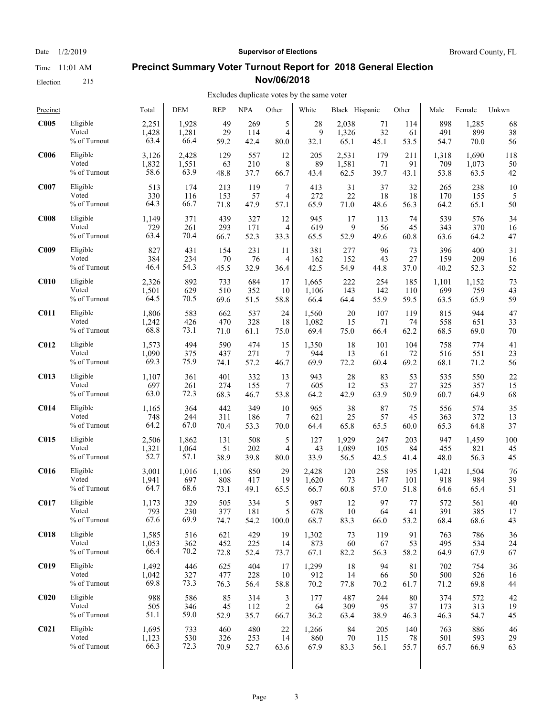Election 215

## Date  $1/2/2019$  **Supervisor of Elections** Broward County, FL **Precinct Summary Voter Turnout Report for 2018 General Election**

**Nov/06/2018**

| Precinct         |                 | Total | DEM   | REP   | <b>NPA</b> | Other          | White | Black Hispanic |      | Other       | Male  | Female | Unkwn |
|------------------|-----------------|-------|-------|-------|------------|----------------|-------|----------------|------|-------------|-------|--------|-------|
| C005             | Eligible        | 2,251 | 1,928 | 49    | 269        | 5              | 28    | 2,038          | 71   | 114         | 898   | 1,285  | 68    |
|                  | Voted           | 1,428 | 1,281 | 29    | 114        | $\overline{4}$ | 9     | 1,326          | 32   | 61          | 491   | 899    | 38    |
|                  | $\%$ of Turnout | 63.4  | 66.4  | 59.2  | 42.4       | 80.0           | 32.1  | 65.1           | 45.1 | 53.5        | 54.7  | 70.0   | 56    |
| C <sub>006</sub> | Eligible        | 3,126 | 2,428 | 129   | 557        | 12             | 205   | 2,531          | 179  | 211         | 1,318 | 1,690  | 118   |
|                  | Voted           | 1,832 | 1,551 | 63    | 210        | 8              | 89    | 1,581          | 71   | 91          | 709   | 1,073  | 50    |
|                  | % of Turnout    | 58.6  | 63.9  | 48.8  | 37.7       | 66.7           | 43.4  | 62.5           | 39.7 | 43.1        | 53.8  | 63.5   | 42    |
| C <sub>007</sub> | Eligible        | 513   | 174   | 213   | 119        | 7              | 413   | 31             | 37   | 32          | 265   | 238    | 10    |
|                  | Voted           | 330   | 116   | 153   | 57         | 4              | 272   | 22             | 18   | 18          | 170   | 155    | 5     |
|                  | % of Turnout    | 64.3  | 66.7  | 71.8  | 47.9       | 57.1           | 65.9  | 71.0           | 48.6 | 56.3        | 64.2  | 65.1   | 50    |
| <b>C008</b>      | Eligible        | 1,149 | 371   | 439   | 327        | 12             | 945   | 17             | 113  | 74          | 539   | 576    | 34    |
|                  | Voted           | 729   | 261   | 293   | 171        | 4              | 619   | 9              | 56   | 45          | 343   | 370    | 16    |
|                  | $\%$ of Turnout | 63.4  | 70.4  | 66.7  | 52.3       | 33.3           | 65.5  | 52.9           | 49.6 | 60.8        | 63.6  | 64.2   | 47    |
| C <sub>009</sub> | Eligible        | 827   | 431   | 154   | 231        | 11             | 381   | 277            | 96   | 73          | 396   | 400    | 31    |
|                  | Voted           | 384   | 234   | 70    | 76         | 4              | 162   | 152            | 43   | 27          | 159   | 209    | 16    |
|                  | % of Turnout    | 46.4  | 54.3  | 45.5  | 32.9       | 36.4           | 42.5  | 54.9           | 44.8 | 37.0        | 40.2  | 52.3   | 52    |
| C <sub>010</sub> | Eligible        | 2,326 | 892   | 733   | 684        | 17             | 1,665 | 222            | 254  | 185         | 1,101 | 1,152  | 73    |
|                  | Voted           | 1,501 | 629   | 510   | 352        | 10             | 1,106 | 143            | 142  | 110         | 699   | 759    | 43    |
|                  | % of Turnout    | 64.5  | 70.5  | 69.6  | 51.5       | 58.8           | 66.4  | 64.4           | 55.9 | 59.5        | 63.5  | 65.9   | 59    |
| <b>C011</b>      | Eligible        | 1,806 | 583   | 662   | 537        | 24             | 1,560 | 20             | 107  | 119         | 815   | 944    | 47    |
|                  | Voted           | 1,242 | 426   | 470   | 328        | 18             | 1,082 | 15             | 71   | 74          | 558   | 651    | 33    |
|                  | % of Turnout    | 68.8  | 73.1  | 71.0  | 61.1       | 75.0           | 69.4  | 75.0           | 66.4 | 62.2        | 68.5  | 69.0   | 70    |
| <b>C012</b>      | Eligible        | 1,573 | 494   | 590   | 474        | 15             | 1,350 | 18             | 101  | 104         | 758   | 774    | 41    |
|                  | Voted           | 1,090 | 375   | 437   | 271        | 7              | 944   | 13             | 61   | 72          | 516   | 551    | 23    |
|                  | % of Turnout    | 69.3  | 75.9  | 74.1  | 57.2       | 46.7           | 69.9  | 72.2           | 60.4 | 69.2        | 68.1  | 71.2   | 56    |
| C013             | Eligible        | 1,107 | 361   | 401   | 332        | 13             | 943   | 28             | 83   | 53          | 535   | 550    | 22    |
|                  | Voted           | 697   | 261   | 274   | 155        | 7              | 605   | 12             | 53   | 27          | 325   | 357    | 15    |
|                  | $\%$ of Turnout | 63.0  | 72.3  | 68.3  | 46.7       | 53.8           | 64.2  | 42.9           | 63.9 | 50.9        | 60.7  | 64.9   | 68    |
| C <sub>014</sub> | Eligible        | 1,165 | 364   | 442   | 349        | 10             | 965   | 38             | 87   | 75          | 556   | 574    | 35    |
|                  | Voted           | 748   | 244   | 311   | 186        | 7              | 621   | 25             | 57   | 45          | 363   | 372    | 13    |
|                  | % of Turnout    | 64.2  | 67.0  | 70.4  | 53.3       | 70.0           | 64.4  | 65.8           | 65.5 | 60.0        | 65.3  | 64.8   | 37    |
| <b>C015</b>      | Eligible        | 2,506 | 1,862 | 131   | 508        | 5              | 127   | 1,929          | 247  | 203         | 947   | 1,459  | 100   |
|                  | Voted           | 1,321 | 1,064 | 51    | 202        | 4              | 43    | 1,089          | 105  | 84          | 455   | 821    | 45    |
|                  | $\%$ of Turnout | 52.7  | 57.1  | 38.9  | 39.8       | 80.0           | 33.9  | 56.5           | 42.5 | 41.4        | 48.0  | 56.3   | 45    |
| C <sub>016</sub> | Eligible        | 3,001 | 1,016 | 1,106 | 850        | 29             | 2,428 | 120            | 258  | 195         | 1,421 | 1,504  | 76    |
|                  | Voted           | 1,941 | 697   | 808   | 417        | 19             | 1,620 | 73             | 147  | 101         | 918   | 984    | 39    |
|                  | % of Turnout    | 64.7  | 68.6  | 73.1  | 49.1       | 65.5           | 66.7  | 60.8           | 57.0 | 51.8        | 64.6  | 65.4   | 51    |
| C <sub>017</sub> | Eligible        | 1,173 | 329   | 505   | 334        | 5              | 987   | 12             | 97   | $77\,$      | 572   | 561    | 40    |
|                  | Voted           | 793   | 230   | 377   | 181        | 5              | 678   | 10             | 64   | 41          | 391   | 385    | 17    |
|                  | % of Turnout    | 67.6  | 69.9  | 74.7  | 54.2       | 100.0          | 68.7  | 83.3           | 66.0 | 53.2        | 68.4  | 68.6   | 43    |
| <b>C018</b>      | Eligible        | 1,585 | 516   | 621   | 429        | 19             | 1,302 | 73             | 119  | 91          | 763   | 786    | 36    |
|                  | Voted           | 1,053 | 362   | 452   | 225        | 14             | 873   | 60             | 67   | 53          | 495   | 534    | 24    |
|                  | % of Turnout    | 66.4  | 70.2  | 72.8  | 52.4       | 73.7           | 67.1  | 82.2           | 56.3 | 58.2        | 64.9  | 67.9   | 67    |
| C <sub>019</sub> | Eligible        | 1,492 | 446   | 625   | 404        | 17             | 1,299 | 18             | 94   | $8\sqrt{1}$ | 702   | 754    | 36    |
|                  | Voted           | 1,042 | 327   | 477   | 228        | 10             | 912   | 14             | 66   | 50          | 500   | 526    | 16    |
|                  | % of Turnout    | 69.8  | 73.3  | 76.3  | 56.4       | 58.8           | 70.2  | 77.8           | 70.2 | 61.7        | 71.2  | 69.8   | 44    |
| C <sub>020</sub> | Eligible        | 988   | 586   | 85    | 314        | 3              | 177   | 487            | 244  | 80          | 374   | 572    | 42    |
|                  | Voted           | 505   | 346   | 45    | 112        | 2              | 64    | 309            | 95   | 37          | 173   | 313    | 19    |
|                  | % of Turnout    | 51.1  | 59.0  | 52.9  | 35.7       | 66.7           | 36.2  | 63.4           | 38.9 | 46.3        | 46.3  | 54.7   | 45    |
| C <sub>021</sub> | Eligible        | 1,695 | 733   | 460   | 480        | 22             | 1,266 | 84             | 205  | 140         | 763   | 886    | 46    |
|                  | Voted           | 1,123 | 530   | 326   | 253        | 14             | 860   | 70             | 115  | 78          | 501   | 593    | 29    |
|                  | % of Turnout    | 66.3  | 72.3  | 70.9  | 52.7       | 63.6           | 67.9  | 83.3           | 56.1 | 55.7        | 65.7  | 66.9   | 63    |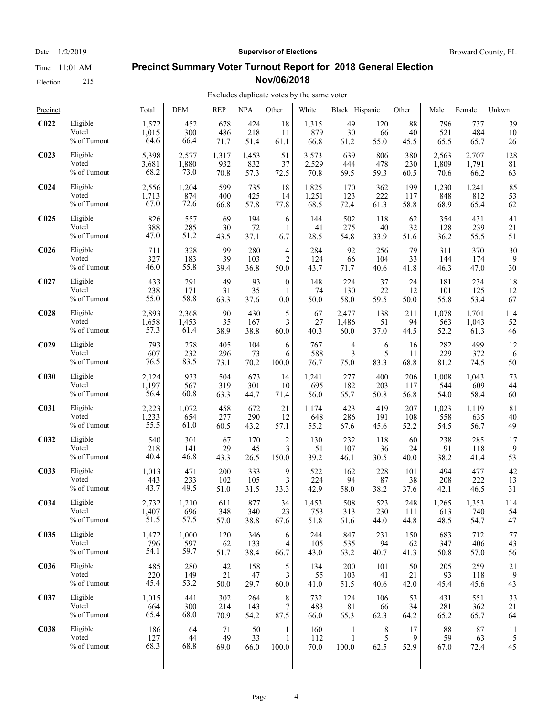Election 215

#### Date  $1/2/2019$  **Supervisor of Elections** Broward County, FL

#### **Precinct Summary Voter Turnout Report for 2018 General Election Nov/06/2018**

#### Excludes duplicate votes by the same voter

| Precinct         |                 | Total | <b>DEM</b> | <b>REP</b> | <b>NPA</b> | Other            | White | Black Hispanic |      | Other | Male  | Female | Unkwn |
|------------------|-----------------|-------|------------|------------|------------|------------------|-------|----------------|------|-------|-------|--------|-------|
| C <sub>022</sub> | Eligible        | 1,572 | 452        | 678        | 424        | 18               | 1,315 | 49             | 120  | 88    | 796   | 737    | 39    |
|                  | Voted           | 1,015 | 300        | 486        | 218        | 11               | 879   | 30             | 66   | 40    | 521   | 484    | 10    |
|                  | $\%$ of Turnout | 64.6  | 66.4       | 71.7       | 51.4       | 61.1             | 66.8  | 61.2           | 55.0 | 45.5  | 65.5  | 65.7   | 26    |
| C <sub>023</sub> | Eligible        | 5,398 | 2,577      | 1,317      | 1,453      | 51               | 3,573 | 639            | 806  | 380   | 2,563 | 2,707  | 128   |
|                  | Voted           | 3,681 | 1,880      | 932        | 832        | 37               | 2,529 | 444            | 478  | 230   | 1,809 | 1,791  | 81    |
|                  | % of Turnout    | 68.2  | 73.0       | 70.8       | 57.3       | 72.5             | 70.8  | 69.5           | 59.3 | 60.5  | 70.6  | 66.2   | 63    |
| C <sub>024</sub> | Eligible        | 2,556 | 1,204      | 599        | 735        | 18               | 1,825 | 170            | 362  | 199   | 1,230 | 1,241  | 85    |
|                  | Voted           | 1,713 | 874        | 400        | 425        | 14               | 1,251 | 123            | 222  | 117   | 848   | 812    | 53    |
|                  | % of Turnout    | 67.0  | 72.6       | 66.8       | 57.8       | 77.8             | 68.5  | 72.4           | 61.3 | 58.8  | 68.9  | 65.4   | 62    |
| C <sub>025</sub> | Eligible        | 826   | 557        | 69         | 194        | 6                | 144   | 502            | 118  | 62    | 354   | 431    | 41    |
|                  | Voted           | 388   | 285        | 30         | 72         | 1                | 41    | 275            | 40   | 32    | 128   | 239    | 21    |
|                  | % of Turnout    | 47.0  | 51.2       | 43.5       | 37.1       | 16.7             | 28.5  | 54.8           | 33.9 | 51.6  | 36.2  | 55.5   | 51    |
| C <sub>026</sub> | Eligible        | 711   | 328        | 99         | 280        | 4                | 284   | 92             | 256  | 79    | 311   | 370    | 30    |
|                  | Voted           | 327   | 183        | 39         | 103        | $\overline{2}$   | 124   | 66             | 104  | 33    | 144   | 174    | 9     |
|                  | % of Turnout    | 46.0  | 55.8       | 39.4       | 36.8       | 50.0             | 43.7  | 71.7           | 40.6 | 41.8  | 46.3  | 47.0   | 30    |
| C <sub>027</sub> | Eligible        | 433   | 291        | 49         | 93         | $\boldsymbol{0}$ | 148   | 224            | 37   | 24    | 181   | 234    | 18    |
|                  | Voted           | 238   | 171        | 31         | 35         | 1                | 74    | 130            | 22   | 12    | 101   | 125    | 12    |
|                  | % of Turnout    | 55.0  | 58.8       | 63.3       | 37.6       | 0.0              | 50.0  | 58.0           | 59.5 | 50.0  | 55.8  | 53.4   | 67    |
| C <sub>028</sub> | Eligible        | 2,893 | 2,368      | 90         | 430        | 5                | 67    | 2,477          | 138  | 211   | 1,078 | 1,701  | 114   |
|                  | Voted           | 1,658 | 1,453      | 35         | 167        | 3                | 27    | 1,486          | 51   | 94    | 563   | 1,043  | 52    |
|                  | % of Turnout    | 57.3  | 61.4       | 38.9       | 38.8       | 60.0             | 40.3  | 60.0           | 37.0 | 44.5  | 52.2  | 61.3   | 46    |
| C <sub>029</sub> | Eligible        | 793   | 278        | 405        | 104        | 6                | 767   | $\overline{4}$ | 6    | 16    | 282   | 499    | 12    |
|                  | Voted           | 607   | 232        | 296        | 73         | 6                | 588   | 3              | 5    | 11    | 229   | 372    | 6     |
|                  | % of Turnout    | 76.5  | 83.5       | 73.1       | 70.2       | 100.0            | 76.7  | 75.0           | 83.3 | 68.8  | 81.2  | 74.5   | 50    |
| C <sub>030</sub> | Eligible        | 2,124 | 933        | 504        | 673        | 14               | 1,241 | 277            | 400  | 206   | 1,008 | 1,043  | 73    |
|                  | Voted           | 1,197 | 567        | 319        | 301        | 10               | 695   | 182            | 203  | 117   | 544   | 609    | 44    |
|                  | % of Turnout    | 56.4  | 60.8       | 63.3       | 44.7       | 71.4             | 56.0  | 65.7           | 50.8 | 56.8  | 54.0  | 58.4   | 60    |
| <b>C031</b>      | Eligible        | 2,223 | 1,072      | 458        | 672        | 21               | 1,174 | 423            | 419  | 207   | 1,023 | 1,119  | 81    |
|                  | Voted           | 1,233 | 654        | 277        | 290        | 12               | 648   | 286            | 191  | 108   | 558   | 635    | 40    |
|                  | % of Turnout    | 55.5  | 61.0       | 60.5       | 43.2       | 57.1             | 55.2  | 67.6           | 45.6 | 52.2  | 54.5  | 56.7   | 49    |
| C <sub>032</sub> | Eligible        | 540   | 301        | 67         | 170        | $\overline{c}$   | 130   | 232            | 118  | 60    | 238   | 285    | 17    |
|                  | Voted           | 218   | 141        | 29         | 45         | 3                | 51    | 107            | 36   | 24    | 91    | 118    | 9     |
|                  | $\%$ of Turnout | 40.4  | 46.8       | 43.3       | 26.5       | 150.0            | 39.2  | 46.1           | 30.5 | 40.0  | 38.2  | 41.4   | 53    |
| C <sub>033</sub> | Eligible        | 1,013 | 471        | 200        | 333        | 9                | 522   | 162            | 228  | 101   | 494   | 477    | 42    |
|                  | Voted           | 443   | 233        | 102        | 105        | 3                | 224   | 94             | 87   | 38    | 208   | 222    | 13    |
|                  | % of Turnout    | 43.7  | 49.5       | 51.0       | 31.5       | 33.3             | 42.9  | 58.0           | 38.2 | 37.6  | 42.1  | 46.5   | 31    |
| <b>C034</b>      | Eligible        | 2,732 | 1,210      | 611        | 877        | 34               | 1,453 | 508            | 523  | 248   | 1,265 | 1,353  | 114   |
|                  | Voted           | 1,407 | 696        | 348        | 340        | 23               | 753   | 313            | 230  | 111   | 613   | 740    | 54    |
|                  | % of Turnout    | 51.5  | 57.5       | 57.0       | 38.8       | 67.6             | 51.8  | 61.6           | 44.0 | 44.8  | 48.5  | 54.7   | 47    |
| C <sub>035</sub> | Eligible        | 1,472 | 1,000      | 120        | 346        | 6                | 244   | 847            | 231  | 150   | 683   | 712    | 77    |
|                  | Voted           | 796   | 597        | 62         | 133        | 4                | 105   | 535            | 94   | 62    | 347   | 406    | 43    |
|                  | % of Turnout    | 54.1  | 59.7       | 51.7       | 38.4       | 66.7             | 43.0  | 63.2           | 40.7 | 41.3  | 50.8  | 57.0   | 56    |
| <b>C036</b>      | Eligible        | 485   | 280        | 42         | 158        | 5                | 134   | 200            | 101  | 50    | 205   | 259    | 21    |
|                  | Voted           | 220   | 149        | 21         | 47         | 3                | 55    | 103            | 41   | 21    | 93    | 118    | 9     |
|                  | % of Turnout    | 45.4  | 53.2       | 50.0       | 29.7       | 60.0             | 41.0  | 51.5           | 40.6 | 42.0  | 45.4  | 45.6   | 43    |
| C037             | Eligible        | 1,015 | 441        | 302        | 264        | 8                | 732   | 124            | 106  | 53    | 431   | 551    | 33    |
|                  | Voted           | 664   | 300        | 214        | 143        | 7                | 483   | 81             | 66   | 34    | 281   | 362    | 21    |
|                  | % of Turnout    | 65.4  | 68.0       | 70.9       | 54.2       | 87.5             | 66.0  | 65.3           | 62.3 | 64.2  | 65.2  | 65.7   | 64    |
| <b>C038</b>      | Eligible        | 186   | 64         | 71         | 50         | 1                | 160   | 1              | 8    | 17    | 88    | 87     | 11    |
|                  | Voted           | 127   | 44         | 49         | 33         | 1                | 112   | $\mathbf{1}$   | 5    | 9     | 59    | 63     | 5     |
|                  | % of Turnout    | 68.3  | 68.8       | 69.0       | 66.0       | 100.0            | 70.0  | 100.0          | 62.5 | 52.9  | 67.0  | 72.4   | 45    |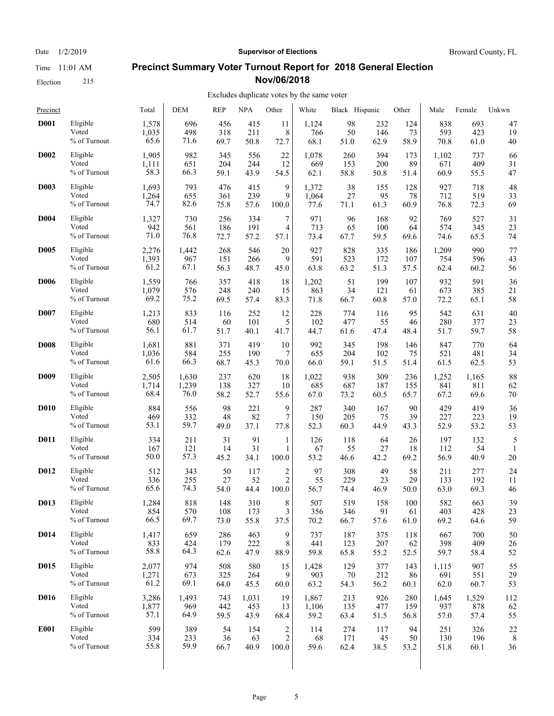Election 215

#### Date  $1/2/2019$  **Supervisor of Elections** Broward County, FL

#### **Precinct Summary Voter Turnout Report for 2018 General Election Nov/06/2018**

| Precinct    |                                      | Total              | <b>DEM</b>         | <b>REP</b>       | <b>NPA</b>       | Other                   | White             | Black Hispanic    |                  | Other            | Male               | Female            | Unkwn   |
|-------------|--------------------------------------|--------------------|--------------------|------------------|------------------|-------------------------|-------------------|-------------------|------------------|------------------|--------------------|-------------------|---------|
| <b>D001</b> | Eligible                             | 1,578              | 696                | 456              | 415              | 11                      | 1,124             | 98                | 232              | 124              | 838                | 693               | 47      |
|             | Voted                                | 1,035              | 498                | 318              | 211              | 8                       | 766               | 50                | 146              | 73               | 593                | 423               | 19      |
|             | $\%$ of Turnout                      | 65.6               | 71.6               | 69.7             | 50.8             | 72.7                    | 68.1              | 51.0              | 62.9             | 58.9             | 70.8               | 61.0              | 40      |
| <b>D002</b> | Eligible                             | 1,905              | 982                | 345              | 556              | 22                      | 1,078             | 260               | 394              | 173              | 1,102              | 737               | 66      |
|             | Voted                                | 1,111              | 651                | 204              | 244              | 12                      | 669               | 153               | 200              | 89               | 671                | 409               | 31      |
|             | % of Turnout                         | 58.3               | 66.3               | 59.1             | 43.9             | 54.5                    | 62.1              | 58.8              | 50.8             | 51.4             | 60.9               | 55.5              | 47      |
| <b>D003</b> | Eligible                             | 1,693              | 793                | 476              | 415              | 9                       | 1,372             | 38                | 155              | 128              | 927                | 718               | 48      |
|             | Voted                                | 1,264              | 655                | 361              | 239              | 9                       | 1,064             | 27                | 95               | 78               | 712                | 519               | 33      |
|             | % of Turnout                         | 74.7               | 82.6               | 75.8             | 57.6             | 100.0                   | 77.6              | 71.1              | 61.3             | 60.9             | 76.8               | 72.3              | 69      |
| <b>D004</b> | Eligible                             | 1,327              | 730                | 256              | 334              | 7                       | 971               | 96                | 168              | 92               | 769                | 527               | 31      |
|             | Voted                                | 942                | 561                | 186              | 191              | 4                       | 713               | 65                | 100              | 64               | 574                | 345               | 23      |
|             | $\%$ of Turnout                      | 71.0               | 76.8               | 72.7             | 57.2             | 57.1                    | 73.4              | 67.7              | 59.5             | 69.6             | 74.6               | 65.5              | 74      |
| <b>D005</b> | Eligible                             | 2,276              | 1,442              | 268              | 546              | 20                      | 927               | 828               | 335              | 186              | 1,209              | 990               | 77      |
|             | Voted                                | 1,393              | 967                | 151              | 266              | 9                       | 591               | 523               | 172              | 107              | 754                | 596               | 43      |
|             | % of Turnout                         | 61.2               | 67.1               | 56.3             | 48.7             | 45.0                    | 63.8              | 63.2              | 51.3             | 57.5             | 62.4               | 60.2              | 56      |
| D006        | Eligible                             | 1,559              | 766                | 357              | 418              | 18                      | 1,202             | 51                | 199              | 107              | 932                | 591               | 36      |
|             | Voted                                | 1,079              | 576                | 248              | 240              | 15                      | 863               | 34                | 121              | 61               | 673                | 385               | 21      |
|             | % of Turnout                         | 69.2               | 75.2               | 69.5             | 57.4             | 83.3                    | 71.8              | 66.7              | 60.8             | 57.0             | 72.2               | 65.1              | 58      |
| <b>D007</b> | Eligible                             | 1,213              | 833                | 116              | 252              | 12                      | 228               | 774               | 116              | 95               | 542                | 631               | 40      |
|             | Voted                                | 680                | 514                | 60               | 101              | 5                       | 102               | 477               | 55               | 46               | 280                | 377               | 23      |
|             | % of Turnout                         | 56.1               | 61.7               | 51.7             | 40.1             | 41.7                    | 44.7              | 61.6              | 47.4             | 48.4             | 51.7               | 59.7              | 58      |
| <b>D008</b> | Eligible                             | 1,681              | 881                | 371              | 419              | 10                      | 992               | 345               | 198              | 146              | 847                | 770               | 64      |
|             | Voted                                | 1,036              | 584                | 255              | 190              | 7                       | 655               | 204               | 102              | 75               | 521                | 481               | 34      |
|             | % of Turnout                         | 61.6               | 66.3               | 68.7             | 45.3             | 70.0                    | 66.0              | 59.1              | 51.5             | 51.4             | 61.5               | 62.5              | 53      |
| <b>D009</b> | Eligible                             | 2,505              | 1,630              | 237              | 620              | 18                      | 1,022             | 938               | 309              | 236              | 1,252              | 1,165             | 88      |
|             | Voted                                | 1,714              | 1,239              | 138              | 327              | 10                      | 685               | 687               | 187              | 155              | 841                | 811               | 62      |
|             | % of Turnout                         | 68.4               | 76.0               | 58.2             | 52.7             | 55.6                    | 67.0              | 73.2              | 60.5             | 65.7             | 67.2               | 69.6              | 70      |
| <b>D010</b> | Eligible                             | 884                | 556                | 98               | 221              | 9                       | 287               | 340               | 167              | 90               | 429                | 419               | 36      |
|             | Voted                                | 469                | 332                | 48               | 82               | 7                       | 150               | 205               | 75               | 39               | 227                | 223               | 19      |
|             | % of Turnout                         | 53.1               | 59.7               | 49.0             | 37.1             | 77.8                    | 52.3              | 60.3              | 44.9             | 43.3             | 52.9               | 53.2              | 53      |
| <b>D011</b> | Eligible<br>Voted<br>$\%$ of Turnout | 334<br>167<br>50.0 | 211<br>121<br>57.3 | 31<br>14<br>45.2 | 91<br>31<br>34.1 | 1<br>1<br>100.0         | 126<br>67<br>53.2 | 118<br>55<br>46.6 | 64<br>27<br>42.2 | 26<br>18<br>69.2 | 197<br>112<br>56.9 | 132<br>54<br>40.9 | 5<br>20 |
| D012        | Eligible                             | 512                | 343                | 50               | 117              | $\overline{\mathbf{c}}$ | 97                | 308               | 49               | 58               | 211                | 277               | 24      |
|             | Voted                                | 336                | 255                | 27               | 52               | $\mathfrak{2}$          | 55                | 229               | 23               | 29               | 133                | 192               | 11      |
|             | % of Turnout                         | 65.6               | 74.3               | 54.0             | 44.4             | 100.0                   | 56.7              | 74.4              | 46.9             | 50.0             | 63.0               | 69.3              | 46      |
| D013        | Eligible                             | 1,284              | 818                | 148              | 310              | 8                       | 507               | 519               | 158              | 100              | 582                | 663               | 39      |
|             | Voted                                | 854                | 570                | 108              | 173              | 3                       | 356               | 346               | 91               | 61               | 403                | 428               | 23      |
|             | % of Turnout                         | 66.5               | 69.7               | 73.0             | 55.8             | 37.5                    | 70.2              | 66.7              | 57.6             | 61.0             | 69.2               | 64.6              | 59      |
| <b>D014</b> | Eligible                             | 1,417              | 659                | 286              | 463              | 9                       | 737               | 187               | 375              | 118              | 667                | 700               | 50      |
|             | Voted                                | 833                | 424                | 179              | 222              | 8                       | 441               | 123               | 207              | 62               | 398                | 409               | 26      |
|             | % of Turnout                         | 58.8               | 64.3               | 62.6             | 47.9             | 88.9                    | 59.8              | 65.8              | 55.2             | 52.5             | 59.7               | 58.4              | 52      |
| <b>D015</b> | Eligible                             | 2,077              | 974                | 508              | 580              | 15                      | 1,428             | 129               | 377              | 143              | 1,115              | 907               | 55      |
|             | Voted                                | 1,271              | 673                | 325              | 264              | 9                       | 903               | 70                | 212              | 86               | 691                | 551               | 29      |
|             | % of Turnout                         | 61.2               | 69.1               | 64.0             | 45.5             | 60.0                    | 63.2              | 54.3              | 56.2             | 60.1             | 62.0               | 60.7              | 53      |
| D016        | Eligible                             | 3,286              | 1,493              | 743              | 1,031            | 19                      | 1,867             | 213               | 926              | 280              | 1,645              | 1,529             | 112     |
|             | Voted                                | 1,877              | 969                | 442              | 453              | 13                      | 1,106             | 135               | 477              | 159              | 937                | 878               | 62      |
|             | % of Turnout                         | 57.1               | 64.9               | 59.5             | 43.9             | 68.4                    | 59.2              | 63.4              | 51.5             | 56.8             | 57.0               | 57.4              | 55      |
| <b>E001</b> | Eligible                             | 599                | 389                | 54               | 154              | $\overline{\mathbf{c}}$ | 114               | 274               | 117              | 94               | 251                | 326               | 22      |
|             | Voted                                | 334                | 233                | 36               | 63               | $\overline{c}$          | 68                | 171               | 45               | 50               | 130                | 196               | 8       |
|             | % of Turnout                         | 55.8               | 59.9               | 66.7             | 40.9             | 100.0                   | 59.6              | 62.4              | 38.5             | 53.2             | 51.8               | 60.1              | 36      |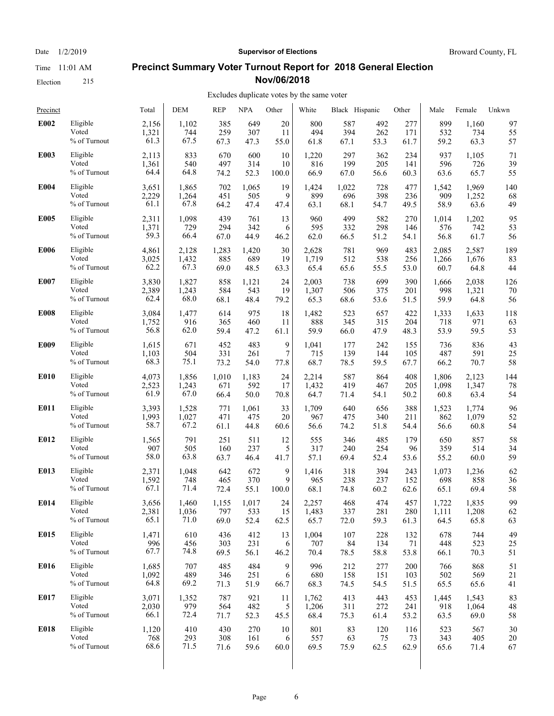Election 215

# Date  $1/2/2019$  **Supervisor of Elections** Broward County, FL

#### **Precinct Summary Voter Turnout Report for 2018 General Election Nov/06/2018**

#### Excludes duplicate votes by the same voter

| Precinct    |                 | Total | <b>DEM</b> | <b>REP</b> | <b>NPA</b> | Other            | White | Black Hispanic |      | Other | Male  | Female | Unkwn |
|-------------|-----------------|-------|------------|------------|------------|------------------|-------|----------------|------|-------|-------|--------|-------|
| E002        | Eligible        | 2,156 | 1,102      | 385        | 649        | 20               | 800   | 587            | 492  | 277   | 899   | 1,160  | 97    |
|             | Voted           | 1,321 | 744        | 259        | 307        | 11               | 494   | 394            | 262  | 171   | 532   | 734    | 55    |
|             | % of Turnout    | 61.3  | 67.5       | 67.3       | 47.3       | 55.0             | 61.8  | 67.1           | 53.3 | 61.7  | 59.2  | 63.3   | 57    |
| E003        | Eligible        | 2,113 | 833        | 670        | 600        | 10               | 1,220 | 297            | 362  | 234   | 937   | 1,105  | 71    |
|             | Voted           | 1,361 | 540        | 497        | 314        | 10               | 816   | 199            | 205  | 141   | 596   | 726    | 39    |
|             | % of Turnout    | 64.4  | 64.8       | 74.2       | 52.3       | 100.0            | 66.9  | 67.0           | 56.6 | 60.3  | 63.6  | 65.7   | 55    |
| E004        | Eligible        | 3,651 | 1,865      | 702        | 1,065      | 19               | 1,424 | 1,022          | 728  | 477   | 1,542 | 1,969  | 140   |
|             | Voted           | 2,229 | 1,264      | 451        | 505        | 9                | 899   | 696            | 398  | 236   | 909   | 1,252  | 68    |
|             | % of Turnout    | 61.1  | 67.8       | 64.2       | 47.4       | 47.4             | 63.1  | 68.1           | 54.7 | 49.5  | 58.9  | 63.6   | 49    |
| <b>E005</b> | Eligible        | 2,311 | 1,098      | 439        | 761        | 13               | 960   | 499            | 582  | 270   | 1,014 | 1,202  | 95    |
|             | Voted           | 1,371 | 729        | 294        | 342        | 6                | 595   | 332            | 298  | 146   | 576   | 742    | 53    |
|             | $\%$ of Turnout | 59.3  | 66.4       | 67.0       | 44.9       | 46.2             | 62.0  | 66.5           | 51.2 | 54.1  | 56.8  | 61.7   | 56    |
| <b>E006</b> | Eligible        | 4,861 | 2,128      | 1,283      | 1,420      | 30               | 2,628 | 781            | 969  | 483   | 2,085 | 2,587  | 189   |
|             | Voted           | 3,025 | 1,432      | 885        | 689        | 19               | 1,719 | 512            | 538  | 256   | 1,266 | 1,676  | 83    |
|             | % of Turnout    | 62.2  | 67.3       | 69.0       | 48.5       | 63.3             | 65.4  | 65.6           | 55.5 | 53.0  | 60.7  | 64.8   | 44    |
| E007        | Eligible        | 3,830 | 1,827      | 858        | 1,121      | 24               | 2,003 | 738            | 699  | 390   | 1,666 | 2,038  | 126   |
|             | Voted           | 2,389 | 1,243      | 584        | 543        | 19               | 1,307 | 506            | 375  | 201   | 998   | 1,321  | 70    |
|             | % of Turnout    | 62.4  | 68.0       | 68.1       | 48.4       | 79.2             | 65.3  | 68.6           | 53.6 | 51.5  | 59.9  | 64.8   | 56    |
| <b>E008</b> | Eligible        | 3,084 | 1,477      | 614        | 975        | 18               | 1,482 | 523            | 657  | 422   | 1,333 | 1,633  | 118   |
|             | Voted           | 1,752 | 916        | 365        | 460        | 11               | 888   | 345            | 315  | 204   | 718   | 971    | 63    |
|             | % of Turnout    | 56.8  | 62.0       | 59.4       | 47.2       | 61.1             | 59.9  | 66.0           | 47.9 | 48.3  | 53.9  | 59.5   | 53    |
| E009        | Eligible        | 1,615 | 671        | 452        | 483        | 9                | 1,041 | 177            | 242  | 155   | 736   | 836    | 43    |
|             | Voted           | 1,103 | 504        | 331        | 261        | $\boldsymbol{7}$ | 715   | 139            | 144  | 105   | 487   | 591    | 25    |
|             | % of Turnout    | 68.3  | 75.1       | 73.2       | 54.0       | 77.8             | 68.7  | 78.5           | 59.5 | 67.7  | 66.2  | 70.7   | 58    |
| E010        | Eligible        | 4,073 | 1,856      | 1,010      | 1,183      | 24               | 2,214 | 587            | 864  | 408   | 1,806 | 2,123  | 144   |
|             | Voted           | 2,523 | 1,243      | 671        | 592        | 17               | 1,432 | 419            | 467  | 205   | 1,098 | 1,347  | 78    |
|             | % of Turnout    | 61.9  | 67.0       | 66.4       | 50.0       | 70.8             | 64.7  | 71.4           | 54.1 | 50.2  | 60.8  | 63.4   | 54    |
| E011        | Eligible        | 3,393 | 1,528      | 771        | 1,061      | 33               | 1,709 | 640            | 656  | 388   | 1,523 | 1,774  | 96    |
|             | Voted           | 1,993 | 1,027      | 471        | 475        | 20               | 967   | 475            | 340  | 211   | 862   | 1,079  | 52    |
|             | % of Turnout    | 58.7  | 67.2       | 61.1       | 44.8       | 60.6             | 56.6  | 74.2           | 51.8 | 54.4  | 56.6  | 60.8   | 54    |
| E012        | Eligible        | 1,565 | 791        | 251        | 511        | 12               | 555   | 346            | 485  | 179   | 650   | 857    | 58    |
|             | Voted           | 907   | 505        | 160        | 237        | 5                | 317   | 240            | 254  | 96    | 359   | 514    | 34    |
|             | $\%$ of Turnout | 58.0  | 63.8       | 63.7       | 46.4       | 41.7             | 57.1  | 69.4           | 52.4 | 53.6  | 55.2  | 60.0   | 59    |
| E013        | Eligible        | 2,371 | 1,048      | 642        | 672        | 9                | 1,416 | 318            | 394  | 243   | 1,073 | 1,236  | 62    |
|             | Voted           | 1,592 | 748        | 465        | 370        | 9                | 965   | 238            | 237  | 152   | 698   | 858    | 36    |
|             | % of Turnout    | 67.1  | 71.4       | 72.4       | 55.1       | 100.0            | 68.1  | 74.8           | 60.2 | 62.6  | 65.1  | 69.4   | 58    |
| E014        | Eligible        | 3,656 | 1,460      | 1.155      | 1,017      | 24               | 2.257 | 468            | 474  | 457   | 1,722 | 1,835  | 99    |
|             | Voted           | 2,381 | 1,036      | 797        | 533        | 15               | 1,483 | 337            | 281  | 280   | 1,111 | 1,208  | 62    |
|             | % of Turnout    | 65.1  | 71.0       | 69.0       | 52.4       | 62.5             | 65.7  | 72.0           | 59.3 | 61.3  | 64.5  | 65.8   | 63    |
| E015        | Eligible        | 1,471 | 610        | 436        | 412        | 13               | 1,004 | 107            | 228  | 132   | 678   | 744    | 49    |
|             | Voted           | 996   | 456        | 303        | 231        | 6                | 707   | 84             | 134  | 71    | 448   | 523    | 25    |
|             | % of Turnout    | 67.7  | 74.8       | 69.5       | 56.1       | 46.2             | 70.4  | 78.5           | 58.8 | 53.8  | 66.1  | 70.3   | 51    |
| E016        | Eligible        | 1,685 | 707        | 485        | 484        | 9                | 996   | 212            | 277  | 200   | 766   | 868    | 51    |
|             | Voted           | 1,092 | 489        | 346        | 251        | 6                | 680   | 158            | 151  | 103   | 502   | 569    | 21    |
|             | % of Turnout    | 64.8  | 69.2       | 71.3       | 51.9       | 66.7             | 68.3  | 74.5           | 54.5 | 51.5  | 65.5  | 65.6   | 41    |
| E017        | Eligible        | 3,071 | 1,352      | 787        | 921        | 11               | 1,762 | 413            | 443  | 453   | 1,445 | 1,543  | 83    |
|             | Voted           | 2,030 | 979        | 564        | 482        | 5                | 1,206 | 311            | 272  | 241   | 918   | 1,064  | 48    |
|             | % of Turnout    | 66.1  | 72.4       | 71.7       | 52.3       | 45.5             | 68.4  | 75.3           | 61.4 | 53.2  | 63.5  | 69.0   | 58    |
| E018        | Eligible        | 1,120 | 410        | 430        | 270        | 10               | 801   | 83             | 120  | 116   | 523   | 567    | 30    |
|             | Voted           | 768   | 293        | 308        | 161        | 6                | 557   | 63             | 75   | 73    | 343   | 405    | 20    |
|             | % of Turnout    | 68.6  | 71.5       | 71.6       | 59.6       | 60.0             | 69.5  | 75.9           | 62.5 | 62.9  | 65.6  | 71.4   | 67    |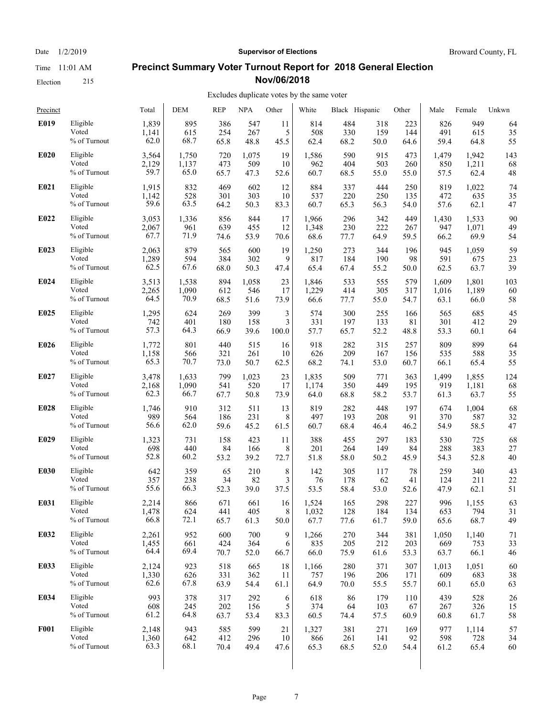Election 215

#### **Precinct Summary Voter Turnout Report for 2018 General Election Nov/06/2018**

#### Excludes duplicate votes by the same voter

| Precinct    |                 | Total | <b>DEM</b> | <b>REP</b> | <b>NPA</b> | Other | White | Black Hispanic |      | Other | Male  | Female | Unkwn |
|-------------|-----------------|-------|------------|------------|------------|-------|-------|----------------|------|-------|-------|--------|-------|
| E019        | Eligible        | 1,839 | 895        | 386        | 547        | 11    | 814   | 484            | 318  | 223   | 826   | 949    | 64    |
|             | Voted           | 1,141 | 615        | 254        | 267        | 5     | 508   | 330            | 159  | 144   | 491   | 615    | 35    |
|             | $\%$ of Turnout | 62.0  | 68.7       | 65.8       | 48.8       | 45.5  | 62.4  | 68.2           | 50.0 | 64.6  | 59.4  | 64.8   | 55    |
| <b>E020</b> | Eligible        | 3,564 | 1,750      | 720        | 1,075      | 19    | 1,586 | 590            | 915  | 473   | 1,479 | 1,942  | 143   |
|             | Voted           | 2,129 | 1,137      | 473        | 509        | 10    | 962   | 404            | 503  | 260   | 850   | 1,211  | 68    |
|             | % of Turnout    | 59.7  | 65.0       | 65.7       | 47.3       | 52.6  | 60.7  | 68.5           | 55.0 | 55.0  | 57.5  | 62.4   | 48    |
| E021        | Eligible        | 1,915 | 832        | 469        | 602        | 12    | 884   | 337            | 444  | 250   | 819   | 1,022  | 74    |
|             | Voted           | 1,142 | 528        | 301        | 303        | 10    | 537   | 220            | 250  | 135   | 472   | 635    | 35    |
|             | % of Turnout    | 59.6  | 63.5       | 64.2       | 50.3       | 83.3  | 60.7  | 65.3           | 56.3 | 54.0  | 57.6  | 62.1   | 47    |
| E022        | Eligible        | 3,053 | 1,336      | 856        | 844        | 17    | 1,966 | 296            | 342  | 449   | 1,430 | 1,533  | 90    |
|             | Voted           | 2,067 | 961        | 639        | 455        | 12    | 1,348 | 230            | 222  | 267   | 947   | 1,071  | 49    |
|             | $\%$ of Turnout | 67.7  | 71.9       | 74.6       | 53.9       | 70.6  | 68.6  | 77.7           | 64.9 | 59.5  | 66.2  | 69.9   | 54    |
| E023        | Eligible        | 2,063 | 879        | 565        | 600        | 19    | 1,250 | 273            | 344  | 196   | 945   | 1,059  | 59    |
|             | Voted           | 1,289 | 594        | 384        | 302        | 9     | 817   | 184            | 190  | 98    | 591   | 675    | 23    |
|             | % of Turnout    | 62.5  | 67.6       | 68.0       | 50.3       | 47.4  | 65.4  | 67.4           | 55.2 | 50.0  | 62.5  | 63.7   | 39    |
| E024        | Eligible        | 3,513 | 1,538      | 894        | 1,058      | 23    | 1,846 | 533            | 555  | 579   | 1,609 | 1,801  | 103   |
|             | Voted           | 2,265 | 1,090      | 612        | 546        | 17    | 1,229 | 414            | 305  | 317   | 1,016 | 1,189  | 60    |
|             | % of Turnout    | 64.5  | 70.9       | 68.5       | 51.6       | 73.9  | 66.6  | 77.7           | 55.0 | 54.7  | 63.1  | 66.0   | 58    |
| E025        | Eligible        | 1,295 | 624        | 269        | 399        | 3     | 574   | 300            | 255  | 166   | 565   | 685    | 45    |
|             | Voted           | 742   | 401        | 180        | 158        | 3     | 331   | 197            | 133  | 81    | 301   | 412    | 29    |
|             | % of Turnout    | 57.3  | 64.3       | 66.9       | 39.6       | 100.0 | 57.7  | 65.7           | 52.2 | 48.8  | 53.3  | 60.1   | 64    |
| E026        | Eligible        | 1,772 | 801        | 440        | 515        | 16    | 918   | 282            | 315  | 257   | 809   | 899    | 64    |
|             | Voted           | 1,158 | 566        | 321        | 261        | 10    | 626   | 209            | 167  | 156   | 535   | 588    | 35    |
|             | % of Turnout    | 65.3  | 70.7       | 73.0       | 50.7       | 62.5  | 68.2  | 74.1           | 53.0 | 60.7  | 66.1  | 65.4   | 55    |
| E027        | Eligible        | 3,478 | 1,633      | 799        | 1,023      | 23    | 1,835 | 509            | 771  | 363   | 1,499 | 1,855  | 124   |
|             | Voted           | 2,168 | 1,090      | 541        | 520        | 17    | 1,174 | 350            | 449  | 195   | 919   | 1,181  | 68    |
|             | $\%$ of Turnout | 62.3  | 66.7       | 67.7       | 50.8       | 73.9  | 64.0  | 68.8           | 58.2 | 53.7  | 61.3  | 63.7   | 55    |
| E028        | Eligible        | 1,746 | 910        | 312        | 511        | 13    | 819   | 282            | 448  | 197   | 674   | 1,004  | 68    |
|             | Voted           | 989   | 564        | 186        | 231        | 8     | 497   | 193            | 208  | 91    | 370   | 587    | 32    |
|             | % of Turnout    | 56.6  | 62.0       | 59.6       | 45.2       | 61.5  | 60.7  | 68.4           | 46.4 | 46.2  | 54.9  | 58.5   | 47    |
| E029        | Eligible        | 1,323 | 731        | 158        | 423        | 11    | 388   | 455            | 297  | 183   | 530   | 725    | 68    |
|             | Voted           | 698   | 440        | 84         | 166        | 8     | 201   | 264            | 149  | 84    | 288   | 383    | 27    |
|             | % of Turnout    | 52.8  | 60.2       | 53.2       | 39.2       | 72.7  | 51.8  | 58.0           | 50.2 | 45.9  | 54.3  | 52.8   | 40    |
| E030        | Eligible        | 642   | 359        | 65         | 210        | 8     | 142   | 305            | 117  | 78    | 259   | 340    | 43    |
|             | Voted           | 357   | 238        | 34         | 82         | 3     | 76    | 178            | 62   | 41    | 124   | 211    | 22    |
|             | % of Turnout    | 55.6  | 66.3       | 52.3       | 39.0       | 37.5  | 53.5  | 58.4           | 53.0 | 52.6  | 47.9  | 62.1   | 51    |
| E031        | Eligible        | 2,214 | 866        | 671        | 661        | 16    | 1,524 | 165            | 298  | 227   | 996   | 1,155  | 63    |
|             | Voted           | 1,478 | 624        | 441        | 405        | 8     | 1,032 | 128            | 184  | 134   | 653   | 794    | 31    |
|             | % of Turnout    | 66.8  | 72.1       | 65.7       | 61.3       | 50.0  | 67.7  | 77.6           | 61.7 | 59.0  | 65.6  | 68.7   | 49    |
| E032        | Eligible        | 2,261 | 952        | 600        | 700        | 9     | 1,266 | 270            | 344  | 381   | 1,050 | 1,140  | 71    |
|             | Voted           | 1,455 | 661        | 424        | 364        | 6     | 835   | 205            | 212  | 203   | 669   | 753    | 33    |
|             | % of Turnout    | 64.4  | 69.4       | 70.7       | 52.0       | 66.7  | 66.0  | 75.9           | 61.6 | 53.3  | 63.7  | 66.1   | 46    |
| E033        | Eligible        | 2,124 | 923        | 518        | 665        | 18    | 1,166 | 280            | 371  | 307   | 1,013 | 1,051  | 60    |
|             | Voted           | 1,330 | 626        | 331        | 362        | 11    | 757   | 196            | 206  | 171   | 609   | 683    | 38    |
|             | % of Turnout    | 62.6  | 67.8       | 63.9       | 54.4       | 61.1  | 64.9  | 70.0           | 55.5 | 55.7  | 60.1  | 65.0   | 63    |
| E034        | Eligible        | 993   | 378        | 317        | 292        | 6     | 618   | 86             | 179  | 110   | 439   | 528    | 26    |
|             | Voted           | 608   | 245        | 202        | 156        | 5     | 374   | 64             | 103  | 67    | 267   | 326    | 15    |
|             | % of Turnout    | 61.2  | 64.8       | 63.7       | 53.4       | 83.3  | 60.5  | 74.4           | 57.5 | 60.9  | 60.8  | 61.7   | 58    |
| <b>F001</b> | Eligible        | 2,148 | 943        | 585        | 599        | 21    | 1,327 | 381            | 271  | 169   | 977   | 1,114  | 57    |
|             | Voted           | 1,360 | 642        | 412        | 296        | 10    | 866   | 261            | 141  | 92    | 598   | 728    | 34    |
|             | % of Turnout    | 63.3  | 68.1       | 70.4       | 49.4       | 47.6  | 65.3  | 68.5           | 52.0 | 54.4  | 61.2  | 65.4   | 60    |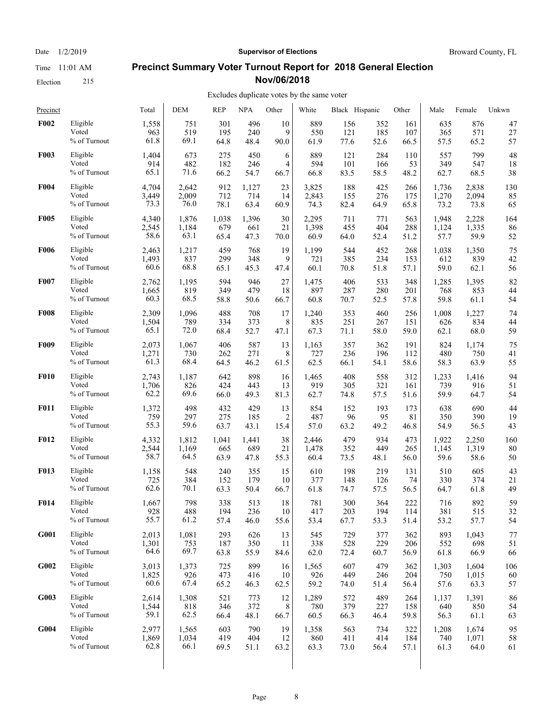Election 215

## Date  $1/2/2019$  **Supervisor of Elections** Broward County, FL **Precinct Summary Voter Turnout Report for 2018 General Election**

**Nov/06/2018**

| Precinct    |                 | Total | DEM   | <b>REP</b> | <b>NPA</b> | Other  | White | Black Hispanic |      | Other | Male  | Female | Unkwn |
|-------------|-----------------|-------|-------|------------|------------|--------|-------|----------------|------|-------|-------|--------|-------|
| <b>F002</b> | Eligible        | 1,558 | 751   | 301        | 496        | 10     | 889   | 156            | 352  | 161   | 635   | 876    | 47    |
|             | Voted           | 963   | 519   | 195        | 240        | 9      | 550   | 121            | 185  | 107   | 365   | 571    | 27    |
|             | $\%$ of Turnout | 61.8  | 69.1  | 64.8       | 48.4       | 90.0   | 61.9  | 77.6           | 52.6 | 66.5  | 57.5  | 65.2   | 57    |
| <b>F003</b> | Eligible        | 1,404 | 673   | 275        | 450        | 6      | 889   | 121            | 284  | 110   | 557   | 799    | 48    |
|             | Voted           | 914   | 482   | 182        | 246        | 4      | 594   | 101            | 166  | 53    | 349   | 547    | 18    |
|             | % of Turnout    | 65.1  | 71.6  | 66.2       | 54.7       | 66.7   | 66.8  | 83.5           | 58.5 | 48.2  | 62.7  | 68.5   | 38    |
| <b>F004</b> | Eligible        | 4,704 | 2,642 | 912        | 1,127      | 23     | 3,825 | 188            | 425  | 266   | 1,736 | 2,838  | 130   |
|             | Voted           | 3,449 | 2,009 | 712        | 714        | 14     | 2,843 | 155            | 276  | 175   | 1,270 | 2,094  | 85    |
|             | % of Turnout    | 73.3  | 76.0  | 78.1       | 63.4       | 60.9   | 74.3  | 82.4           | 64.9 | 65.8  | 73.2  | 73.8   | 65    |
| <b>F005</b> | Eligible        | 4,340 | 1,876 | 1,038      | 1,396      | 30     | 2,295 | 711            | 771  | 563   | 1,948 | 2,228  | 164   |
|             | Voted           | 2,545 | 1,184 | 679        | 661        | 21     | 1,398 | 455            | 404  | 288   | 1,124 | 1,335  | 86    |
|             | $\%$ of Turnout | 58.6  | 63.1  | 65.4       | 47.3       | 70.0   | 60.9  | 64.0           | 52.4 | 51.2  | 57.7  | 59.9   | 52    |
| <b>F006</b> | Eligible        | 2,463 | 1,217 | 459        | 768        | 19     | 1,199 | 544            | 452  | 268   | 1,038 | 1,350  | 75    |
|             | Voted           | 1,493 | 837   | 299        | 348        | 9      | 721   | 385            | 234  | 153   | 612   | 839    | 42    |
|             | % of Turnout    | 60.6  | 68.8  | 65.1       | 45.3       | 47.4   | 60.1  | 70.8           | 51.8 | 57.1  | 59.0  | 62.1   | 56    |
| <b>F007</b> | Eligible        | 2,762 | 1,195 | 594        | 946        | 27     | 1,475 | 406            | 533  | 348   | 1,285 | 1,395  | 82    |
|             | Voted           | 1,665 | 819   | 349        | 479        | 18     | 897   | 287            | 280  | 201   | 768   | 853    | 44    |
|             | % of Turnout    | 60.3  | 68.5  | 58.8       | 50.6       | 66.7   | 60.8  | 70.7           | 52.5 | 57.8  | 59.8  | 61.1   | 54    |
| <b>F008</b> | Eligible        | 2,309 | 1,096 | 488        | 708        | 17     | 1,240 | 353            | 460  | 256   | 1,008 | 1,227  | 74    |
|             | Voted           | 1,504 | 789   | 334        | 373        | 8      | 835   | 251            | 267  | 151   | 626   | 834    | 44    |
|             | % of Turnout    | 65.1  | 72.0  | 68.4       | 52.7       | 47.1   | 67.3  | 71.1           | 58.0 | 59.0  | 62.1  | 68.0   | 59    |
| <b>F009</b> | Eligible        | 2,073 | 1,067 | 406        | 587        | 13     | 1,163 | 357            | 362  | 191   | 824   | 1,174  | 75    |
|             | Voted           | 1,271 | 730   | 262        | 271        | 8      | 727   | 236            | 196  | 112   | 480   | 750    | 41    |
|             | % of Turnout    | 61.3  | 68.4  | 64.5       | 46.2       | 61.5   | 62.5  | 66.1           | 54.1 | 58.6  | 58.3  | 63.9   | 55    |
| <b>F010</b> | Eligible        | 2,743 | 1,187 | 642        | 898        | 16     | 1,465 | 408            | 558  | 312   | 1,233 | 1,416  | 94    |
|             | Voted           | 1,706 | 826   | 424        | 443        | 13     | 919   | 305            | 321  | 161   | 739   | 916    | 51    |
|             | $\%$ of Turnout | 62.2  | 69.6  | 66.0       | 49.3       | 81.3   | 62.7  | 74.8           | 57.5 | 51.6  | 59.9  | 64.7   | 54    |
| <b>F011</b> | Eligible        | 1,372 | 498   | 432        | 429        | 13     | 854   | 152            | 193  | 173   | 638   | 690    | 44    |
|             | Voted           | 759   | 297   | 275        | 185        | 2      | 487   | 96             | 95   | 81    | 350   | 390    | 19    |
|             | % of Turnout    | 55.3  | 59.6  | 63.7       | 43.1       | 15.4   | 57.0  | 63.2           | 49.2 | 46.8  | 54.9  | 56.5   | 43    |
| <b>F012</b> | Eligible        | 4,332 | 1,812 | 1,041      | 1,441      | 38     | 2,446 | 479            | 934  | 473   | 1,922 | 2,250  | 160   |
|             | Voted           | 2,544 | 1,169 | 665        | 689        | 21     | 1,478 | 352            | 449  | 265   | 1,145 | 1,319  | 80    |
|             | $\%$ of Turnout | 58.7  | 64.5  | 63.9       | 47.8       | 55.3   | 60.4  | 73.5           | 48.1 | 56.0  | 59.6  | 58.6   | 50    |
| <b>F013</b> | Eligible        | 1,158 | 548   | 240        | 355        | 15     | 610   | 198            | 219  | 131   | 510   | 605    | 43    |
|             | Voted           | 725   | 384   | 152        | 179        | 10     | 377   | 148            | 126  | 74    | 330   | 374    | 21    |
|             | % of Turnout    | 62.6  | 70.1  | 63.3       | 50.4       | 66.7   | 61.8  | 74.7           | 57.5 | 56.5  | 64.7  | 61.8   | 49    |
| F014        | Eligible        | 1,667 | 798   | 338        | 513        | $18\,$ | 781   | 300            | 364  | 222   | 716   | 892    | 59    |
|             | Voted           | 928   | 488   | 194        | 236        | 10     | 417   | 203            | 194  | 114   | 381   | 515    | 32    |
|             | % of Turnout    | 55.7  | 61.2  | 57.4       | 46.0       | 55.6   | 53.4  | 67.7           | 53.3 | 51.4  | 53.2  | 57.7   | 54    |
| G001        | Eligible        | 2,013 | 1,081 | 293        | 626        | 13     | 545   | 729            | 377  | 362   | 893   | 1,043  | 77    |
|             | Voted           | 1,301 | 753   | 187        | 350        | 11     | 338   | 528            | 229  | 206   | 552   | 698    | 51    |
|             | % of Turnout    | 64.6  | 69.7  | 63.8       | 55.9       | 84.6   | 62.0  | 72.4           | 60.7 | 56.9  | 61.8  | 66.9   | 66    |
| G002        | Eligible        | 3,013 | 1,373 | 725        | 899        | 16     | 1,565 | 607            | 479  | 362   | 1,303 | 1,604  | 106   |
|             | Voted           | 1,825 | 926   | 473        | 416        | 10     | 926   | 449            | 246  | 204   | 750   | 1,015  | 60    |
|             | % of Turnout    | 60.6  | 67.4  | 65.2       | 46.3       | 62.5   | 59.2  | 74.0           | 51.4 | 56.4  | 57.6  | 63.3   | 57    |
| G003        | Eligible        | 2,614 | 1,308 | 521        | 773        | 12     | 1,289 | 572            | 489  | 264   | 1,137 | 1,391  | 86    |
|             | Voted           | 1,544 | 818   | 346        | 372        | 8      | 780   | 379            | 227  | 158   | 640   | 850    | 54    |
|             | % of Turnout    | 59.1  | 62.5  | 66.4       | 48.1       | 66.7   | 60.5  | 66.3           | 46.4 | 59.8  | 56.3  | 61.1   | 63    |
| G004        | Eligible        | 2,977 | 1,565 | 603        | 790        | 19     | 1,358 | 563            | 734  | 322   | 1,208 | 1,674  | 95    |
|             | Voted           | 1,869 | 1,034 | 419        | 404        | 12     | 860   | 411            | 414  | 184   | 740   | 1,071  | 58    |
|             | % of Turnout    | 62.8  | 66.1  | 69.5       | 51.1       | 63.2   | 63.3  | 73.0           | 56.4 | 57.1  | 61.3  | 64.0   | 61    |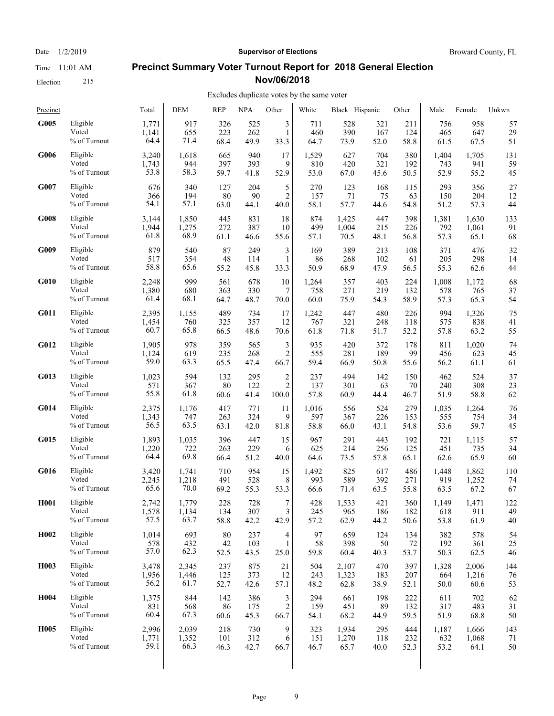Time 11:01 AM Election 215

Date  $1/2/2019$  **Supervisor of Elections** Broward County, FL

#### **Precinct Summary Voter Turnout Report for 2018 General Election Nov/06/2018**

| Precinct          |                 | Total | <b>DEM</b> | <b>REP</b> | <b>NPA</b> | Other          | White | Black Hispanic |      | Other | Male  | Female | Unkwn |
|-------------------|-----------------|-------|------------|------------|------------|----------------|-------|----------------|------|-------|-------|--------|-------|
| G005              | Eligible        | 1,771 | 917        | 326        | 525        | 3              | 711   | 528            | 321  | 211   | 756   | 958    | 57    |
|                   | Voted           | 1,141 | 655        | 223        | 262        | $\mathbf{1}$   | 460   | 390            | 167  | 124   | 465   | 647    | 29    |
|                   | % of Turnout    | 64.4  | 71.4       | 68.4       | 49.9       | 33.3           | 64.7  | 73.9           | 52.0 | 58.8  | 61.5  | 67.5   | 51    |
| G006              | Eligible        | 3,240 | 1,618      | 665        | 940        | 17             | 1,529 | 627            | 704  | 380   | 1,404 | 1,705  | 131   |
|                   | Voted           | 1,743 | 944        | 397        | 393        | 9              | 810   | 420            | 321  | 192   | 743   | 941    | 59    |
|                   | % of Turnout    | 53.8  | 58.3       | 59.7       | 41.8       | 52.9           | 53.0  | 67.0           | 45.6 | 50.5  | 52.9  | 55.2   | 45    |
| G007              | Eligible        | 676   | 340        | 127        | 204        | 5              | 270   | 123            | 168  | 115   | 293   | 356    | 27    |
|                   | Voted           | 366   | 194        | 80         | 90         | $\overline{c}$ | 157   | 71             | 75   | 63    | 150   | 204    | 12    |
|                   | % of Turnout    | 54.1  | 57.1       | 63.0       | 44.1       | 40.0           | 58.1  | 57.7           | 44.6 | 54.8  | 51.2  | 57.3   | 44    |
| G008              | Eligible        | 3,144 | 1,850      | 445        | 831        | 18             | 874   | 1,425          | 447  | 398   | 1,381 | 1,630  | 133   |
|                   | Voted           | 1,944 | 1,275      | 272        | 387        | 10             | 499   | 1,004          | 215  | 226   | 792   | 1,061  | 91    |
|                   | % of Turnout    | 61.8  | 68.9       | 61.1       | 46.6       | 55.6           | 57.1  | 70.5           | 48.1 | 56.8  | 57.3  | 65.1   | 68    |
| G009              | Eligible        | 879   | 540        | 87         | 249        | 3              | 169   | 389            | 213  | 108   | 371   | 476    | 32    |
|                   | Voted           | 517   | 354        | 48         | 114        | $\mathbf{1}$   | 86    | 268            | 102  | 61    | 205   | 298    | 14    |
|                   | % of Turnout    | 58.8  | 65.6       | 55.2       | 45.8       | 33.3           | 50.9  | 68.9           | 47.9 | 56.5  | 55.3  | 62.6   | 44    |
| <b>G010</b>       | Eligible        | 2,248 | 999        | 561        | 678        | 10             | 1,264 | 357            | 403  | 224   | 1,008 | 1,172  | 68    |
|                   | Voted           | 1,380 | 680        | 363        | 330        | 7              | 758   | 271            | 219  | 132   | 578   | 765    | 37    |
|                   | % of Turnout    | 61.4  | 68.1       | 64.7       | 48.7       | 70.0           | 60.0  | 75.9           | 54.3 | 58.9  | 57.3  | 65.3   | 54    |
| G011              | Eligible        | 2,395 | 1,155      | 489        | 734        | 17             | 1,242 | 447            | 480  | 226   | 994   | 1,326  | 75    |
|                   | Voted           | 1,454 | 760        | 325        | 357        | 12             | 767   | 321            | 248  | 118   | 575   | 838    | 41    |
|                   | % of Turnout    | 60.7  | 65.8       | 66.5       | 48.6       | 70.6           | 61.8  | 71.8           | 51.7 | 52.2  | 57.8  | 63.2   | 55    |
| G012              | Eligible        | 1,905 | 978        | 359        | 565        | 3              | 935   | 420            | 372  | 178   | 811   | 1,020  | 74    |
|                   | Voted           | 1,124 | 619        | 235        | 268        | 2              | 555   | 281            | 189  | 99    | 456   | 623    | 45    |
|                   | % of Turnout    | 59.0  | 63.3       | 65.5       | 47.4       | 66.7           | 59.4  | 66.9           | 50.8 | 55.6  | 56.2  | 61.1   | 61    |
| G013              | Eligible        | 1,023 | 594        | 132        | 295        | $\overline{c}$ | 237   | 494            | 142  | 150   | 462   | 524    | 37    |
|                   | Voted           | 571   | 367        | 80         | 122        | $\overline{2}$ | 137   | 301            | 63   | 70    | 240   | 308    | 23    |
|                   | $\%$ of Turnout | 55.8  | 61.8       | 60.6       | 41.4       | 100.0          | 57.8  | 60.9           | 44.4 | 46.7  | 51.9  | 58.8   | 62    |
| G014              | Eligible        | 2,375 | 1,176      | 417        | 771        | 11             | 1,016 | 556            | 524  | 279   | 1,035 | 1,264  | 76    |
|                   | Voted           | 1,343 | 747        | 263        | 324        | 9              | 597   | 367            | 226  | 153   | 555   | 754    | 34    |
|                   | % of Turnout    | 56.5  | 63.5       | 63.1       | 42.0       | 81.8           | 58.8  | 66.0           | 43.1 | 54.8  | 53.6  | 59.7   | 45    |
| G015              | Eligible        | 1,893 | 1,035      | 396        | 447        | 15             | 967   | 291            | 443  | 192   | 721   | 1,115  | 57    |
|                   | Voted           | 1,220 | 722        | 263        | 229        | 6              | 625   | 214            | 256  | 125   | 451   | 735    | 34    |
|                   | % of Turnout    | 64.4  | 69.8       | 66.4       | 51.2       | 40.0           | 64.6  | 73.5           | 57.8 | 65.1  | 62.6  | 65.9   | 60    |
| G016              | Eligible        | 3,420 | 1,741      | 710        | 954        | 15             | 1,492 | 825            | 617  | 486   | 1,448 | 1,862  | 110   |
|                   | Voted           | 2,245 | 1,218      | 491        | 528        | 8              | 993   | 589            | 392  | 271   | 919   | 1,252  | 74    |
|                   | % of Turnout    | 65.6  | 70.0       | 69.2       | 55.3       | 53.3           | 66.6  | 71.4           | 63.5 | 55.8  | 63.5  | 67.2   | 67    |
| H <sub>001</sub>  | Eligible        | 2,742 | 1,779      | 228        | 728        | $\tau$         | 428   | 1,533          | 421  | 360   | 1,149 | 1,471  | 122   |
|                   | Voted           | 1,578 | 1,134      | 134        | 307        | 3              | 245   | 965            | 186  | 182   | 618   | 911    | 49    |
|                   | % of Turnout    | 57.5  | 63.7       | 58.8       | 42.2       | 42.9           | 57.2  | 62.9           | 44.2 | 50.6  | 53.8  | 61.9   | 40    |
| H <sub>0</sub> 02 | Eligible        | 1,014 | 693        | $80\,$     | 237        | 4              | 97    | 659            | 124  | 134   | 382   | 578    | 54    |
|                   | Voted           | 578   | 432        | 42         | 103        | $\mathbf{1}$   | 58    | 398            | 50   | 72    | 192   | 361    | 25    |
|                   | % of Turnout    | 57.0  | 62.3       | 52.5       | 43.5       | 25.0           | 59.8  | 60.4           | 40.3 | 53.7  | 50.3  | 62.5   | 46    |
| H <sub>0</sub> 03 | Eligible        | 3,478 | 2,345      | 237        | 875        | 21             | 504   | 2,107          | 470  | 397   | 1,328 | 2,006  | 144   |
|                   | Voted           | 1,956 | 1,446      | 125        | 373        | 12             | 243   | 1,323          | 183  | 207   | 664   | 1,216  | 76    |
|                   | % of Turnout    | 56.2  | 61.7       | 52.7       | 42.6       | 57.1           | 48.2  | 62.8           | 38.9 | 52.1  | 50.0  | 60.6   | 53    |
| H <sub>0</sub> 04 | Eligible        | 1,375 | 844        | 142        | 386        | 3              | 294   | 661            | 198  | 222   | 611   | 702    | 62    |
|                   | Voted           | 831   | 568        | 86         | 175        | $\overline{c}$ | 159   | 451            | 89   | 132   | 317   | 483    | 31    |
|                   | % of Turnout    | 60.4  | 67.3       | 60.6       | 45.3       | 66.7           | 54.1  | 68.2           | 44.9 | 59.5  | 51.9  | 68.8   | 50    |
| <b>H005</b>       | Eligible        | 2,996 | 2,039      | 218        | 730        | 9              | 323   | 1,934          | 295  | 444   | 1,187 | 1,666  | 143   |
|                   | Voted           | 1,771 | 1,352      | 101        | 312        | 6              | 151   | 1,270          | 118  | 232   | 632   | 1,068  | 71    |
|                   | % of Turnout    | 59.1  | 66.3       | 46.3       | 42.7       | 66.7           | 46.7  | 65.7           | 40.0 | 52.3  | 53.2  | 64.1   | 50    |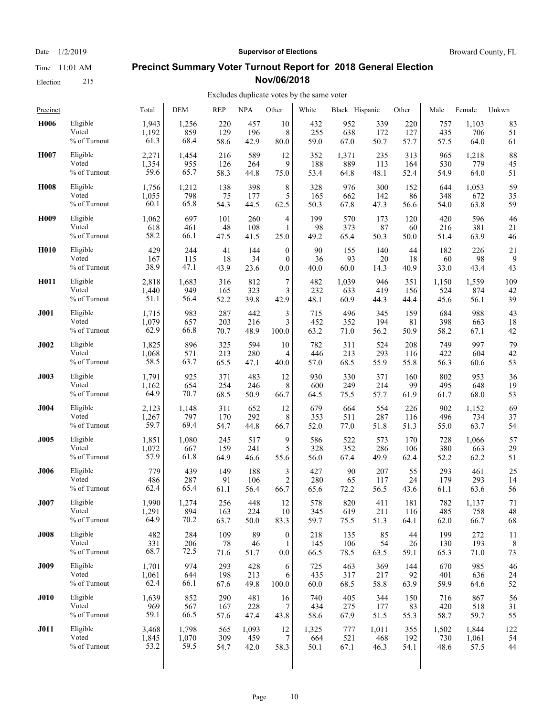Election 215

#### Date  $1/2/2019$  **Supervisor of Elections** Broward County, FL

#### **Precinct Summary Voter Turnout Report for 2018 General Election Nov/06/2018**

#### Excludes duplicate votes by the same voter

| Precinct         |                 | Total | <b>DEM</b> | <b>REP</b> | <b>NPA</b> | Other            | White | Black Hispanic |       | Other | Male  | Female | Unkwn |
|------------------|-----------------|-------|------------|------------|------------|------------------|-------|----------------|-------|-------|-------|--------|-------|
| H006             | Eligible        | 1,943 | 1,256      | 220        | 457        | 10               | 432   | 952            | 339   | 220   | 757   | 1,103  | 83    |
|                  | Voted           | 1,192 | 859        | 129        | 196        | 8                | 255   | 638            | 172   | 127   | 435   | 706    | 51    |
|                  | % of Turnout    | 61.3  | 68.4       | 58.6       | 42.9       | 80.0             | 59.0  | 67.0           | 50.7  | 57.7  | 57.5  | 64.0   | 61    |
| H007             | Eligible        | 2,271 | 1,454      | 216        | 589        | 12               | 352   | 1,371          | 235   | 313   | 965   | 1,218  | 88    |
|                  | Voted           | 1,354 | 955        | 126        | 264        | 9                | 188   | 889            | 113   | 164   | 530   | 779    | 45    |
|                  | % of Turnout    | 59.6  | 65.7       | 58.3       | 44.8       | 75.0             | 53.4  | 64.8           | 48.1  | 52.4  | 54.9  | 64.0   | 51    |
| H <sub>008</sub> | Eligible        | 1,756 | 1,212      | 138        | 398        | 8                | 328   | 976            | 300   | 152   | 644   | 1,053  | 59    |
|                  | Voted           | 1,055 | 798        | 75         | 177        | 5                | 165   | 662            | 142   | 86    | 348   | 672    | 35    |
|                  | % of Turnout    | 60.1  | 65.8       | 54.3       | 44.5       | 62.5             | 50.3  | 67.8           | 47.3  | 56.6  | 54.0  | 63.8   | 59    |
| H <sub>009</sub> | Eligible        | 1,062 | 697        | 101        | 260        | 4                | 199   | 570            | 173   | 120   | 420   | 596    | 46    |
|                  | Voted           | 618   | 461        | 48         | 108        | 1                | 98    | 373            | 87    | 60    | 216   | 381    | 21    |
|                  | $\%$ of Turnout | 58.2  | 66.1       | 47.5       | 41.5       | 25.0             | 49.2  | 65.4           | 50.3  | 50.0  | 51.4  | 63.9   | 46    |
| <b>H010</b>      | Eligible        | 429   | 244        | 41         | 144        | $\mathbf{0}$     | 90    | 155            | 140   | 44    | 182   | 226    | 21    |
|                  | Voted           | 167   | 115        | 18         | 34         | $\theta$         | 36    | 93             | 20    | 18    | 60    | 98     | 9     |
|                  | % of Turnout    | 38.9  | 47.1       | 43.9       | 23.6       | 0.0              | 40.0  | 60.0           | 14.3  | 40.9  | 33.0  | 43.4   | 43    |
| H <sub>011</sub> | Eligible        | 2,818 | 1,683      | 316        | 812        | 7                | 482   | 1,039          | 946   | 351   | 1,150 | 1,559  | 109   |
|                  | Voted           | 1,440 | 949        | 165        | 323        | 3                | 232   | 633            | 419   | 156   | 524   | 874    | 42    |
|                  | % of Turnout    | 51.1  | 56.4       | 52.2       | 39.8       | 42.9             | 48.1  | 60.9           | 44.3  | 44.4  | 45.6  | 56.1   | 39    |
| <b>J001</b>      | Eligible        | 1,715 | 983        | 287        | 442        | 3                | 715   | 496            | 345   | 159   | 684   | 988    | 43    |
|                  | Voted           | 1,079 | 657        | 203        | 216        | 3                | 452   | 352            | 194   | 81    | 398   | 663    | 18    |
|                  | % of Turnout    | 62.9  | 66.8       | 70.7       | 48.9       | 100.0            | 63.2  | 71.0           | 56.2  | 50.9  | 58.2  | 67.1   | 42    |
| <b>J002</b>      | Eligible        | 1,825 | 896        | 325        | 594        | 10               | 782   | 311            | 524   | 208   | 749   | 997    | 79    |
|                  | Voted           | 1,068 | 571        | 213        | 280        | 4                | 446   | 213            | 293   | 116   | 422   | 604    | 42    |
|                  | % of Turnout    | 58.5  | 63.7       | 65.5       | 47.1       | 40.0             | 57.0  | 68.5           | 55.9  | 55.8  | 56.3  | 60.6   | 53    |
| <b>J003</b>      | Eligible        | 1,791 | 925        | 371        | 483        | 12               | 930   | 330            | 371   | 160   | 802   | 953    | 36    |
|                  | Voted           | 1,162 | 654        | 254        | 246        | 8                | 600   | 249            | 214   | 99    | 495   | 648    | 19    |
|                  | % of Turnout    | 64.9  | 70.7       | 68.5       | 50.9       | 66.7             | 64.5  | 75.5           | 57.7  | 61.9  | 61.7  | 68.0   | 53    |
| J004             | Eligible        | 2,123 | 1,148      | 311        | 652        | 12               | 679   | 664            | 554   | 226   | 902   | 1,152  | 69    |
|                  | Voted           | 1,267 | 797        | 170        | 292        | 8                | 353   | 511            | 287   | 116   | 496   | 734    | 37    |
|                  | % of Turnout    | 59.7  | 69.4       | 54.7       | 44.8       | 66.7             | 52.0  | 77.0           | 51.8  | 51.3  | 55.0  | 63.7   | 54    |
| <b>J005</b>      | Eligible        | 1,851 | 1,080      | 245        | 517        | 9                | 586   | 522            | 573   | 170   | 728   | 1.066  | 57    |
|                  | Voted           | 1,072 | 667        | 159        | 241        | 5                | 328   | 352            | 286   | 106   | 380   | 663    | 29    |
|                  | $\%$ of Turnout | 57.9  | 61.8       | 64.9       | 46.6       | 55.6             | 56.0  | 67.4           | 49.9  | 62.4  | 52.2  | 62.2   | 51    |
| <b>J006</b>      | Eligible        | 779   | 439        | 149        | 188        | 3                | 427   | 90             | 207   | 55    | 293   | 461    | 25    |
|                  | Voted           | 486   | 287        | 91         | 106        | $\overline{c}$   | 280   | 65             | 117   | 24    | 179   | 293    | 14    |
|                  | % of Turnout    | 62.4  | 65.4       | 61.1       | 56.4       | 66.7             | 65.6  | 72.2           | 56.5  | 43.6  | 61.1  | 63.6   | 56    |
| <b>J007</b>      | Eligible        | 1,990 | 1,274      | 256        | 448        | 12               | 578   | 820            | 411   | 181   | 782   | 1,137  | 71    |
|                  | Voted           | 1,291 | 894        | 163        | 224        | 10               | 345   | 619            | 211   | 116   | 485   | 758    | 48    |
|                  | % of Turnout    | 64.9  | 70.2       | 63.7       | 50.0       | 83.3             | 59.7  | 75.5           | 51.3  | 64.1  | 62.0  | 66.7   | 68    |
| <b>J008</b>      | Eligible        | 482   | 284        | 109        | 89         | $\boldsymbol{0}$ | 218   | 135            | 85    | 44    | 199   | 272    | 11    |
|                  | Voted           | 331   | 206        | 78         | 46         | 1                | 145   | 106            | 54    | 26    | 130   | 193    | 8     |
|                  | % of Turnout    | 68.7  | 72.5       | 71.6       | 51.7       | 0.0              | 66.5  | 78.5           | 63.5  | 59.1  | 65.3  | 71.0   | 73    |
| <b>J009</b>      | Eligible        | 1,701 | 974        | 293        | 428        | 6                | 725   | 463            | 369   | 144   | 670   | 985    | 46    |
|                  | Voted           | 1,061 | 644        | 198        | 213        | 6                | 435   | 317            | 217   | 92    | 401   | 636    | 24    |
|                  | % of Turnout    | 62.4  | 66.1       | 67.6       | 49.8       | 100.0            | 60.0  | 68.5           | 58.8  | 63.9  | 59.9  | 64.6   | 52    |
| <b>J010</b>      | Eligible        | 1,639 | 852        | 290        | 481        | 16               | 740   | 405            | 344   | 150   | 716   | 867    | 56    |
|                  | Voted           | 969   | 567        | 167        | 228        | 7                | 434   | 275            | 177   | 83    | 420   | 518    | 31    |
|                  | % of Turnout    | 59.1  | 66.5       | 57.6       | 47.4       | 43.8             | 58.6  | 67.9           | 51.5  | 55.3  | 58.7  | 59.7   | 55    |
| <b>J011</b>      | Eligible        | 3,468 | 1,798      | 565        | 1,093      | 12               | 1,325 | 777            | 1,011 | 355   | 1,502 | 1,844  | 122   |
|                  | Voted           | 1,845 | 1,070      | 309        | 459        | 7                | 664   | 521            | 468   | 192   | 730   | 1,061  | 54    |
|                  | % of Turnout    | 53.2  | 59.5       | 54.7       | 42.0       | 58.3             | 50.1  | 67.1           | 46.3  | 54.1  | 48.6  | 57.5   | 44    |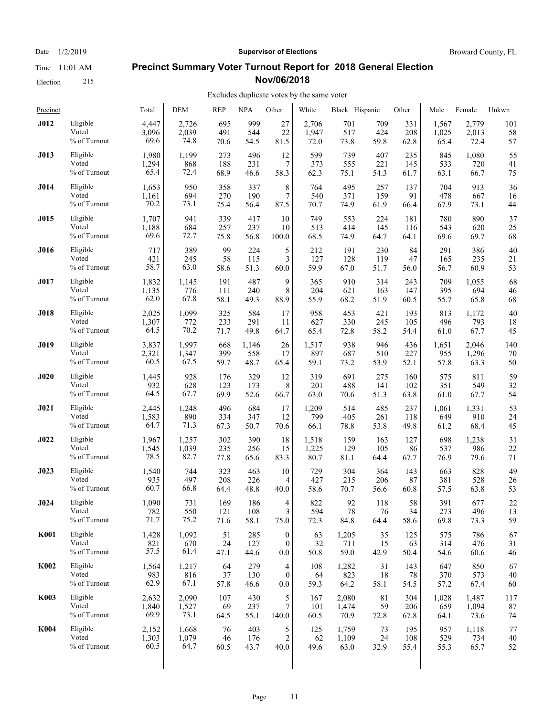Election 215

Date  $1/2/2019$  **Supervisor of Elections** Broward County, FL

#### **Precinct Summary Voter Turnout Report for 2018 General Election Nov/06/2018**

#### Excludes duplicate votes by the same voter  $\overline{1}$

| Precinct    |                 | Total | DEM   | REP  | <b>NPA</b> | Other                    | White | Black Hispanic |      | Other | Male  | Female | Unkwn |
|-------------|-----------------|-------|-------|------|------------|--------------------------|-------|----------------|------|-------|-------|--------|-------|
| <b>J012</b> | Eligible        | 4,447 | 2,726 | 695  | 999        | 27                       | 2,706 | 701            | 709  | 331   | 1,567 | 2.779  | 101   |
|             | Voted           | 3,096 | 2,039 | 491  | 544        | 22                       | 1,947 | 517            | 424  | 208   | 1,025 | 2,013  | 58    |
|             | $\%$ of Turnout | 69.6  | 74.8  | 70.6 | 54.5       | 81.5                     | 72.0  | 73.8           | 59.8 | 62.8  | 65.4  | 72.4   | 57    |
| J013        | Eligible        | 1,980 | 1,199 | 273  | 496        | 12                       | 599   | 739            | 407  | 235   | 845   | 1,080  | 55    |
|             | Voted           | 1,294 | 868   | 188  | 231        | 7                        | 373   | 555            | 221  | 145   | 533   | 720    | 41    |
|             | % of Turnout    | 65.4  | 72.4  | 68.9 | 46.6       | 58.3                     | 62.3  | 75.1           | 54.3 | 61.7  | 63.1  | 66.7   | 75    |
| J014        | Eligible        | 1,653 | 950   | 358  | 337        | 8                        | 764   | 495            | 257  | 137   | 704   | 913    | 36    |
|             | Voted           | 1,161 | 694   | 270  | 190        | $\boldsymbol{7}$         | 540   | 371            | 159  | 91    | 478   | 667    | 16    |
|             | % of Turnout    | 70.2  | 73.1  | 75.4 | 56.4       | 87.5                     | 70.7  | 74.9           | 61.9 | 66.4  | 67.9  | 73.1   | 44    |
| <b>J015</b> | Eligible        | 1,707 | 941   | 339  | 417        | 10                       | 749   | 553            | 224  | 181   | 780   | 890    | 37    |
|             | Voted           | 1,188 | 684   | 257  | 237        | 10                       | 513   | 414            | 145  | 116   | 543   | 620    | 25    |
|             | $\%$ of Turnout | 69.6  | 72.7  | 75.8 | 56.8       | 100.0                    | 68.5  | 74.9           | 64.7 | 64.1  | 69.6  | 69.7   | 68    |
| <b>J016</b> | Eligible        | 717   | 389   | 99   | 224        | 5                        | 212   | 191            | 230  | 84    | 291   | 386    | 40    |
|             | Voted           | 421   | 245   | 58   | 115        | 3                        | 127   | 128            | 119  | 47    | 165   | 235    | 21    |
|             | % of Turnout    | 58.7  | 63.0  | 58.6 | 51.3       | 60.0                     | 59.9  | 67.0           | 51.7 | 56.0  | 56.7  | 60.9   | 53    |
| J017        | Eligible        | 1,832 | 1,145 | 191  | 487        | 9                        | 365   | 910            | 314  | 243   | 709   | 1.055  | 68    |
|             | Voted           | 1,135 | 776   | 111  | 240        | 8                        | 204   | 621            | 163  | 147   | 395   | 694    | 46    |
|             | % of Turnout    | 62.0  | 67.8  | 58.1 | 49.3       | 88.9                     | 55.9  | 68.2           | 51.9 | 60.5  | 55.7  | 65.8   | 68    |
| <b>J018</b> | Eligible        | 2,025 | 1,099 | 325  | 584        | 17                       | 958   | 453            | 421  | 193   | 813   | 1,172  | 40    |
|             | Voted           | 1,307 | 772   | 233  | 291        | 11                       | 627   | 330            | 245  | 105   | 496   | 793    | 18    |
|             | % of Turnout    | 64.5  | 70.2  | 71.7 | 49.8       | 64.7                     | 65.4  | 72.8           | 58.2 | 54.4  | 61.0  | 67.7   | 45    |
| <b>J019</b> | Eligible        | 3,837 | 1,997 | 668  | 1,146      | 26                       | 1,517 | 938            | 946  | 436   | 1,651 | 2,046  | 140   |
|             | Voted           | 2,321 | 1,347 | 399  | 558        | 17                       | 897   | 687            | 510  | 227   | 955   | 1,296  | 70    |
|             | % of Turnout    | 60.5  | 67.5  | 59.7 | 48.7       | 65.4                     | 59.1  | 73.2           | 53.9 | 52.1  | 57.8  | 63.3   | 50    |
| J020        | Eligible        | 1,445 | 928   | 176  | 329        | 12                       | 319   | 691            | 275  | 160   | 575   | 811    | 59    |
|             | Voted           | 932   | 628   | 123  | 173        | 8                        | 201   | 488            | 141  | 102   | 351   | 549    | 32    |
|             | $\%$ of Turnout | 64.5  | 67.7  | 69.9 | 52.6       | 66.7                     | 63.0  | 70.6           | 51.3 | 63.8  | 61.0  | 67.7   | 54    |
| J021        | Eligible        | 2,445 | 1,248 | 496  | 684        | 17                       | 1,209 | 514            | 485  | 237   | 1,061 | 1,331  | 53    |
|             | Voted           | 1,583 | 890   | 334  | 347        | 12                       | 799   | 405            | 261  | 118   | 649   | 910    | 24    |
|             | % of Turnout    | 64.7  | 71.3  | 67.3 | 50.7       | 70.6                     | 66.1  | 78.8           | 53.8 | 49.8  | 61.2  | 68.4   | 45    |
| J022        | Eligible        | 1,967 | 1,257 | 302  | 390        | 18                       | 1,518 | 159            | 163  | 127   | 698   | 1,238  | 31    |
|             | Voted           | 1,545 | 1,039 | 235  | 256        | 15                       | 1,225 | 129            | 105  | 86    | 537   | 986    | 22    |
|             | % of Turnout    | 78.5  | 82.7  | 77.8 | 65.6       | 83.3                     | 80.7  | 81.1           | 64.4 | 67.7  | 76.9  | 79.6   | 71    |
| J023        | Eligible        | 1,540 | 744   | 323  | 463        | 10                       | 729   | 304            | 364  | 143   | 663   | 828    | 49    |
|             | Voted           | 935   | 497   | 208  | 226        | 4                        | 427   | 215            | 206  | 87    | 381   | 528    | 26    |
|             | % of Turnout    | 60.7  | 66.8  | 64.4 | 48.8       | 40.0                     | 58.6  | 70.7           | 56.6 | 60.8  | 57.5  | 63.8   | 53    |
| J024        | Eligible        | 1,090 | 731   | 169  | 186        | $\overline{\mathcal{A}}$ | 822   | 92             | 118  | 58    | 391   | 677    | 22    |
|             | Voted           | 782   | 550   | 121  | 108        | 3                        | 594   | 78             | 76   | 34    | 273   | 496    | 13    |
|             | % of Turnout    | 71.7  | 75.2  | 71.6 | 58.1       | 75.0                     | 72.3  | 84.8           | 64.4 | 58.6  | 69.8  | 73.3   | 59    |
| <b>K001</b> | Eligible        | 1,428 | 1,092 | 51   | 285        | $\boldsymbol{0}$         | 63    | 1,205          | 35   | 125   | 575   | 786    | 67    |
|             | Voted           | 821   | 670   | 24   | 127        | $\boldsymbol{0}$         | 32    | 711            | 15   | 63    | 314   | 476    | 31    |
|             | % of Turnout    | 57.5  | 61.4  | 47.1 | 44.6       | 0.0                      | 50.8  | 59.0           | 42.9 | 50.4  | 54.6  | 60.6   | 46    |
| <b>K002</b> | Eligible        | 1,564 | 1,217 | 64   | 279        | 4                        | 108   | 1,282          | 31   | 143   | 647   | 850    | 67    |
|             | Voted           | 983   | 816   | 37   | 130        | $\boldsymbol{0}$         | 64    | 823            | 18   | 78    | 370   | 573    | 40    |
|             | % of Turnout    | 62.9  | 67.1  | 57.8 | 46.6       | 0.0                      | 59.3  | 64.2           | 58.1 | 54.5  | 57.2  | 67.4   | 60    |
| <b>K003</b> | Eligible        | 2,632 | 2,090 | 107  | 430        | 5                        | 167   | 2,080          | 81   | 304   | 1,028 | 1,487  | 117   |
|             | Voted           | 1,840 | 1,527 | 69   | 237        | 7                        | 101   | 1,474          | 59   | 206   | 659   | 1,094  | 87    |
|             | % of Turnout    | 69.9  | 73.1  | 64.5 | 55.1       | 140.0                    | 60.5  | 70.9           | 72.8 | 67.8  | 64.1  | 73.6   | 74    |
| <b>K004</b> | Eligible        | 2,152 | 1,668 | 76   | 403        | 5                        | 125   | 1,759          | 73   | 195   | 957   | 1,118  | 77    |
|             | Voted           | 1,303 | 1,079 | 46   | 176        | 2                        | 62    | 1,109          | 24   | 108   | 529   | 734    | 40    |
|             | % of Turnout    | 60.5  | 64.7  | 60.5 | 43.7       | 40.0                     | 49.6  | 63.0           | 32.9 | 55.4  | 55.3  | 65.7   | 52    |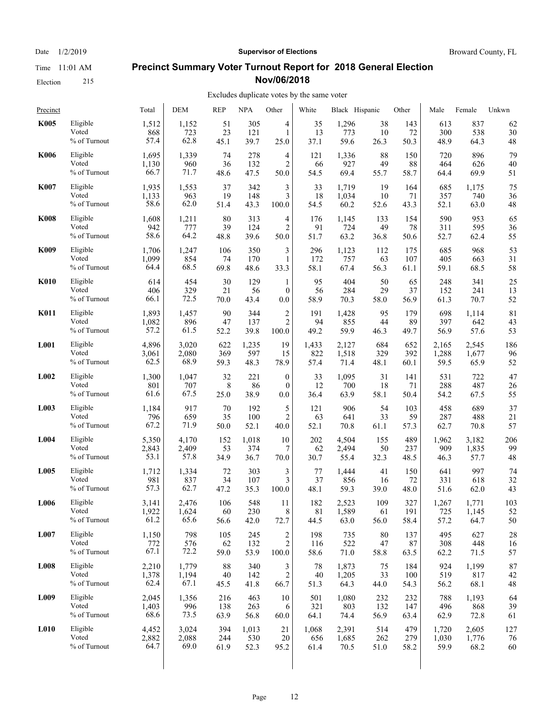Time 11:01 AM Election 215

Date  $1/2/2019$  **Supervisor of Elections** Broward County, FL

#### **Precinct Summary Voter Turnout Report for 2018 General Election Nov/06/2018**

#### Excludes duplicate votes by the same voter

| Precinct    |              | Total | <b>DEM</b> | <b>REP</b> | <b>NPA</b> | Other            | White | Black Hispanic |      | Other | Male  | Female | Unkwn |
|-------------|--------------|-------|------------|------------|------------|------------------|-------|----------------|------|-------|-------|--------|-------|
| <b>K005</b> | Eligible     | 1,512 | 1,152      | 51         | 305        | 4                | 35    | 1,296          | 38   | 143   | 613   | 837    | 62    |
|             | Voted        | 868   | 723        | 23         | 121        | $\mathbf{1}$     | 13    | 773            | 10   | 72    | 300   | 538    | 30    |
|             | % of Turnout | 57.4  | 62.8       | 45.1       | 39.7       | 25.0             | 37.1  | 59.6           | 26.3 | 50.3  | 48.9  | 64.3   | 48    |
| <b>K006</b> | Eligible     | 1,695 | 1,339      | 74         | 278        | 4                | 121   | 1,336          | 88   | 150   | 720   | 896    | 79    |
|             | Voted        | 1,130 | 960        | 36         | 132        | 2                | 66    | 927            | 49   | 88    | 464   | 626    | 40    |
|             | % of Turnout | 66.7  | 71.7       | 48.6       | 47.5       | 50.0             | 54.5  | 69.4           | 55.7 | 58.7  | 64.4  | 69.9   | 51    |
| <b>K007</b> | Eligible     | 1,935 | 1,553      | 37         | 342        | 3                | 33    | 1,719          | 19   | 164   | 685   | 1,175  | 75    |
|             | Voted        | 1,133 | 963        | 19         | 148        | 3                | 18    | 1,034          | 10   | 71    | 357   | 740    | 36    |
|             | % of Turnout | 58.6  | 62.0       | 51.4       | 43.3       | 100.0            | 54.5  | 60.2           | 52.6 | 43.3  | 52.1  | 63.0   | 48    |
| <b>K008</b> | Eligible     | 1,608 | 1,211      | 80         | 313        | 4                | 176   | 1,145          | 133  | 154   | 590   | 953    | 65    |
|             | Voted        | 942   | 777        | 39         | 124        | $\overline{2}$   | 91    | 724            | 49   | 78    | 311   | 595    | 36    |
|             | % of Turnout | 58.6  | 64.2       | 48.8       | 39.6       | 50.0             | 51.7  | 63.2           | 36.8 | 50.6  | 52.7  | 62.4   | 55    |
| <b>K009</b> | Eligible     | 1,706 | 1,247      | 106        | 350        | 3                | 296   | 1,123          | 112  | 175   | 685   | 968    | 53    |
|             | Voted        | 1,099 | 854        | 74         | 170        | $\mathbf{1}$     | 172   | 757            | 63   | 107   | 405   | 663    | 31    |
|             | % of Turnout | 64.4  | 68.5       | 69.8       | 48.6       | 33.3             | 58.1  | 67.4           | 56.3 | 61.1  | 59.1  | 68.5   | 58    |
| <b>K010</b> | Eligible     | 614   | 454        | 30         | 129        | $\mathbf{1}$     | 95    | 404            | 50   | 65    | 248   | 341    | 25    |
|             | Voted        | 406   | 329        | 21         | 56         | $\mathbf{0}$     | 56    | 284            | 29   | 37    | 152   | 241    | 13    |
|             | % of Turnout | 66.1  | 72.5       | 70.0       | 43.4       | 0.0              | 58.9  | 70.3           | 58.0 | 56.9  | 61.3  | 70.7   | 52    |
| <b>K011</b> | Eligible     | 1,893 | 1,457      | 90         | 344        | 2                | 191   | 1,428          | 95   | 179   | 698   | 1,114  | 81    |
|             | Voted        | 1,082 | 896        | 47         | 137        | 2                | 94    | 855            | 44   | 89    | 397   | 642    | 43    |
|             | % of Turnout | 57.2  | 61.5       | 52.2       | 39.8       | 100.0            | 49.2  | 59.9           | 46.3 | 49.7  | 56.9  | 57.6   | 53    |
| L001        | Eligible     | 4,896 | 3,020      | 622        | 1,235      | 19               | 1,433 | 2,127          | 684  | 652   | 2,165 | 2,545  | 186   |
|             | Voted        | 3,061 | 2,080      | 369        | 597        | 15               | 822   | 1,518          | 329  | 392   | 1,288 | 1,677  | 96    |
|             | % of Turnout | 62.5  | 68.9       | 59.3       | 48.3       | 78.9             | 57.4  | 71.4           | 48.1 | 60.1  | 59.5  | 65.9   | 52    |
| L002        | Eligible     | 1,300 | 1,047      | 32         | 221        | $\boldsymbol{0}$ | 33    | 1,095          | 31   | 141   | 531   | 722    | 47    |
|             | Voted        | 801   | 707        | 8          | 86         | $\mathbf{0}$     | 12    | 700            | 18   | 71    | 288   | 487    | 26    |
|             | % of Turnout | 61.6  | 67.5       | 25.0       | 38.9       | 0.0              | 36.4  | 63.9           | 58.1 | 50.4  | 54.2  | 67.5   | 55    |
| L003        | Eligible     | 1,184 | 917        | 70         | 192        | 5                | 121   | 906            | 54   | 103   | 458   | 689    | 37    |
|             | Voted        | 796   | 659        | 35         | 100        | 2                | 63    | 641            | 33   | 59    | 287   | 488    | 21    |
|             | % of Turnout | 67.2  | 71.9       | 50.0       | 52.1       | 40.0             | 52.1  | 70.8           | 61.1 | 57.3  | 62.7  | 70.8   | 57    |
| L004        | Eligible     | 5,350 | 4,170      | 152        | 1,018      | 10               | 202   | 4,504          | 155  | 489   | 1,962 | 3,182  | 206   |
|             | Voted        | 2,843 | 2,409      | 53         | 374        | 7                | 62    | 2,494          | 50   | 237   | 909   | 1,835  | 99    |
|             | % of Turnout | 53.1  | 57.8       | 34.9       | 36.7       | 70.0             | 30.7  | 55.4           | 32.3 | 48.5  | 46.3  | 57.7   | 48    |
| L005        | Eligible     | 1,712 | 1,334      | 72         | 303        | 3                | 77    | 1,444          | 41   | 150   | 641   | 997    | 74    |
|             | Voted        | 981   | 837        | 34         | 107        | 3                | 37    | 856            | 16   | 72    | 331   | 618    | 32    |
|             | % of Turnout | 57.3  | 62.7       | 47.2       | 35.3       | 100.0            | 48.1  | 59.3           | 39.0 | 48.0  | 51.6  | 62.0   | 43    |
| L006        | Eligible     | 3,141 | 2,476      | 106        | 548        | 11               | 182   | 2.523          | 109  | 327   | 1,267 | 1,771  | 103   |
|             | Voted        | 1,922 | 1,624      | 60         | 230        | $\,$ 8 $\,$      | 81    | 1,589          | 61   | 191   | 725   | 1,145  | 52    |
|             | % of Turnout | 61.2  | 65.6       | 56.6       | 42.0       | 72.7             | 44.5  | 63.0           | 56.0 | 58.4  | 57.2  | 64.7   | 50    |
| L007        | Eligible     | 1,150 | 798        | 105        | 245        | 2                | 198   | 735            | 80   | 137   | 495   | 627    | 28    |
|             | Voted        | 772   | 576        | 62         | 132        | $\sqrt{2}$       | 116   | 522            | 47   | 87    | 308   | 448    | 16    |
|             | % of Turnout | 67.1  | 72.2       | 59.0       | 53.9       | 100.0            | 58.6  | 71.0           | 58.8 | 63.5  | 62.2  | 71.5   | 57    |
| L008        | Eligible     | 2,210 | 1,779      | 88         | 340        | 3                | 78    | 1,873          | 75   | 184   | 924   | 1,199  | 87    |
|             | Voted        | 1,378 | 1,194      | 40         | 142        | $\overline{c}$   | 40    | 1,205          | 33   | 100   | 519   | 817    | 42    |
|             | % of Turnout | 62.4  | 67.1       | 45.5       | 41.8       | 66.7             | 51.3  | 64.3           | 44.0 | 54.3  | 56.2  | 68.1   | 48    |
| L009        | Eligible     | 2,045 | 1,356      | 216        | 463        | 10               | 501   | 1,080          | 232  | 232   | 788   | 1,193  | 64    |
|             | Voted        | 1,403 | 996        | 138        | 263        | 6                | 321   | 803            | 132  | 147   | 496   | 868    | 39    |
|             | % of Turnout | 68.6  | 73.5       | 63.9       | 56.8       | 60.0             | 64.1  | 74.4           | 56.9 | 63.4  | 62.9  | 72.8   | 61    |
| L010        | Eligible     | 4,452 | 3,024      | 394        | 1,013      | 21               | 1,068 | 2,391          | 514  | 479   | 1,720 | 2,605  | 127   |
|             | Voted        | 2,882 | 2,088      | 244        | 530        | 20               | 656   | 1,685          | 262  | 279   | 1,030 | 1,776  | 76    |
|             | % of Turnout | 64.7  | 69.0       | 61.9       | 52.3       | 95.2             | 61.4  | 70.5           | 51.0 | 58.2  | 59.9  | 68.2   | 60    |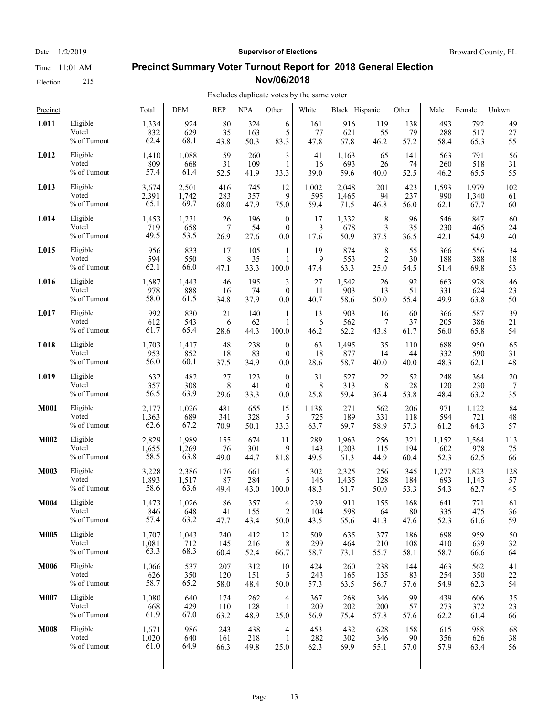Date  $1/2/2019$  **Supervisor of Elections** Broward County, FL

#### **Precinct Summary Voter Turnout Report for 2018 General Election Nov/06/2018**

#### Excludes duplicate votes by the same voter  $\overline{1}$

| Precinct    |                 | Total | DEM   | <b>REP</b> | <b>NPA</b> | Other            | White | Black Hispanic |                | Other  | Male  | Female | Unkwn |
|-------------|-----------------|-------|-------|------------|------------|------------------|-------|----------------|----------------|--------|-------|--------|-------|
| L011        | Eligible        | 1,334 | 924   | 80         | 324        | 6                | 161   | 916            | 119            | 138    | 493   | 792    | 49    |
|             | Voted           | 832   | 629   | 35         | 163        | 5                | 77    | 621            | 55             | 79     | 288   | 517    | 27    |
|             | % of Turnout    | 62.4  | 68.1  | 43.8       | 50.3       | 83.3             | 47.8  | 67.8           | 46.2           | 57.2   | 58.4  | 65.3   | 55    |
| L012        | Eligible        | 1,410 | 1,088 | 59         | 260        | 3                | 41    | 1,163          | 65             | 141    | 563   | 791    | 56    |
|             | Voted           | 809   | 668   | 31         | 109        | $\mathbf{1}$     | 16    | 693            | 26             | 74     | 260   | 518    | 31    |
|             | % of Turnout    | 57.4  | 61.4  | 52.5       | 41.9       | 33.3             | 39.0  | 59.6           | 40.0           | 52.5   | 46.2  | 65.5   | 55    |
| L013        | Eligible        | 3,674 | 2,501 | 416        | 745        | 12               | 1,002 | 2,048          | 201            | 423    | 1,593 | 1,979  | 102   |
|             | Voted           | 2,391 | 1,742 | 283        | 357        | 9                | 595   | 1,465          | 94             | 237    | 990   | 1,340  | 61    |
|             | % of Turnout    | 65.1  | 69.7  | 68.0       | 47.9       | 75.0             | 59.4  | 71.5           | 46.8           | 56.0   | 62.1  | 67.7   | 60    |
| L014        | Eligible        | 1,453 | 1,231 | 26         | 196        | $\boldsymbol{0}$ | 17    | 1,332          | 8              | 96     | 546   | 847    | 60    |
|             | Voted           | 719   | 658   | 7          | 54         | $\mathbf{0}$     | 3     | 678            | 3              | 35     | 230   | 465    | 24    |
|             | % of Turnout    | 49.5  | 53.5  | 26.9       | 27.6       | 0.0              | 17.6  | 50.9           | 37.5           | 36.5   | 42.1  | 54.9   | 40    |
| L015        | Eligible        | 956   | 833   | 17         | 105        | 1                | 19    | 874            | 8              | 55     | 366   | 556    | 34    |
|             | Voted           | 594   | 550   | 8          | 35         | 1                | 9     | 553            | $\overline{c}$ | 30     | 188   | 388    | 18    |
|             | % of Turnout    | 62.1  | 66.0  | 47.1       | 33.3       | 100.0            | 47.4  | 63.3           | 25.0           | 54.5   | 51.4  | 69.8   | 53    |
| L016        | Eligible        | 1,687 | 1,443 | 46         | 195        | 3                | 27    | 1,542          | 26             | 92     | 663   | 978    | 46    |
|             | Voted           | 978   | 888   | 16         | 74         | $\mathbf{0}$     | 11    | 903            | 13             | 51     | 331   | 624    | 23    |
|             | % of Turnout    | 58.0  | 61.5  | 34.8       | 37.9       | 0.0              | 40.7  | 58.6           | 50.0           | 55.4   | 49.9  | 63.8   | 50    |
| L017        | Eligible        | 992   | 830   | 21         | 140        | 1                | 13    | 903            | 16             | 60     | 366   | 587    | 39    |
|             | Voted           | 612   | 543   | 6          | 62         | $\mathbf{1}$     | 6     | 562            | 7              | 37     | 205   | 386    | 21    |
|             | % of Turnout    | 61.7  | 65.4  | 28.6       | 44.3       | 100.0            | 46.2  | 62.2           | 43.8           | 61.7   | 56.0  | 65.8   | 54    |
| L018        | Eligible        | 1,703 | 1,417 | 48         | 238        | $\boldsymbol{0}$ | 63    | 1,495          | 35             | 110    | 688   | 950    | 65    |
|             | Voted           | 953   | 852   | 18         | 83         | $\mathbf{0}$     | 18    | 877            | 14             | 44     | 332   | 590    | 31    |
|             | % of Turnout    | 56.0  | 60.1  | 37.5       | 34.9       | 0.0              | 28.6  | 58.7           | 40.0           | 40.0   | 48.3  | 62.1   | 48    |
| L019        | Eligible        | 632   | 482   | 27         | 123        | $\mathbf{0}$     | 31    | 527            | 22             | 52     | 248   | 364    | 20    |
|             | Voted           | 357   | 308   | 8          | 41         | $\mathbf{0}$     | 8     | 313            | 8              | 28     | 120   | 230    | 7     |
|             | % of Turnout    | 56.5  | 63.9  | 29.6       | 33.3       | 0.0              | 25.8  | 59.4           | 36.4           | 53.8   | 48.4  | 63.2   | 35    |
| <b>M001</b> | Eligible        | 2,177 | 1,026 | 481        | 655        | 15               | 1,138 | 271            | 562            | 206    | 971   | 1,122  | 84    |
|             | Voted           | 1,363 | 689   | 341        | 328        | 5                | 725   | 189            | 331            | 118    | 594   | 721    | 48    |
|             | % of Turnout    | 62.6  | 67.2  | 70.9       | 50.1       | 33.3             | 63.7  | 69.7           | 58.9           | 57.3   | 61.2  | 64.3   | 57    |
| M002        | Eligible        | 2,829 | 1,989 | 155        | 674        | 11               | 289   | 1,963          | 256            | 321    | 1,152 | 1,564  | 113   |
|             | Voted           | 1,655 | 1,269 | 76         | 301        | 9                | 143   | 1,203          | 115            | 194    | 602   | 978    | 75    |
|             | % of Turnout    | 58.5  | 63.8  | 49.0       | 44.7       | 81.8             | 49.5  | 61.3           | 44.9           | 60.4   | 52.3  | 62.5   | 66    |
| <b>M003</b> | Eligible        | 3,228 | 2,386 | 176        | 661        | 5                | 302   | 2,325          | 256            | 345    | 1,277 | 1,823  | 128   |
|             | Voted           | 1,893 | 1,517 | 87         | 284        | 5                | 146   | 1,435          | 128            | 184    | 693   | 1,143  | 57    |
|             | % of Turnout    | 58.6  | 63.6  | 49.4       | 43.0       | 100.0            | 48.3  | 61.7           | 50.0           | 53.3   | 54.3  | 62.7   | 45    |
| <b>M004</b> | Eligible        | 1,473 | 1,026 | 86         | 357        | 4                | 239   | 911            | 155            | 168    | 641   | 771    | 61    |
|             | Voted           | 846   | 648   | 41         | 155        | $\overline{2}$   | 104   | 598            | 64             | $80\,$ | 335   | 475    | 36    |
|             | $\%$ of Turnout | 57.4  | 63.2  | 47.7       | 43.4       | 50.0             | 43.5  | 65.6           | 41.3           | 47.6   | 52.3  | 61.6   | 59    |
| <b>M005</b> | Eligible        | 1,707 | 1,043 | 240        | 412        | 12               | 509   | 635            | 377            | 186    | 698   | 959    | 50    |
|             | Voted           | 1,081 | 712   | 145        | 216        | 8                | 299   | 464            | 210            | 108    | 410   | 639    | 32    |
|             | % of Turnout    | 63.3  | 68.3  | 60.4       | 52.4       | 66.7             | 58.7  | 73.1           | 55.7           | 58.1   | 58.7  | 66.6   | 64    |
| <b>M006</b> | Eligible        | 1,066 | 537   | 207        | 312        | 10               | 424   | 260            | 238            | 144    | 463   | 562    | 41    |
|             | Voted           | 626   | 350   | 120        | 151        | 5                | 243   | 165            | 135            | 83     | 254   | 350    | 22    |
|             | % of Turnout    | 58.7  | 65.2  | 58.0       | 48.4       | 50.0             | 57.3  | 63.5           | 56.7           | 57.6   | 54.9  | 62.3   | 54    |
| M007        | Eligible        | 1,080 | 640   | 174        | 262        | 4                | 367   | 268            | 346            | 99     | 439   | 606    | 35    |
|             | Voted           | 668   | 429   | 110        | 128        | 1                | 209   | 202            | 200            | 57     | 273   | 372    | 23    |
|             | % of Turnout    | 61.9  | 67.0  | 63.2       | 48.9       | 25.0             | 56.9  | 75.4           | 57.8           | 57.6   | 62.2  | 61.4   | 66    |
| <b>M008</b> | Eligible        | 1,671 | 986   | 243        | 438        | 4                | 453   | 432            | 628            | 158    | 615   | 988    | 68    |
|             | Voted           | 1,020 | 640   | 161        | 218        | $\mathbf{1}$     | 282   | 302            | 346            | 90     | 356   | 626    | 38    |
|             | % of Turnout    | 61.0  | 64.9  | 66.3       | 49.8       | 25.0             | 62.3  | 69.9           | 55.1           | 57.0   | 57.9  | 63.4   | 56    |
|             |                 |       |       |            |            |                  |       |                |                |        |       |        |       |

Election 215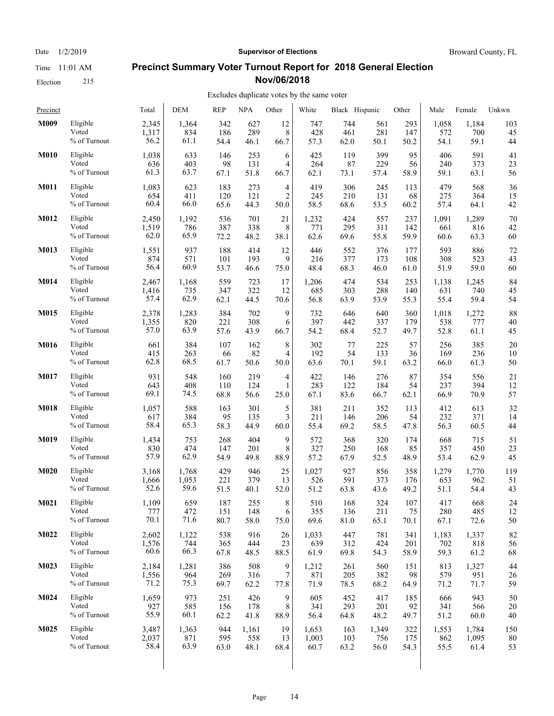Election 215

#### Date  $1/2/2019$  **Supervisor of Elections** Broward County, FL

#### **Precinct Summary Voter Turnout Report for 2018 General Election Nov/06/2018**

| Precinct    |                 | Total | <b>DEM</b> | <b>REP</b> | <b>NPA</b> | Other          | White | Black Hispanic |       | Other | Male  | Female | Unkwn |
|-------------|-----------------|-------|------------|------------|------------|----------------|-------|----------------|-------|-------|-------|--------|-------|
| M009        | Eligible        | 2,345 | 1,364      | 342        | 627        | 12             | 747   | 744            | 561   | 293   | 1,058 | 1,184  | 103   |
|             | Voted           | 1,317 | 834        | 186        | 289        | 8              | 428   | 461            | 281   | 147   | 572   | 700    | 45    |
|             | % of Turnout    | 56.2  | 61.1       | 54.4       | 46.1       | 66.7           | 57.3  | 62.0           | 50.1  | 50.2  | 54.1  | 59.1   | 44    |
| <b>M010</b> | Eligible        | 1,038 | 633        | 146        | 253        | 6              | 425   | 119            | 399   | 95    | 406   | 591    | 41    |
|             | Voted           | 636   | 403        | 98         | 131        | $\overline{4}$ | 264   | 87             | 229   | 56    | 240   | 373    | 23    |
|             | % of Turnout    | 61.3  | 63.7       | 67.1       | 51.8       | 66.7           | 62.1  | 73.1           | 57.4  | 58.9  | 59.1  | 63.1   | 56    |
| <b>M011</b> | Eligible        | 1,083 | 623        | 183        | 273        | 4              | 419   | 306            | 245   | 113   | 479   | 568    | 36    |
|             | Voted           | 654   | 411        | 120        | 121        | $\overline{2}$ | 245   | 210            | 131   | 68    | 275   | 364    | 15    |
|             | % of Turnout    | 60.4  | 66.0       | 65.6       | 44.3       | 50.0           | 58.5  | 68.6           | 53.5  | 60.2  | 57.4  | 64.1   | 42    |
| M012        | Eligible        | 2,450 | 1,192      | 536        | 701        | 21             | 1,232 | 424            | 557   | 237   | 1,091 | 1,289  | 70    |
|             | Voted           | 1,519 | 786        | 387        | 338        | 8              | 771   | 295            | 311   | 142   | 661   | 816    | 42    |
|             | % of Turnout    | 62.0  | 65.9       | 72.2       | 48.2       | 38.1           | 62.6  | 69.6           | 55.8  | 59.9  | 60.6  | 63.3   | 60    |
| <b>M013</b> | Eligible        | 1,551 | 937        | 188        | 414        | 12             | 446   | 552            | 376   | 177   | 593   | 886    | 72    |
|             | Voted           | 874   | 571        | 101        | 193        | 9              | 216   | 377            | 173   | 108   | 308   | 523    | 43    |
|             | % of Turnout    | 56.4  | 60.9       | 53.7       | 46.6       | 75.0           | 48.4  | 68.3           | 46.0  | 61.0  | 51.9  | 59.0   | 60    |
| M014        | Eligible        | 2,467 | 1,168      | 559        | 723        | 17             | 1,206 | 474            | 534   | 253   | 1,138 | 1,245  | 84    |
|             | Voted           | 1,416 | 735        | 347        | 322        | 12             | 685   | 303            | 288   | 140   | 631   | 740    | 45    |
|             | % of Turnout    | 57.4  | 62.9       | 62.1       | 44.5       | 70.6           | 56.8  | 63.9           | 53.9  | 55.3  | 55.4  | 59.4   | 54    |
| M015        | Eligible        | 2,378 | 1,283      | 384        | 702        | 9              | 732   | 646            | 640   | 360   | 1,018 | 1,272  | 88    |
|             | Voted           | 1,355 | 820        | 221        | 308        | 6              | 397   | 442            | 337   | 179   | 538   | 777    | 40    |
|             | % of Turnout    | 57.0  | 63.9       | 57.6       | 43.9       | 66.7           | 54.2  | 68.4           | 52.7  | 49.7  | 52.8  | 61.1   | 45    |
| M016        | Eligible        | 661   | 384        | 107        | 162        | $\,$ 8 $\,$    | 302   | 77             | 225   | 57    | 256   | 385    | 20    |
|             | Voted           | 415   | 263        | 66         | 82         | 4              | 192   | 54             | 133   | 36    | 169   | 236    | 10    |
|             | % of Turnout    | 62.8  | 68.5       | 61.7       | 50.6       | 50.0           | 63.6  | 70.1           | 59.1  | 63.2  | 66.0  | 61.3   | 50    |
| M017        | Eligible        | 931   | 548        | 160        | 219        | 4              | 422   | 146            | 276   | 87    | 354   | 556    | 21    |
|             | Voted           | 643   | 408        | 110        | 124        | $\mathbf{1}$   | 283   | 122            | 184   | 54    | 237   | 394    | 12    |
|             | % of Turnout    | 69.1  | 74.5       | 68.8       | 56.6       | 25.0           | 67.1  | 83.6           | 66.7  | 62.1  | 66.9  | 70.9   | 57    |
| <b>M018</b> | Eligible        | 1,057 | 588        | 163        | 301        | 5              | 381   | 211            | 352   | 113   | 412   | 613    | 32    |
|             | Voted           | 617   | 384        | 95         | 135        | 3              | 211   | 146            | 206   | 54    | 232   | 371    | 14    |
|             | $\%$ of Turnout | 58.4  | 65.3       | 58.3       | 44.9       | 60.0           | 55.4  | 69.2           | 58.5  | 47.8  | 56.3  | 60.5   | 44    |
| M019        | Eligible        | 1,434 | 753        | 268        | 404        | 9              | 572   | 368            | 320   | 174   | 668   | 715    | 51    |
|             | Voted           | 830   | 474        | 147        | 201        | 8              | 327   | 250            | 168   | 85    | 357   | 450    | 23    |
|             | % of Turnout    | 57.9  | 62.9       | 54.9       | 49.8       | 88.9           | 57.2  | 67.9           | 52.5  | 48.9  | 53.4  | 62.9   | 45    |
| M020        | Eligible        | 3,168 | 1,768      | 429        | 946        | 25             | 1,027 | 927            | 856   | 358   | 1,279 | 1,770  | 119   |
|             | Voted           | 1,666 | 1,053      | 221        | 379        | 13             | 526   | 591            | 373   | 176   | 653   | 962    | 51    |
|             | % of Turnout    | 52.6  | 59.6       | 51.5       | 40.1       | 52.0           | 51.2  | 63.8           | 43.6  | 49.2  | 51.1  | 54.4   | 43    |
| M021        | Eligible        | 1,109 | 659        | 187        | 255        | 8              | 510   | 168            | 324   | 107   | 417   | 668    | 24    |
|             | Voted           | 777   | 472        | 151        | 148        | 6              | 355   | 136            | 211   | 75    | 280   | 485    | 12    |
|             | % of Turnout    | 70.1  | 71.6       | 80.7       | 58.0       | 75.0           | 69.6  | 81.0           | 65.1  | 70.1  | 67.1  | 72.6   | 50    |
| M022        | Eligible        | 2,602 | 1,122      | 538        | 916        | 26             | 1,033 | 447            | 781   | 341   | 1,183 | 1,337  | 82    |
|             | Voted           | 1,576 | 744        | 365        | 444        | 23             | 639   | 312            | 424   | 201   | 702   | 818    | 56    |
|             | % of Turnout    | 60.6  | 66.3       | 67.8       | 48.5       | 88.5           | 61.9  | 69.8           | 54.3  | 58.9  | 59.3  | 61.2   | 68    |
| M023        | Eligible        | 2,184 | 1,281      | 386        | 508        | 9              | 1,212 | 261            | 560   | 151   | 813   | 1,327  | 44    |
|             | Voted           | 1,556 | 964        | 269        | 316        | 7              | 871   | 205            | 382   | 98    | 579   | 951    | 26    |
|             | % of Turnout    | 71.2  | 75.3       | 69.7       | 62.2       | 77.8           | 71.9  | 78.5           | 68.2  | 64.9  | 71.2  | 71.7   | 59    |
| M024        | Eligible        | 1,659 | 973        | 251        | 426        | 9              | 605   | 452            | 417   | 185   | 666   | 943    | 50    |
|             | Voted           | 927   | 585        | 156        | 178        | 8              | 341   | 293            | 201   | 92    | 341   | 566    | 20    |
|             | % of Turnout    | 55.9  | 60.1       | 62.2       | 41.8       | 88.9           | 56.4  | 64.8           | 48.2  | 49.7  | 51.2  | 60.0   | 40    |
| M025        | Eligible        | 3,487 | 1,363      | 944        | 1,161      | 19             | 1,653 | 163            | 1,349 | 322   | 1,553 | 1,784  | 150   |
|             | Voted           | 2,037 | 871        | 595        | 558        | 13             | 1,003 | 103            | 756   | 175   | 862   | 1,095  | 80    |
|             | % of Turnout    | 58.4  | 63.9       | 63.0       | 48.1       | 68.4           | 60.7  | 63.2           | 56.0  | 54.3  | 55.5  | 61.4   | 53    |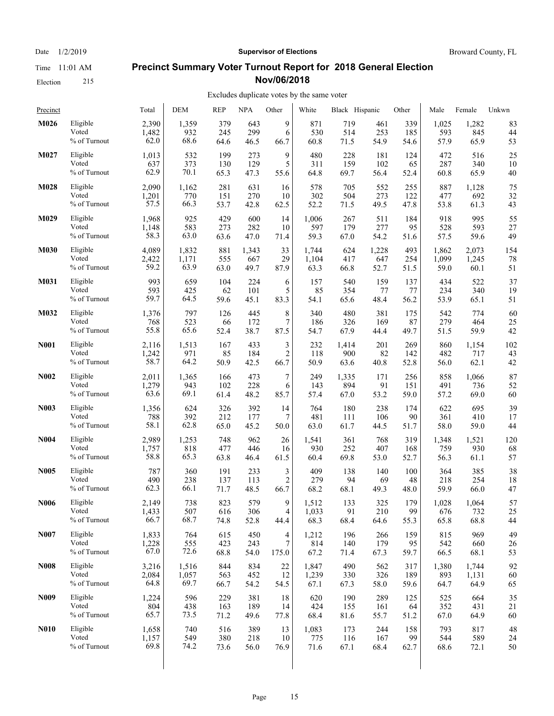Election 215

## **Precinct Summary Voter Turnout Report for 2018 General Election Nov/06/2018**

#### Excludes duplicate votes by the same voter

| Precinct         |              | Total | <b>DEM</b> | <b>REP</b> | <b>NPA</b> | Other            | White | Black Hispanic |       | Other | Male  | Female | Unkwn |
|------------------|--------------|-------|------------|------------|------------|------------------|-------|----------------|-------|-------|-------|--------|-------|
| M026             | Eligible     | 2,390 | 1,359      | 379        | 643        | 9                | 871   | 719            | 461   | 339   | 1,025 | 1,282  | 83    |
|                  | Voted        | 1,482 | 932        | 245        | 299        | 6                | 530   | 514            | 253   | 185   | 593   | 845    | 44    |
|                  | % of Turnout | 62.0  | 68.6       | 64.6       | 46.5       | 66.7             | 60.8  | 71.5           | 54.9  | 54.6  | 57.9  | 65.9   | 53    |
| M027             | Eligible     | 1,013 | 532        | 199        | 273        | 9                | 480   | 228            | 181   | 124   | 472   | 516    | 25    |
|                  | Voted        | 637   | 373        | 130        | 129        | 5                | 311   | 159            | 102   | 65    | 287   | 340    | 10    |
|                  | % of Turnout | 62.9  | 70.1       | 65.3       | 47.3       | 55.6             | 64.8  | 69.7           | 56.4  | 52.4  | 60.8  | 65.9   | 40    |
| M028             | Eligible     | 2,090 | 1,162      | 281        | 631        | 16               | 578   | 705            | 552   | 255   | 887   | 1,128  | 75    |
|                  | Voted        | 1,201 | 770        | 151        | 270        | 10               | 302   | 504            | 273   | 122   | 477   | 692    | 32    |
|                  | % of Turnout | 57.5  | 66.3       | 53.7       | 42.8       | 62.5             | 52.2  | 71.5           | 49.5  | 47.8  | 53.8  | 61.3   | 43    |
| M029             | Eligible     | 1,968 | 925        | 429        | 600        | 14               | 1,006 | 267            | 511   | 184   | 918   | 995    | 55    |
|                  | Voted        | 1,148 | 583        | 273        | 282        | 10               | 597   | 179            | 277   | 95    | 528   | 593    | 27    |
|                  | % of Turnout | 58.3  | 63.0       | 63.6       | 47.0       | 71.4             | 59.3  | 67.0           | 54.2  | 51.6  | 57.5  | 59.6   | 49    |
| <b>M030</b>      | Eligible     | 4,089 | 1,832      | 881        | 1,343      | 33               | 1.744 | 624            | 1,228 | 493   | 1.862 | 2,073  | 154   |
|                  | Voted        | 2,422 | 1,171      | 555        | 667        | 29               | 1,104 | 417            | 647   | 254   | 1,099 | 1,245  | 78    |
|                  | % of Turnout | 59.2  | 63.9       | 63.0       | 49.7       | 87.9             | 63.3  | 66.8           | 52.7  | 51.5  | 59.0  | 60.1   | 51    |
| M031             | Eligible     | 993   | 659        | 104        | 224        | 6                | 157   | 540            | 159   | 137   | 434   | 522    | 37    |
|                  | Voted        | 593   | 425        | 62         | 101        | 5                | 85    | 354            | 77    | 77    | 234   | 340    | 19    |
|                  | % of Turnout | 59.7  | 64.5       | 59.6       | 45.1       | 83.3             | 54.1  | 65.6           | 48.4  | 56.2  | 53.9  | 65.1   | 51    |
| M032             | Eligible     | 1,376 | 797        | 126        | 445        | 8                | 340   | 480            | 381   | 175   | 542   | 774    | 60    |
|                  | Voted        | 768   | 523        | 66         | 172        | 7                | 186   | 326            | 169   | 87    | 279   | 464    | 25    |
|                  | % of Turnout | 55.8  | 65.6       | 52.4       | 38.7       | 87.5             | 54.7  | 67.9           | 44.4  | 49.7  | 51.5  | 59.9   | 42    |
| <b>N001</b>      | Eligible     | 2,116 | 1,513      | 167        | 433        | 3                | 232   | 1,414          | 201   | 269   | 860   | 1,154  | 102   |
|                  | Voted        | 1,242 | 971        | 85         | 184        | $\overline{c}$   | 118   | 900            | 82    | 142   | 482   | 717    | 43    |
|                  | % of Turnout | 58.7  | 64.2       | 50.9       | 42.5       | 66.7             | 50.9  | 63.6           | 40.8  | 52.8  | 56.0  | 62.1   | 42    |
| <b>N002</b>      | Eligible     | 2,011 | 1,365      | 166        | 473        | $\boldsymbol{7}$ | 249   | 1,335          | 171   | 256   | 858   | 1,066  | 87    |
|                  | Voted        | 1,279 | 943        | 102        | 228        | 6                | 143   | 894            | 91    | 151   | 491   | 736    | 52    |
|                  | % of Turnout | 63.6  | 69.1       | 61.4       | 48.2       | 85.7             | 57.4  | 67.0           | 53.2  | 59.0  | 57.2  | 69.0   | 60    |
| <b>N003</b>      | Eligible     | 1,356 | 624        | 326        | 392        | 14               | 764   | 180            | 238   | 174   | 622   | 695    | 39    |
|                  | Voted        | 788   | 392        | 212        | 177        | 7                | 481   | 111            | 106   | 90    | 361   | 410    | 17    |
|                  | % of Turnout | 58.1  | 62.8       | 65.0       | 45.2       | 50.0             | 63.0  | 61.7           | 44.5  | 51.7  | 58.0  | 59.0   | 44    |
| <b>N004</b>      | Eligible     | 2,989 | 1,253      | 748        | 962        | 26               | 1,541 | 361            | 768   | 319   | 1,348 | 1,521  | 120   |
|                  | Voted        | 1,757 | 818        | 477        | 446        | 16               | 930   | 252            | 407   | 168   | 759   | 930    | 68    |
|                  | % of Turnout | 58.8  | 65.3       | 63.8       | 46.4       | 61.5             | 60.4  | 69.8           | 53.0  | 52.7  | 56.3  | 61.1   | 57    |
| <b>N005</b>      | Eligible     | 787   | 360        | 191        | 233        | 3                | 409   | 138            | 140   | 100   | 364   | 385    | 38    |
|                  | Voted        | 490   | 238        | 137        | 113        | 2                | 279   | 94             | 69    | 48    | 218   | 254    | 18    |
|                  | % of Turnout | 62.3  | 66.1       | 71.7       | 48.5       | 66.7             | 68.2  | 68.1           | 49.3  | 48.0  | 59.9  | 66.0   | 47    |
| N006             | Eligible     | 2,149 | 738        | 823        | 579        | 9                | 1,512 | 133            | 325   | 179   | 1,028 | 1,064  | 57    |
|                  | Voted        | 1,433 | 507        | 616        | 306        | 4                | 1,033 | 91             | 210   | 99    | 676   | 732    | 25    |
|                  | % of Turnout | 66.7  | 68.7       | 74.8       | 52.8       | 44.4             | 68.3  | 68.4           | 64.6  | 55.3  | 65.8  | 68.8   | 44    |
| N007             | Eligible     | 1,833 | 764        | 615        | 450        | 4                | 1,212 | 196            | 266   | 159   | 815   | 969    | 49    |
|                  | Voted        | 1,228 | 555        | 423        | 243        | 7                | 814   | 140            | 179   | 95    | 542   | 660    | 26    |
|                  | % of Turnout | 67.0  | 72.6       | 68.8       | 54.0       | 175.0            | 67.2  | 71.4           | 67.3  | 59.7  | 66.5  | 68.1   | 53    |
| <b>N008</b>      | Eligible     | 3,216 | 1,516      | 844        | 834        | 22               | 1,847 | 490            | 562   | 317   | 1,380 | 1,744  | 92    |
|                  | Voted        | 2,084 | 1,057      | 563        | 452        | 12               | 1,239 | 330            | 326   | 189   | 893   | 1,131  | 60    |
|                  | % of Turnout | 64.8  | 69.7       | 66.7       | 54.2       | 54.5             | 67.1  | 67.3           | 58.0  | 59.6  | 64.7  | 64.9   | 65    |
| N <sub>009</sub> | Eligible     | 1,224 | 596        | 229        | 381        | 18               | 620   | 190            | 289   | 125   | 525   | 664    | 35    |
|                  | Voted        | 804   | 438        | 163        | 189        | 14               | 424   | 155            | 161   | 64    | 352   | 431    | 21    |
|                  | % of Turnout | 65.7  | 73.5       | 71.2       | 49.6       | 77.8             | 68.4  | 81.6           | 55.7  | 51.2  | 67.0  | 64.9   | 60    |
| <b>N010</b>      | Eligible     | 1,658 | 740        | 516        | 389        | 13               | 1,083 | 173            | 244   | 158   | 793   | 817    | 48    |
|                  | Voted        | 1,157 | 549        | 380        | 218        | 10               | 775   | 116            | 167   | 99    | 544   | 589    | 24    |
|                  | % of Turnout | 69.8  | 74.2       | 73.6       | 56.0       | 76.9             | 71.6  | 67.1           | 68.4  | 62.7  | 68.6  | 72.1   | 50    |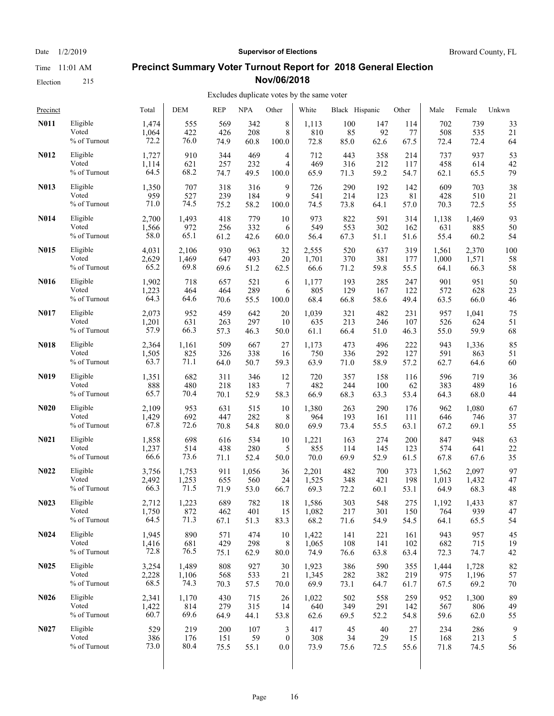#### Election 215

#### Date  $1/2/2019$  **Supervisor of Elections** Broward County, FL

## **Precinct Summary Voter Turnout Report for 2018 General Election Nov/06/2018**

| Precinct          |                 | Total | DEM   | <b>REP</b> | <b>NPA</b> | Other            | White | Black Hispanic |      | Other | Male  | Female | Unkwn |
|-------------------|-----------------|-------|-------|------------|------------|------------------|-------|----------------|------|-------|-------|--------|-------|
| N011              | Eligible        | 1,474 | 555   | 569        | 342        | 8                | 1,113 | 100            | 147  | 114   | 702   | 739    | 33    |
|                   | Voted           | 1,064 | 422   | 426        | 208        | $\,$ 8 $\,$      | 810   | 85             | 92   | 77    | 508   | 535    | 21    |
|                   | % of Turnout    | 72.2  | 76.0  | 74.9       | 60.8       | 100.0            | 72.8  | 85.0           | 62.6 | 67.5  | 72.4  | 72.4   | 64    |
| N012              | Eligible        | 1,727 | 910   | 344        | 469        | 4                | 712   | 443            | 358  | 214   | 737   | 937    | 53    |
|                   | Voted           | 1,114 | 621   | 257        | 232        | 4                | 469   | 316            | 212  | 117   | 458   | 614    | 42    |
|                   | % of Turnout    | 64.5  | 68.2  | 74.7       | 49.5       | 100.0            | 65.9  | 71.3           | 59.2 | 54.7  | 62.1  | 65.5   | 79    |
| N013              | Eligible        | 1,350 | 707   | 318        | 316        | 9                | 726   | 290            | 192  | 142   | 609   | 703    | 38    |
|                   | Voted           | 959   | 527   | 239        | 184        | 9                | 541   | 214            | 123  | 81    | 428   | 510    | 21    |
|                   | % of Turnout    | 71.0  | 74.5  | 75.2       | 58.2       | 100.0            | 74.5  | 73.8           | 64.1 | 57.0  | 70.3  | 72.5   | 55    |
| <b>N014</b>       | Eligible        | 2,700 | 1,493 | 418        | 779        | 10               | 973   | 822            | 591  | 314   | 1,138 | 1,469  | 93    |
|                   | Voted           | 1,566 | 972   | 256        | 332        | 6                | 549   | 553            | 302  | 162   | 631   | 885    | 50    |
|                   | % of Turnout    | 58.0  | 65.1  | 61.2       | 42.6       | 60.0             | 56.4  | 67.3           | 51.1 | 51.6  | 55.4  | 60.2   | 54    |
| N015              | Eligible        | 4,031 | 2,106 | 930        | 963        | 32               | 2,555 | 520            | 637  | 319   | 1,561 | 2,370  | 100   |
|                   | Voted           | 2,629 | 1,469 | 647        | 493        | 20               | 1,701 | 370            | 381  | 177   | 1,000 | 1,571  | 58    |
|                   | % of Turnout    | 65.2  | 69.8  | 69.6       | 51.2       | 62.5             | 66.6  | 71.2           | 59.8 | 55.5  | 64.1  | 66.3   | 58    |
| N016              | Eligible        | 1,902 | 718   | 657        | 521        | 6                | 1,177 | 193            | 285  | 247   | 901   | 951    | 50    |
|                   | Voted           | 1,223 | 464   | 464        | 289        | 6                | 805   | 129            | 167  | 122   | 572   | 628    | 23    |
|                   | % of Turnout    | 64.3  | 64.6  | 70.6       | 55.5       | 100.0            | 68.4  | 66.8           | 58.6 | 49.4  | 63.5  | 66.0   | 46    |
| <b>N017</b>       | Eligible        | 2,073 | 952   | 459        | 642        | 20               | 1,039 | 321            | 482  | 231   | 957   | 1,041  | 75    |
|                   | Voted           | 1,201 | 631   | 263        | 297        | 10               | 635   | 213            | 246  | 107   | 526   | 624    | 51    |
|                   | % of Turnout    | 57.9  | 66.3  | 57.3       | 46.3       | 50.0             | 61.1  | 66.4           | 51.0 | 46.3  | 55.0  | 59.9   | 68    |
| N018              | Eligible        | 2,364 | 1,161 | 509        | 667        | 27               | 1,173 | 473            | 496  | 222   | 943   | 1,336  | 85    |
|                   | Voted           | 1,505 | 825   | 326        | 338        | 16               | 750   | 336            | 292  | 127   | 591   | 863    | 51    |
|                   | $\%$ of Turnout | 63.7  | 71.1  | 64.0       | 50.7       | 59.3             | 63.9  | 71.0           | 58.9 | 57.2  | 62.7  | 64.6   | 60    |
| N <sub>0</sub> 19 | Eligible        | 1,351 | 682   | 311        | 346        | 12               | 720   | 357            | 158  | 116   | 596   | 719    | 36    |
|                   | Voted           | 888   | 480   | 218        | 183        | 7                | 482   | 244            | 100  | 62    | 383   | 489    | 16    |
|                   | % of Turnout    | 65.7  | 70.4  | 70.1       | 52.9       | 58.3             | 66.9  | 68.3           | 63.3 | 53.4  | 64.3  | 68.0   | 44    |
| <b>N020</b>       | Eligible        | 2,109 | 953   | 631        | 515        | 10               | 1,380 | 263            | 290  | 176   | 962   | 1,080  | 67    |
|                   | Voted           | 1,429 | 692   | 447        | 282        | 8                | 964   | 193            | 161  | 111   | 646   | 746    | 37    |
|                   | % of Turnout    | 67.8  | 72.6  | 70.8       | 54.8       | 80.0             | 69.9  | 73.4           | 55.5 | 63.1  | 67.2  | 69.1   | 55    |
| N <sub>0</sub> 21 | Eligible        | 1,858 | 698   | 616        | 534        | 10               | 1,221 | 163            | 274  | 200   | 847   | 948    | 63    |
|                   | Voted           | 1,237 | 514   | 438        | 280        | 5                | 855   | 114            | 145  | 123   | 574   | 641    | 22    |
|                   | % of Turnout    | 66.6  | 73.6  | 71.1       | 52.4       | 50.0             | 70.0  | 69.9           | 52.9 | 61.5  | 67.8  | 67.6   | 35    |
| N <sub>0</sub> 22 | Eligible        | 3,756 | 1,753 | 911        | 1,056      | 36               | 2,201 | 482            | 700  | 373   | 1,562 | 2,097  | 97    |
|                   | Voted           | 2,492 | 1,253 | 655        | 560        | 24               | 1,525 | 348            | 421  | 198   | 1,013 | 1,432  | 47    |
|                   | % of Turnout    | 66.3  | 71.5  | 71.9       | 53.0       | 66.7             | 69.3  | 72.2           | 60.1 | 53.1  | 64.9  | 68.3   | 48    |
| N <sub>0</sub> 23 | Eligible        | 2,712 | 1,223 | 689        | 782        | 18               | 1,586 | 303            | 548  | 275   | 1,192 | 1,433  | 87    |
|                   | Voted           | 1,750 | 872   | 462        | 401        | 15               | 1,082 | 217            | 301  | 150   | 764   | 939    | 47    |
|                   | % of Turnout    | 64.5  | 71.3  | 67.1       | 51.3       | 83.3             | 68.2  | 71.6           | 54.9 | 54.5  | 64.1  | 65.5   | 54    |
| <b>N024</b>       | Eligible        | 1,945 | 890   | 571        | 474        | 10               | 1,422 | 141            | 221  | 161   | 943   | 957    | 45    |
|                   | Voted           | 1,416 | 681   | 429        | 298        | 8                | 1,065 | 108            | 141  | 102   | 682   | 715    | 19    |
|                   | % of Turnout    | 72.8  | 76.5  | 75.1       | 62.9       | 80.0             | 74.9  | 76.6           | 63.8 | 63.4  | 72.3  | 74.7   | 42    |
| N <sub>0</sub> 25 | Eligible        | 3,254 | 1,489 | 808        | 927        | 30               | 1,923 | 386            | 590  | 355   | 1,444 | 1,728  | 82    |
|                   | Voted           | 2,228 | 1,106 | 568        | 533        | 21               | 1,345 | 282            | 382  | 219   | 975   | 1,196  | 57    |
|                   | % of Turnout    | 68.5  | 74.3  | 70.3       | 57.5       | 70.0             | 69.9  | 73.1           | 64.7 | 61.7  | 67.5  | 69.2   | 70    |
| N <sub>0</sub> 26 | Eligible        | 2,341 | 1,170 | 430        | 715        | 26               | 1,022 | 502            | 558  | 259   | 952   | 1,300  | 89    |
|                   | Voted           | 1,422 | 814   | 279        | 315        | 14               | 640   | 349            | 291  | 142   | 567   | 806    | 49    |
|                   | % of Turnout    | 60.7  | 69.6  | 64.9       | 44.1       | 53.8             | 62.6  | 69.5           | 52.2 | 54.8  | 59.6  | 62.0   | 55    |
| N <sub>0</sub> 27 | Eligible        | 529   | 219   | 200        | 107        | 3                | 417   | 45             | 40   | 27    | 234   | 286    | 9     |
|                   | Voted           | 386   | 176   | 151        | 59         | $\boldsymbol{0}$ | 308   | 34             | 29   | 15    | 168   | 213    | 5     |
|                   | % of Turnout    | 73.0  | 80.4  | 75.5       | 55.1       | $0.0\,$          | 73.9  | 75.6           | 72.5 | 55.6  | 71.8  | 74.5   | 56    |
|                   |                 |       |       |            |            |                  |       |                |      |       |       |        |       |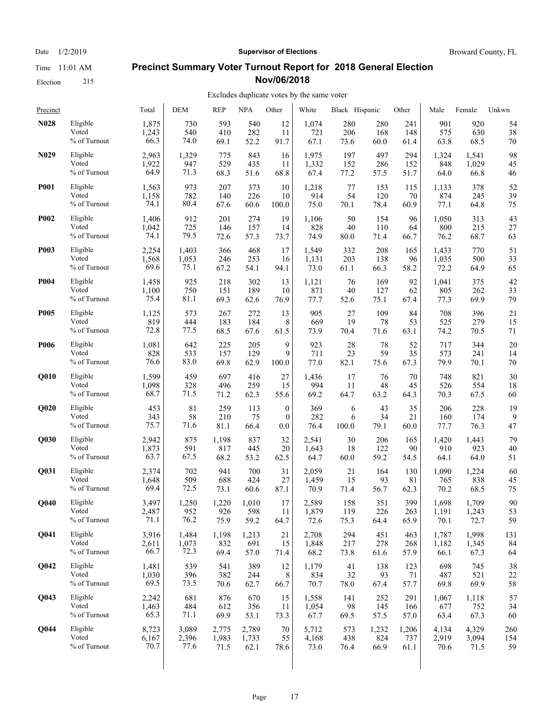Election 215

#### Date  $1/2/2019$  **Supervisor of Elections** Broward County, FL

#### **Precinct Summary Voter Turnout Report for 2018 General Election Nov/06/2018**

| Precinct          |                 | Total | <b>DEM</b> | <b>REP</b> | <b>NPA</b> | Other            | White | Black Hispanic |       | Other | Male  | Female | Unkwn |
|-------------------|-----------------|-------|------------|------------|------------|------------------|-------|----------------|-------|-------|-------|--------|-------|
| <b>N028</b>       | Eligible        | 1,875 | 730        | 593        | 540        | 12               | 1,074 | 280            | 280   | 241   | 901   | 920    | 54    |
|                   | Voted           | 1,243 | 540        | 410        | 282        | 11               | 721   | 206            | 168   | 148   | 575   | 630    | 38    |
|                   | $\%$ of Turnout | 66.3  | 74.0       | 69.1       | 52.2       | 91.7             | 67.1  | 73.6           | 60.0  | 61.4  | 63.8  | 68.5   | 70    |
| N <sub>0</sub> 29 | Eligible        | 2,963 | 1,329      | 775        | 843        | 16               | 1,975 | 197            | 497   | 294   | 1,324 | 1,541  | 98    |
|                   | Voted           | 1,922 | 947        | 529        | 435        | 11               | 1,332 | 152            | 286   | 152   | 848   | 1,029  | 45    |
|                   | % of Turnout    | 64.9  | 71.3       | 68.3       | 51.6       | 68.8             | 67.4  | 77.2           | 57.5  | 51.7  | 64.0  | 66.8   | 46    |
| <b>P001</b>       | Eligible        | 1,563 | 973        | 207        | 373        | 10               | 1,218 | 77             | 153   | 115   | 1,133 | 378    | 52    |
|                   | Voted           | 1,158 | 782        | 140        | 226        | 10               | 914   | 54             | 120   | 70    | 874   | 245    | 39    |
|                   | % of Turnout    | 74.1  | 80.4       | 67.6       | 60.6       | 100.0            | 75.0  | 70.1           | 78.4  | 60.9  | 77.1  | 64.8   | 75    |
| <b>P002</b>       | Eligible        | 1,406 | 912        | 201        | 274        | 19               | 1,106 | 50             | 154   | 96    | 1,050 | 313    | 43    |
|                   | Voted           | 1,042 | 725        | 146        | 157        | 14               | 828   | 40             | 110   | 64    | 800   | 215    | 27    |
|                   | % of Turnout    | 74.1  | 79.5       | 72.6       | 57.3       | 73.7             | 74.9  | 80.0           | 71.4  | 66.7  | 76.2  | 68.7   | 63    |
| <b>P003</b>       | Eligible        | 2,254 | 1,403      | 366        | 468        | 17               | 1,549 | 332            | 208   | 165   | 1,433 | 770    | 51    |
|                   | Voted           | 1,568 | 1,053      | 246        | 253        | 16               | 1,131 | 203            | 138   | 96    | 1,035 | 500    | 33    |
|                   | % of Turnout    | 69.6  | 75.1       | 67.2       | 54.1       | 94.1             | 73.0  | 61.1           | 66.3  | 58.2  | 72.2  | 64.9   | 65    |
| <b>P004</b>       | Eligible        | 1,458 | 925        | 218        | 302        | 13               | 1,121 | 76             | 169   | 92    | 1,041 | 375    | 42    |
|                   | Voted           | 1,100 | 750        | 151        | 189        | 10               | 871   | 40             | 127   | 62    | 805   | 262    | 33    |
|                   | % of Turnout    | 75.4  | 81.1       | 69.3       | 62.6       | 76.9             | 77.7  | 52.6           | 75.1  | 67.4  | 77.3  | 69.9   | 79    |
| <b>P005</b>       | Eligible        | 1,125 | 573        | 267        | 272        | 13               | 905   | 27             | 109   | 84    | 708   | 396    | 21    |
|                   | Voted           | 819   | 444        | 183        | 184        | 8                | 669   | 19             | 78    | 53    | 525   | 279    | 15    |
|                   | % of Turnout    | 72.8  | 77.5       | 68.5       | 67.6       | 61.5             | 73.9  | 70.4           | 71.6  | 63.1  | 74.2  | 70.5   | 71    |
| <b>P006</b>       | Eligible        | 1,081 | 642        | 225        | 205        | 9                | 923   | 28             | 78    | 52    | 717   | 344    | 20    |
|                   | Voted           | 828   | 533        | 157        | 129        | 9                | 711   | 23             | 59    | 35    | 573   | 241    | 14    |
|                   | % of Turnout    | 76.6  | 83.0       | 69.8       | 62.9       | 100.0            | 77.0  | 82.1           | 75.6  | 67.3  | 79.9  | 70.1   | 70    |
| Q010              | Eligible        | 1,599 | 459        | 697        | 416        | 27               | 1,436 | 17             | 76    | 70    | 748   | 821    | 30    |
|                   | Voted           | 1,098 | 328        | 496        | 259        | 15               | 994   | 11             | 48    | 45    | 526   | 554    | 18    |
|                   | % of Turnout    | 68.7  | 71.5       | 71.2       | 62.3       | 55.6             | 69.2  | 64.7           | 63.2  | 64.3  | 70.3  | 67.5   | 60    |
| Q <sub>020</sub>  | Eligible        | 453   | 81         | 259        | 113        | $\boldsymbol{0}$ | 369   | 6              | 43    | 35    | 206   | 228    | 19    |
|                   | Voted           | 343   | 58         | 210        | 75         | $\mathbf{0}$     | 282   | 6              | 34    | 21    | 160   | 174    | 9     |
|                   | % of Turnout    | 75.7  | 71.6       | 81.1       | 66.4       | 0.0              | 76.4  | 100.0          | 79.1  | 60.0  | 77.7  | 76.3   | 47    |
| Q030              | Eligible        | 2,942 | 875        | 1,198      | 837        | 32               | 2,541 | 30             | 206   | 165   | 1,420 | 1,443  | 79    |
|                   | Voted           | 1,873 | 591        | 817        | 445        | 20               | 1,643 | 18             | 122   | 90    | 910   | 923    | 40    |
|                   | % of Turnout    | 63.7  | 67.5       | 68.2       | 53.2       | 62.5             | 64.7  | 60.0           | 59.2  | 54.5  | 64.1  | 64.0   | 51    |
| Q031              | Eligible        | 2,374 | 702        | 941        | 700        | 31               | 2,059 | 21             | 164   | 130   | 1,090 | 1,224  | 60    |
|                   | Voted           | 1,648 | 509        | 688        | 424        | 27               | 1,459 | 15             | 93    | 81    | 765   | 838    | 45    |
|                   | % of Turnout    | 69.4  | 72.5       | 73.1       | 60.6       | 87.1             | 70.9  | 71.4           | 56.7  | 62.3  | 70.2  | 68.5   | 75    |
| <b>O040</b>       | Eligible        | 3.497 | 1,250      | 1,220      | 1,010      | 17               | 2,589 | 158            | 351   | 399   | 1,698 | 1.709  | 90    |
|                   | Voted           | 2,487 | 952        | 926        | 598        | 11               | 1,879 | 119            | 226   | 263   | 1,191 | 1,243  | 53    |
|                   | % of Turnout    | 71.1  | 76.2       | 75.9       | 59.2       | 64.7             | 72.6  | 75.3           | 64.4  | 65.9  | 70.1  | 72.7   | 59    |
| Q041              | Eligible        | 3,916 | 1,484      | 1,198      | 1,213      | 21               | 2,708 | 294            | 451   | 463   | 1,787 | 1,998  | 131   |
|                   | Voted           | 2,611 | 1,073      | 832        | 691        | 15               | 1,848 | 217            | 278   | 268   | 1,182 | 1,345  | 84    |
|                   | % of Turnout    | 66.7  | 72.3       | 69.4       | 57.0       | 71.4             | 68.2  | 73.8           | 61.6  | 57.9  | 66.1  | 67.3   | 64    |
| Q042              | Eligible        | 1,481 | 539        | 541        | 389        | 12               | 1,179 | 41             | 138   | 123   | 698   | 745    | 38    |
|                   | Voted           | 1,030 | 396        | 382        | 244        | 8                | 834   | 32             | 93    | 71    | 487   | 521    | 22    |
|                   | % of Turnout    | 69.5  | 73.5       | 70.6       | 62.7       | 66.7             | 70.7  | 78.0           | 67.4  | 57.7  | 69.8  | 69.9   | 58    |
| Q043              | Eligible        | 2,242 | 681        | 876        | 670        | 15               | 1,558 | 141            | 252   | 291   | 1,067 | 1,118  | 57    |
|                   | Voted           | 1,463 | 484        | 612        | 356        | 11               | 1,054 | 98             | 145   | 166   | 677   | 752    | 34    |
|                   | % of Turnout    | 65.3  | 71.1       | 69.9       | 53.1       | 73.3             | 67.7  | 69.5           | 57.5  | 57.0  | 63.4  | 67.3   | 60    |
| Q044              | Eligible        | 8,723 | 3,089      | 2,775      | 2,789      | 70               | 5,712 | 573            | 1,232 | 1,206 | 4,134 | 4,329  | 260   |
|                   | Voted           | 6,167 | 2,396      | 1,983      | 1,733      | 55               | 4,168 | 438            | 824   | 737   | 2,919 | 3,094  | 154   |
|                   | % of Turnout    | 70.7  | 77.6       | 71.5       | 62.1       | 78.6             | 73.0  | 76.4           | 66.9  | 61.1  | 70.6  | 71.5   | 59    |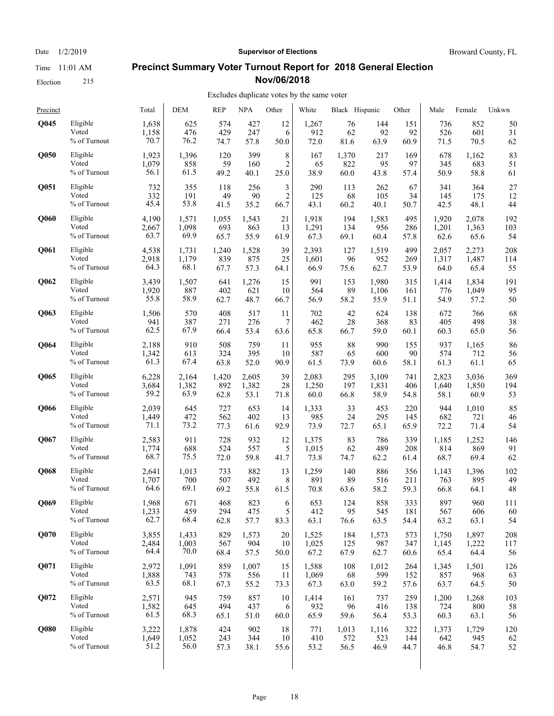## Election 215

#### Date  $1/2/2019$  **Supervisor of Elections** Broward County, FL

#### **Precinct Summary Voter Turnout Report for 2018 General Election Nov/06/2018**

## Excludes duplicate votes by the same voter

| Precinct         |                 | Total | <b>DEM</b> | <b>REP</b> | <b>NPA</b> | Other          | White | Black Hispanic |       | Other | Male  | Female | Unkwn |
|------------------|-----------------|-------|------------|------------|------------|----------------|-------|----------------|-------|-------|-------|--------|-------|
| <b>O045</b>      | Eligible        | 1,638 | 625        | 574        | 427        | 12             | 1,267 | 76             | 144   | 151   | 736   | 852    | 50    |
|                  | Voted           | 1,158 | 476        | 429        | 247        | 6              | 912   | 62             | 92    | 92    | 526   | 601    | 31    |
|                  | $\%$ of Turnout | 70.7  | 76.2       | 74.7       | 57.8       | 50.0           | 72.0  | 81.6           | 63.9  | 60.9  | 71.5  | 70.5   | 62    |
| <b>O050</b>      | Eligible        | 1,923 | 1,396      | 120        | 399        | 8              | 167   | 1,370          | 217   | 169   | 678   | 1,162  | 83    |
|                  | Voted           | 1,079 | 858        | 59         | 160        | $\overline{2}$ | 65    | 822            | 95    | 97    | 345   | 683    | 51    |
|                  | % of Turnout    | 56.1  | 61.5       | 49.2       | 40.1       | 25.0           | 38.9  | 60.0           | 43.8  | 57.4  | 50.9  | 58.8   | 61    |
| Q051             | Eligible        | 732   | 355        | 118        | 256        | 3              | 290   | 113            | 262   | 67    | 341   | 364    | 27    |
|                  | Voted           | 332   | 191        | 49         | 90         | $\overline{2}$ | 125   | 68             | 105   | 34    | 145   | 175    | 12    |
|                  | % of Turnout    | 45.4  | 53.8       | 41.5       | 35.2       | 66.7           | 43.1  | 60.2           | 40.1  | 50.7  | 42.5  | 48.1   | 44    |
| Q060             | Eligible        | 4,190 | 1,571      | 1,055      | 1,543      | 21             | 1,918 | 194            | 1,583 | 495   | 1,920 | 2.078  | 192   |
|                  | Voted           | 2.667 | 1,098      | 693        | 863        | 13             | 1,291 | 134            | 956   | 286   | 1,201 | 1,363  | 103   |
|                  | % of Turnout    | 63.7  | 69.9       | 65.7       | 55.9       | 61.9           | 67.3  | 69.1           | 60.4  | 57.8  | 62.6  | 65.6   | 54    |
| Q061             | Eligible        | 4,538 | 1,731      | 1,240      | 1,528      | 39             | 2,393 | 127            | 1,519 | 499   | 2,057 | 2,273  | 208   |
|                  | Voted           | 2,918 | 1,179      | 839        | 875        | 25             | 1,601 | 96             | 952   | 269   | 1,317 | 1,487  | 114   |
|                  | % of Turnout    | 64.3  | 68.1       | 67.7       | 57.3       | 64.1           | 66.9  | 75.6           | 62.7  | 53.9  | 64.0  | 65.4   | 55    |
| Q062             | Eligible        | 3,439 | 1,507      | 641        | 1,276      | 15             | 991   | 153            | 1,980 | 315   | 1,414 | 1,834  | 191   |
|                  | Voted           | 1,920 | 887        | 402        | 621        | 10             | 564   | 89             | 1,106 | 161   | 776   | 1,049  | 95    |
|                  | % of Turnout    | 55.8  | 58.9       | 62.7       | 48.7       | 66.7           | 56.9  | 58.2           | 55.9  | 51.1  | 54.9  | 57.2   | 50    |
| Q063             | Eligible        | 1,506 | 570        | 408        | 517        | 11             | 702   | 42             | 624   | 138   | 672   | 766    | 68    |
|                  | Voted           | 941   | 387        | 271        | 276        | 7              | 462   | 28             | 368   | 83    | 405   | 498    | 38    |
|                  | % of Turnout    | 62.5  | 67.9       | 66.4       | 53.4       | 63.6           | 65.8  | 66.7           | 59.0  | 60.1  | 60.3  | 65.0   | 56    |
| Q064             | Eligible        | 2,188 | 910        | 508        | 759        | 11             | 955   | 88             | 990   | 155   | 937   | 1,165  | 86    |
|                  | Voted           | 1,342 | 613        | 324        | 395        | 10             | 587   | 65             | 600   | 90    | 574   | 712    | 56    |
|                  | % of Turnout    | 61.3  | 67.4       | 63.8       | 52.0       | 90.9           | 61.5  | 73.9           | 60.6  | 58.1  | 61.3  | 61.1   | 65    |
| Q065             | Eligible        | 6,228 | 2,164      | 1,420      | 2,605      | 39             | 2,083 | 295            | 3,109 | 741   | 2,823 | 3,036  | 369   |
|                  | Voted           | 3,684 | 1,382      | 892        | 1,382      | 28             | 1,250 | 197            | 1,831 | 406   | 1,640 | 1,850  | 194   |
|                  | $\%$ of Turnout | 59.2  | 63.9       | 62.8       | 53.1       | 71.8           | 60.0  | 66.8           | 58.9  | 54.8  | 58.1  | 60.9   | 53    |
| Q066             | Eligible        | 2,039 | 645        | 727        | 653        | 14             | 1,333 | 33             | 453   | 220   | 944   | 1,010  | 85    |
|                  | Voted           | 1,449 | 472        | 562        | 402        | 13             | 985   | 24             | 295   | 145   | 682   | 721    | 46    |
|                  | $\%$ of Turnout | 71.1  | 73.2       | 77.3       | 61.6       | 92.9           | 73.9  | 72.7           | 65.1  | 65.9  | 72.2  | 71.4   | 54    |
| <b>O067</b>      | Eligible        | 2,583 | 911        | 728        | 932        | 12             | 1,375 | 83             | 786   | 339   | 1,185 | 1,252  | 146   |
|                  | Voted           | 1,774 | 688        | 524        | 557        | 5              | 1,015 | 62             | 489   | 208   | 814   | 869    | 91    |
|                  | % of Turnout    | 68.7  | 75.5       | 72.0       | 59.8       | 41.7           | 73.8  | 74.7           | 62.2  | 61.4  | 68.7  | 69.4   | 62    |
| Q068             | Eligible        | 2,641 | 1,013      | 733        | 882        | 13             | 1,259 | 140            | 886   | 356   | 1,143 | 1,396  | 102   |
|                  | Voted           | 1,707 | 700        | 507        | 492        | 8              | 891   | 89             | 516   | 211   | 763   | 895    | 49    |
|                  | % of Turnout    | 64.6  | 69.1       | 69.2       | 55.8       | 61.5           | 70.8  | 63.6           | 58.2  | 59.3  | 66.8  | 64.1   | 48    |
| O069             | Eligible        | 1,968 | 671        | 468        | 823        | 6              | 653   | 124            | 858   | 333   | 897   | 960    | 111   |
|                  | Voted           | 1,233 | 459        | 294        | 475        | 5              | 412   | 95             | 545   | 181   | 567   | 606    | 60    |
|                  | % of Turnout    | 62.7  | 68.4       | 62.8       | 57.7       | 83.3           | 63.1  | 76.6           | 63.5  | 54.4  | 63.2  | 63.1   | 54    |
| Q <sub>070</sub> | Eligible        | 3,855 | 1,433      | 829        | 1,573      | $20\,$         | 1,525 | 184            | 1,573 | 573   | 1,750 | 1,897  | 208   |
|                  | Voted           | 2,484 | 1,003      | 567        | 904        | 10             | 1,025 | 125            | 987   | 347   | 1,145 | 1,222  | 117   |
|                  | % of Turnout    | 64.4  | 70.0       | 68.4       | 57.5       | 50.0           | 67.2  | 67.9           | 62.7  | 60.6  | 65.4  | 64.4   | 56    |
| <b>O071</b>      | Eligible        | 2,972 | 1,091      | 859        | 1,007      | 15             | 1,588 | 108            | 1,012 | 264   | 1,345 | 1,501  | 126   |
|                  | Voted           | 1,888 | 743        | 578        | 556        | 11             | 1,069 | 68             | 599   | 152   | 857   | 968    | 63    |
|                  | % of Turnout    | 63.5  | 68.1       | 67.3       | 55.2       | 73.3           | 67.3  | 63.0           | 59.2  | 57.6  | 63.7  | 64.5   | 50    |
| Q072             | Eligible        | 2,571 | 945        | 759        | 857        | 10             | 1,414 | 161            | 737   | 259   | 1,200 | 1,268  | 103   |
|                  | Voted           | 1,582 | 645        | 494        | 437        | 6              | 932   | 96             | 416   | 138   | 724   | 800    | 58    |
|                  | % of Turnout    | 61.5  | 68.3       | 65.1       | 51.0       | 60.0           | 65.9  | 59.6           | 56.4  | 53.3  | 60.3  | 63.1   | 56    |
| Q080             | Eligible        | 3,222 | 1,878      | 424        | 902        | 18             | 771   | 1,013          | 1,116 | 322   | 1,373 | 1,729  | 120   |
|                  | Voted           | 1,649 | 1,052      | 243        | 344        | 10             | 410   | 572            | 523   | 144   | 642   | 945    | 62    |
|                  | % of Turnout    | 51.2  | 56.0       | 57.3       | 38.1       | 55.6           | 53.2  | 56.5           | 46.9  | 44.7  | 46.8  | 54.7   | 52    |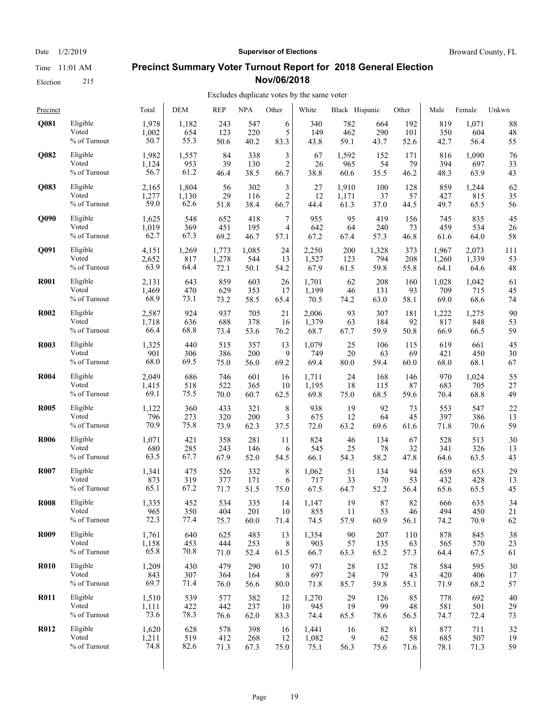Election 215

#### Date  $1/2/2019$  **Supervisor of Elections** Broward County, FL

#### **Precinct Summary Voter Turnout Report for 2018 General Election Nov/06/2018**

#### Excludes duplicate votes by the same voter

| Precinct    |                 | Total | <b>DEM</b> | <b>REP</b> | <b>NPA</b> | Other          | White | Black Hispanic |       | Other | Male  | Female | Unkwn |
|-------------|-----------------|-------|------------|------------|------------|----------------|-------|----------------|-------|-------|-------|--------|-------|
| Q081        | Eligible        | 1,978 | 1,182      | 243        | 547        | 6              | 340   | 782            | 664   | 192   | 819   | 1,071  | 88    |
|             | Voted           | 1,002 | 654        | 123        | 220        | 5              | 149   | 462            | 290   | 101   | 350   | 604    | 48    |
|             | $\%$ of Turnout | 50.7  | 55.3       | 50.6       | 40.2       | 83.3           | 43.8  | 59.1           | 43.7  | 52.6  | 42.7  | 56.4   | 55    |
| Q082        | Eligible        | 1,982 | 1,557      | 84         | 338        | 3              | 67    | 1,592          | 152   | 171   | 816   | 1,090  | 76    |
|             | Voted           | 1,124 | 953        | 39         | 130        | $\overline{c}$ | 26    | 965            | 54    | 79    | 394   | 697    | 33    |
|             | % of Turnout    | 56.7  | 61.2       | 46.4       | 38.5       | 66.7           | 38.8  | 60.6           | 35.5  | 46.2  | 48.3  | 63.9   | 43    |
| Q083        | Eligible        | 2,165 | 1,804      | 56         | 302        | 3              | 27    | 1,910          | 100   | 128   | 859   | 1,244  | 62    |
|             | Voted           | 1,277 | 1,130      | 29         | 116        | $\overline{c}$ | 12    | 1,171          | 37    | 57    | 427   | 815    | 35    |
|             | % of Turnout    | 59.0  | 62.6       | 51.8       | 38.4       | 66.7           | 44.4  | 61.3           | 37.0  | 44.5  | 49.7  | 65.5   | 56    |
| <b>O090</b> | Eligible        | 1,625 | 548        | 652        | 418        | 7              | 955   | 95             | 419   | 156   | 745   | 835    | 45    |
|             | Voted           | 1,019 | 369        | 451        | 195        | 4              | 642   | 64             | 240   | 73    | 459   | 534    | 26    |
|             | % of Turnout    | 62.7  | 67.3       | 69.2       | 46.7       | 57.1           | 67.2  | 67.4           | 57.3  | 46.8  | 61.6  | 64.0   | 58    |
| Q091        | Eligible        | 4,151 | 1,269      | 1,773      | 1,085      | 24             | 2,250 | 200            | 1,328 | 373   | 1,967 | 2,073  | 111   |
|             | Voted           | 2,652 | 817        | 1,278      | 544        | 13             | 1,527 | 123            | 794   | 208   | 1,260 | 1,339  | 53    |
|             | % of Turnout    | 63.9  | 64.4       | 72.1       | 50.1       | 54.2           | 67.9  | 61.5           | 59.8  | 55.8  | 64.1  | 64.6   | 48    |
| <b>R001</b> | Eligible        | 2,131 | 643        | 859        | 603        | 26             | 1,701 | 62             | 208   | 160   | 1,028 | 1,042  | 61    |
|             | Voted           | 1,469 | 470        | 629        | 353        | 17             | 1,199 | 46             | 131   | 93    | 709   | 715    | 45    |
|             | % of Turnout    | 68.9  | 73.1       | 73.2       | 58.5       | 65.4           | 70.5  | 74.2           | 63.0  | 58.1  | 69.0  | 68.6   | 74    |
| <b>R002</b> | Eligible        | 2,587 | 924        | 937        | 705        | 21             | 2,006 | 93             | 307   | 181   | 1,222 | 1,275  | 90    |
|             | Voted           | 1,718 | 636        | 688        | 378        | 16             | 1,379 | 63             | 184   | 92    | 817   | 848    | 53    |
|             | % of Turnout    | 66.4  | 68.8       | 73.4       | 53.6       | 76.2           | 68.7  | 67.7           | 59.9  | 50.8  | 66.9  | 66.5   | 59    |
| <b>R003</b> | Eligible        | 1,325 | 440        | 515        | 357        | 13             | 1,079 | 25             | 106   | 115   | 619   | 661    | 45    |
|             | Voted           | 901   | 306        | 386        | 200        | 9              | 749   | 20             | 63    | 69    | 421   | 450    | 30    |
|             | % of Turnout    | 68.0  | 69.5       | 75.0       | 56.0       | 69.2           | 69.4  | 80.0           | 59.4  | 60.0  | 68.0  | 68.1   | 67    |
| <b>R004</b> | Eligible        | 2,049 | 686        | 746        | 601        | 16             | 1,711 | 24             | 168   | 146   | 970   | 1,024  | 55    |
|             | Voted           | 1,415 | 518        | 522        | 365        | 10             | 1,195 | 18             | 115   | 87    | 683   | 705    | 27    |
|             | $\%$ of Turnout | 69.1  | 75.5       | 70.0       | 60.7       | 62.5           | 69.8  | 75.0           | 68.5  | 59.6  | 70.4  | 68.8   | 49    |
| <b>R005</b> | Eligible        | 1,122 | 360        | 433        | 321        | 8              | 938   | 19             | 92    | 73    | 553   | 547    | 22    |
|             | Voted           | 796   | 273        | 320        | 200        | 3              | 675   | 12             | 64    | 45    | 397   | 386    | 13    |
|             | $\%$ of Turnout | 70.9  | 75.8       | 73.9       | 62.3       | 37.5           | 72.0  | 63.2           | 69.6  | 61.6  | 71.8  | 70.6   | 59    |
| <b>R006</b> | Eligible        | 1,071 | 421        | 358        | 281        | 11             | 824   | 46             | 134   | 67    | 528   | 513    | 30    |
|             | Voted           | 680   | 285        | 243        | 146        | 6              | 545   | 25             | 78    | 32    | 341   | 326    | 13    |
|             | % of Turnout    | 63.5  | 67.7       | 67.9       | 52.0       | 54.5           | 66.1  | 54.3           | 58.2  | 47.8  | 64.6  | 63.5   | 43    |
| <b>R007</b> | Eligible        | 1,341 | 475        | 526        | 332        | 8              | 1,062 | 51             | 134   | 94    | 659   | 653    | 29    |
|             | Voted           | 873   | 319        | 377        | 171        | 6              | 717   | 33             | 70    | 53    | 432   | 428    | 13    |
|             | % of Turnout    | 65.1  | 67.2       | 71.7       | 51.5       | 75.0           | 67.5  | 64.7           | 52.2  | 56.4  | 65.6  | 65.5   | 45    |
| <b>R008</b> | Eligible        | 1,335 | 452        | 534        | 335        | 14             | 1,147 | 19             | 87    | 82    | 666   | 635    | 34    |
|             | Voted           | 965   | 350        | 404        | 201        | 10             | 855   | 11             | 53    | 46    | 494   | 450    | 21    |
|             | % of Turnout    | 72.3  | 77.4       | 75.7       | 60.0       | 71.4           | 74.5  | 57.9           | 60.9  | 56.1  | 74.2  | 70.9   | 62    |
| <b>R009</b> | Eligible        | 1,761 | 640        | 625        | 483        | 13             | 1,354 | 90             | 207   | 110   | 878   | 845    | 38    |
|             | Voted           | 1,158 | 453        | 444        | 253        | 8              | 903   | 57             | 135   | 63    | 565   | 570    | 23    |
|             | % of Turnout    | 65.8  | 70.8       | 71.0       | 52.4       | 61.5           | 66.7  | 63.3           | 65.2  | 57.3  | 64.4  | 67.5   | 61    |
| <b>R010</b> | Eligible        | 1,209 | 430        | 479        | 290        | 10             | 971   | $28\,$         | 132   | 78    | 584   | 595    | 30    |
|             | Voted           | 843   | 307        | 364        | 164        | 8              | 697   | 24             | 79    | 43    | 420   | 406    | 17    |
|             | % of Turnout    | 69.7  | 71.4       | 76.0       | 56.6       | 80.0           | 71.8  | 85.7           | 59.8  | 55.1  | 71.9  | 68.2   | 57    |
| <b>R011</b> | Eligible        | 1,510 | 539        | 577        | 382        | 12             | 1,270 | 29             | 126   | 85    | 778   | 692    | 40    |
|             | Voted           | 1,111 | 422        | 442        | 237        | 10             | 945   | 19             | 99    | 48    | 581   | 501    | 29    |
|             | % of Turnout    | 73.6  | 78.3       | 76.6       | 62.0       | 83.3           | 74.4  | 65.5           | 78.6  | 56.5  | 74.7  | 72.4   | 73    |
| <b>R012</b> | Eligible        | 1,620 | 628        | 578        | 398        | 16             | 1,441 | 16             | 82    | 81    | 877   | 711    | 32    |
|             | Voted           | 1,211 | 519        | 412        | 268        | 12             | 1,082 | 9              | 62    | 58    | 685   | 507    | 19    |
|             | % of Turnout    | 74.8  | 82.6       | 71.3       | 67.3       | 75.0           | 75.1  | 56.3           | 75.6  | 71.6  | 78.1  | 71.3   | 59    |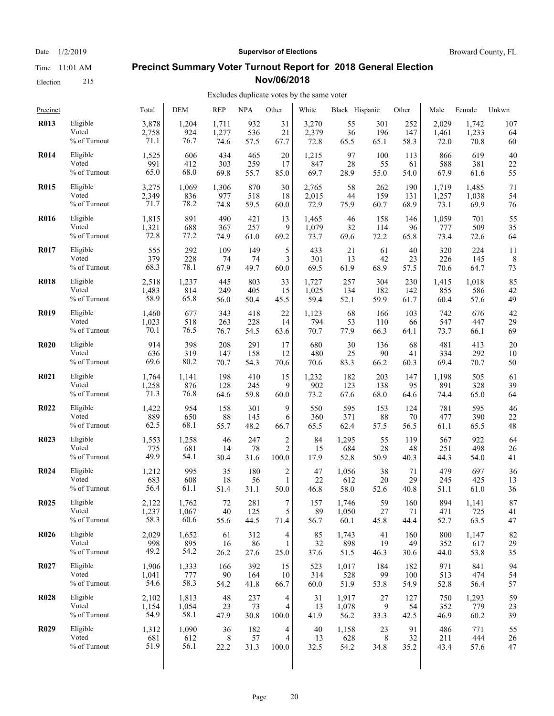Election 215

#### Date  $1/2/2019$  **Supervisor of Elections** Broward County, FL

#### **Precinct Summary Voter Turnout Report for 2018 General Election Nov/06/2018**

| Precinct    |                 | Total | <b>DEM</b> | <b>REP</b> | <b>NPA</b> | Other                    | White | Black Hispanic |      | Other | Male  | Female | Unkwn |
|-------------|-----------------|-------|------------|------------|------------|--------------------------|-------|----------------|------|-------|-------|--------|-------|
| <b>R013</b> | Eligible        | 3,878 | 1,204      | 1,711      | 932        | 31                       | 3,270 | 55             | 301  | 252   | 2,029 | 1,742  | 107   |
|             | Voted           | 2,758 | 924        | 1,277      | 536        | 21                       | 2,379 | 36             | 196  | 147   | 1,461 | 1,233  | 64    |
|             | % of Turnout    | 71.1  | 76.7       | 74.6       | 57.5       | 67.7                     | 72.8  | 65.5           | 65.1 | 58.3  | 72.0  | 70.8   | 60    |
| <b>R014</b> | Eligible        | 1,525 | 606        | 434        | 465        | 20                       | 1,215 | 97             | 100  | 113   | 866   | 619    | 40    |
|             | Voted           | 991   | 412        | 303        | 259        | 17                       | 847   | 28             | 55   | 61    | 588   | 381    | 22    |
|             | % of Turnout    | 65.0  | 68.0       | 69.8       | 55.7       | 85.0                     | 69.7  | 28.9           | 55.0 | 54.0  | 67.9  | 61.6   | 55    |
| <b>R015</b> | Eligible        | 3,275 | 1,069      | 1,306      | 870        | 30                       | 2,765 | 58             | 262  | 190   | 1,719 | 1,485  | 71    |
|             | Voted           | 2,349 | 836        | 977        | 518        | 18                       | 2,015 | 44             | 159  | 131   | 1,257 | 1,038  | 54    |
|             | % of Turnout    | 71.7  | 78.2       | 74.8       | 59.5       | 60.0                     | 72.9  | 75.9           | 60.7 | 68.9  | 73.1  | 69.9   | 76    |
| <b>R016</b> | Eligible        | 1,815 | 891        | 490        | 421        | 13                       | 1,465 | 46             | 158  | 146   | 1,059 | 701    | 55    |
|             | Voted           | 1,321 | 688        | 367        | 257        | 9                        | 1,079 | 32             | 114  | 96    | 777   | 509    | 35    |
|             | $\%$ of Turnout | 72.8  | 77.2       | 74.9       | 61.0       | 69.2                     | 73.7  | 69.6           | 72.2 | 65.8  | 73.4  | 72.6   | 64    |
| <b>R017</b> | Eligible        | 555   | 292        | 109        | 149        | 5                        | 433   | 21             | 61   | 40    | 320   | 224    | 11    |
|             | Voted           | 379   | 228        | 74         | 74         | 3                        | 301   | 13             | 42   | 23    | 226   | 145    | 8     |
|             | % of Turnout    | 68.3  | 78.1       | 67.9       | 49.7       | 60.0                     | 69.5  | 61.9           | 68.9 | 57.5  | 70.6  | 64.7   | 73    |
| <b>R018</b> | Eligible        | 2,518 | 1,237      | 445        | 803        | 33                       | 1,727 | 257            | 304  | 230   | 1,415 | 1,018  | 85    |
|             | Voted           | 1,483 | 814        | 249        | 405        | 15                       | 1,025 | 134            | 182  | 142   | 855   | 586    | 42    |
|             | % of Turnout    | 58.9  | 65.8       | 56.0       | 50.4       | 45.5                     | 59.4  | 52.1           | 59.9 | 61.7  | 60.4  | 57.6   | 49    |
| <b>R019</b> | Eligible        | 1,460 | 677        | 343        | 418        | 22                       | 1,123 | 68             | 166  | 103   | 742   | 676    | 42    |
|             | Voted           | 1,023 | 518        | 263        | 228        | 14                       | 794   | 53             | 110  | 66    | 547   | 447    | 29    |
|             | % of Turnout    | 70.1  | 76.5       | 76.7       | 54.5       | 63.6                     | 70.7  | 77.9           | 66.3 | 64.1  | 73.7  | 66.1   | 69    |
| <b>R020</b> | Eligible        | 914   | 398        | 208        | 291        | 17                       | 680   | 30             | 136  | 68    | 481   | 413    | 20    |
|             | Voted           | 636   | 319        | 147        | 158        | 12                       | 480   | 25             | 90   | 41    | 334   | 292    | 10    |
|             | % of Turnout    | 69.6  | 80.2       | 70.7       | 54.3       | 70.6                     | 70.6  | 83.3           | 66.2 | 60.3  | 69.4  | 70.7   | 50    |
| <b>R021</b> | Eligible        | 1,764 | 1,141      | 198        | 410        | 15                       | 1,232 | 182            | 203  | 147   | 1,198 | 505    | 61    |
|             | Voted           | 1,258 | 876        | 128        | 245        | 9                        | 902   | 123            | 138  | 95    | 891   | 328    | 39    |
|             | % of Turnout    | 71.3  | 76.8       | 64.6       | 59.8       | 60.0                     | 73.2  | 67.6           | 68.0 | 64.6  | 74.4  | 65.0   | 64    |
| <b>R022</b> | Eligible        | 1,422 | 954        | 158        | 301        | 9                        | 550   | 595            | 153  | 124   | 781   | 595    | 46    |
|             | Voted           | 889   | 650        | 88         | 145        | 6                        | 360   | 371            | 88   | 70    | 477   | 390    | 22    |
|             | % of Turnout    | 62.5  | 68.1       | 55.7       | 48.2       | 66.7                     | 65.5  | 62.4           | 57.5 | 56.5  | 61.1  | 65.5   | 48    |
| <b>R023</b> | Eligible        | 1,553 | 1,258      | 46         | 247        | $\overline{2}$           | 84    | 1,295          | 55   | 119   | 567   | 922    | 64    |
|             | Voted           | 775   | 681        | 14         | 78         | $\overline{c}$           | 15    | 684            | 28   | 48    | 251   | 498    | 26    |
|             | % of Turnout    | 49.9  | 54.1       | 30.4       | 31.6       | 100.0                    | 17.9  | 52.8           | 50.9 | 40.3  | 44.3  | 54.0   | 41    |
| <b>R024</b> | Eligible        | 1,212 | 995        | 35         | 180        | 2                        | 47    | 1,056          | 38   | 71    | 479   | 697    | 36    |
|             | Voted           | 683   | 608        | 18         | 56         | 1                        | 22    | 612            | 20   | 29    | 245   | 425    | 13    |
|             | % of Turnout    | 56.4  | 61.1       | 51.4       | 31.1       | 50.0                     | 46.8  | 58.0           | 52.6 | 40.8  | 51.1  | 61.0   | 36    |
| <b>R025</b> | Eligible        | 2,122 | 1,762      | 72         | 281        | $\boldsymbol{7}$         | 157   | 1.746          | 59   | 160   | 894   | 1,141  | 87    |
|             | Voted           | 1,237 | 1,067      | 40         | 125        | $\overline{\mathcal{L}}$ | 89    | 1,050          | 27   | 71    | 471   | 725    | 41    |
|             | % of Turnout    | 58.3  | 60.6       | 55.6       | 44.5       | 71.4                     | 56.7  | 60.1           | 45.8 | 44.4  | 52.7  | 63.5   | 47    |
| <b>R026</b> | Eligible        | 2,029 | 1,652      | 61         | 312        | 4                        | 85    | 1,743          | 41   | 160   | 800   | 1,147  | 82    |
|             | Voted           | 998   | 895        | 16         | 86         | 1                        | 32    | 898            | 19   | 49    | 352   | 617    | 29    |
|             | % of Turnout    | 49.2  | 54.2       | 26.2       | 27.6       | 25.0                     | 37.6  | 51.5           | 46.3 | 30.6  | 44.0  | 53.8   | 35    |
| <b>R027</b> | Eligible        | 1,906 | 1,333      | 166        | 392        | 15                       | 523   | 1,017          | 184  | 182   | 971   | 841    | 94    |
|             | Voted           | 1,041 | 777        | 90         | 164        | 10                       | 314   | 528            | 99   | 100   | 513   | 474    | 54    |
|             | % of Turnout    | 54.6  | 58.3       | 54.2       | 41.8       | 66.7                     | 60.0  | 51.9           | 53.8 | 54.9  | 52.8  | 56.4   | 57    |
| <b>R028</b> | Eligible        | 2,102 | 1,813      | 48         | 237        | 4                        | 31    | 1,917          | 27   | 127   | 750   | 1,293  | 59    |
|             | Voted           | 1,154 | 1,054      | 23         | 73         | 4                        | 13    | 1,078          | 9    | 54    | 352   | 779    | 23    |
|             | % of Turnout    | 54.9  | 58.1       | 47.9       | 30.8       | 100.0                    | 41.9  | 56.2           | 33.3 | 42.5  | 46.9  | 60.2   | 39    |
| <b>R029</b> | Eligible        | 1,312 | 1,090      | 36         | 182        | 4                        | 40    | 1,158          | 23   | 91    | 486   | 771    | 55    |
|             | Voted           | 681   | 612        | 8          | 57         | 4                        | 13    | 628            | 8    | 32    | 211   | 444    | 26    |
|             | % of Turnout    | 51.9  | 56.1       | 22.2       | 31.3       | 100.0                    | 32.5  | 54.2           | 34.8 | 35.2  | 43.4  | 57.6   | 47    |
|             |                 |       |            |            |            |                          |       |                |      |       |       |        |       |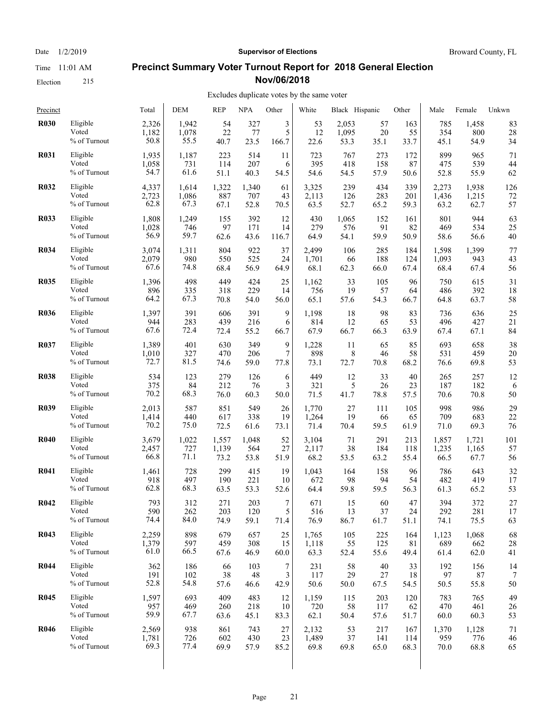Election 215

#### Date  $1/2/2019$  **Supervisor of Elections** Broward County, FL

## **Precinct Summary Voter Turnout Report for 2018 General Election Nov/06/2018**

#### Excludes duplicate votes by the same voter

| Precinct    |              | Total | <b>DEM</b> | <b>REP</b> | <b>NPA</b> | Other | White | Black Hispanic |        | Other | Male  | Female | Unkwn |
|-------------|--------------|-------|------------|------------|------------|-------|-------|----------------|--------|-------|-------|--------|-------|
| <b>R030</b> | Eligible     | 2,326 | 1,942      | 54         | 327        | 3     | 53    | 2,053          | 57     | 163   | 785   | 1,458  | 83    |
|             | Voted        | 1,182 | 1,078      | 22         | 77         | 5     | 12    | 1,095          | 20     | 55    | 354   | 800    | 28    |
|             | % of Turnout | 50.8  | 55.5       | 40.7       | 23.5       | 166.7 | 22.6  | 53.3           | 35.1   | 33.7  | 45.1  | 54.9   | 34    |
| <b>R031</b> | Eligible     | 1,935 | 1,187      | 223        | 514        | 11    | 723   | 767            | 273    | 172   | 899   | 965    | 71    |
|             | Voted        | 1,058 | 731        | 114        | 207        | 6     | 395   | 418            | 158    | 87    | 475   | 539    | 44    |
|             | % of Turnout | 54.7  | 61.6       | 51.1       | 40.3       | 54.5  | 54.6  | 54.5           | 57.9   | 50.6  | 52.8  | 55.9   | 62    |
| <b>R032</b> | Eligible     | 4,337 | 1,614      | 1,322      | 1,340      | 61    | 3,325 | 239            | 434    | 339   | 2,273 | 1,938  | 126   |
|             | Voted        | 2,723 | 1,086      | 887        | 707        | 43    | 2,113 | 126            | 283    | 201   | 1,436 | 1,215  | 72    |
|             | % of Turnout | 62.8  | 67.3       | 67.1       | 52.8       | 70.5  | 63.5  | 52.7           | 65.2   | 59.3  | 63.2  | 62.7   | 57    |
| <b>R033</b> | Eligible     | 1,808 | 1,249      | 155        | 392        | 12    | 430   | 1,065          | 152    | 161   | 801   | 944    | 63    |
|             | Voted        | 1,028 | 746        | 97         | 171        | 14    | 279   | 576            | 91     | 82    | 469   | 534    | 25    |
|             | % of Turnout | 56.9  | 59.7       | 62.6       | 43.6       | 116.7 | 64.9  | 54.1           | 59.9   | 50.9  | 58.6  | 56.6   | 40    |
| <b>R034</b> | Eligible     | 3,074 | 1,311      | 804        | 922        | 37    | 2,499 | 106            | 285    | 184   | 1,598 | 1,399  | 77    |
|             | Voted        | 2,079 | 980        | 550        | 525        | 24    | 1,701 | 66             | 188    | 124   | 1,093 | 943    | 43    |
|             | % of Turnout | 67.6  | 74.8       | 68.4       | 56.9       | 64.9  | 68.1  | 62.3           | 66.0   | 67.4  | 68.4  | 67.4   | 56    |
| <b>R035</b> | Eligible     | 1,396 | 498        | 449        | 424        | 25    | 1,162 | 33             | 105    | 96    | 750   | 615    | 31    |
|             | Voted        | 896   | 335        | 318        | 229        | 14    | 756   | 19             | 57     | 64    | 486   | 392    | 18    |
|             | % of Turnout | 64.2  | 67.3       | 70.8       | 54.0       | 56.0  | 65.1  | 57.6           | 54.3   | 66.7  | 64.8  | 63.7   | 58    |
| <b>R036</b> | Eligible     | 1,397 | 391        | 606        | 391        | 9     | 1,198 | 18             | 98     | 83    | 736   | 636    | 25    |
|             | Voted        | 944   | 283        | 439        | 216        | 6     | 814   | 12             | 65     | 53    | 496   | 427    | 21    |
|             | % of Turnout | 67.6  | 72.4       | 72.4       | 55.2       | 66.7  | 67.9  | 66.7           | 66.3   | 63.9  | 67.4  | 67.1   | 84    |
| <b>R037</b> | Eligible     | 1,389 | 401        | 630        | 349        | 9     | 1,228 | 11             | 65     | 85    | 693   | 658    | 38    |
|             | Voted        | 1,010 | 327        | 470        | 206        | 7     | 898   | 8              | 46     | 58    | 531   | 459    | 20    |
|             | % of Turnout | 72.7  | 81.5       | 74.6       | 59.0       | 77.8  | 73.1  | 72.7           | 70.8   | 68.2  | 76.6  | 69.8   | 53    |
| <b>R038</b> | Eligible     | 534   | 123        | 279        | 126        | 6     | 449   | 12             | 33     | 40    | 265   | 257    | 12    |
|             | Voted        | 375   | 84         | 212        | 76         | 3     | 321   | 5              | 26     | 23    | 187   | 182    | 6     |
|             | % of Turnout | 70.2  | 68.3       | 76.0       | 60.3       | 50.0  | 71.5  | 41.7           | 78.8   | 57.5  | 70.6  | 70.8   | 50    |
| <b>R039</b> | Eligible     | 2,013 | 587        | 851        | 549        | 26    | 1,770 | 27             | 111    | 105   | 998   | 986    | 29    |
|             | Voted        | 1,414 | 440        | 617        | 338        | 19    | 1,264 | 19             | 66     | 65    | 709   | 683    | 22    |
|             | % of Turnout | 70.2  | 75.0       | 72.5       | 61.6       | 73.1  | 71.4  | 70.4           | 59.5   | 61.9  | 71.0  | 69.3   | 76    |
| <b>R040</b> | Eligible     | 3,679 | 1,022      | 1,557      | 1,048      | 52    | 3,104 | 71             | 291    | 213   | 1,857 | 1,721  | 101   |
|             | Voted        | 2,457 | 727        | 1,139      | 564        | 27    | 2,117 | 38             | 184    | 118   | 1,235 | 1,165  | 57    |
|             | % of Turnout | 66.8  | 71.1       | 73.2       | 53.8       | 51.9  | 68.2  | 53.5           | 63.2   | 55.4  | 66.5  | 67.7   | 56    |
| <b>R041</b> | Eligible     | 1,461 | 728        | 299        | 415        | 19    | 1,043 | 164            | 158    | 96    | 786   | 643    | 32    |
|             | Voted        | 918   | 497        | 190        | 221        | 10    | 672   | 98             | 94     | 54    | 482   | 419    | 17    |
|             | % of Turnout | 62.8  | 68.3       | 63.5       | 53.3       | 52.6  | 64.4  | 59.8           | 59.5   | 56.3  | 61.3  | 65.2   | 53    |
| <b>R042</b> | Eligible     | 793   | 312        | 271        | 203        | 7     | 671   | 15             | 60     | 47    | 394   | 372    | 27    |
|             | Voted        | 590   | 262        | 203        | 120        | 5     | 516   | 13             | $37\,$ | 24    | 292   | 281    | 17    |
|             | % of Turnout | 74.4  | 84.0       | 74.9       | 59.1       | 71.4  | 76.9  | 86.7           | 61.7   | 51.1  | 74.1  | 75.5   | 63    |
| <b>R043</b> | Eligible     | 2,259 | 898        | 679        | 657        | 25    | 1,765 | 105            | 225    | 164   | 1,123 | 1,068  | 68    |
|             | Voted        | 1,379 | 597        | 459        | 308        | 15    | 1,118 | 55             | 125    | 81    | 689   | 662    | 28    |
|             | % of Turnout | 61.0  | 66.5       | 67.6       | 46.9       | 60.0  | 63.3  | 52.4           | 55.6   | 49.4  | 61.4  | 62.0   | 41    |
| <b>R044</b> | Eligible     | 362   | 186        | 66         | 103        | 7     | 231   | 58             | 40     | 33    | 192   | 156    | 14    |
|             | Voted        | 191   | 102        | 38         | 48         | 3     | 117   | 29             | 27     | 18    | 97    | 87     | 7     |
|             | % of Turnout | 52.8  | 54.8       | 57.6       | 46.6       | 42.9  | 50.6  | 50.0           | 67.5   | 54.5  | 50.5  | 55.8   | 50    |
| <b>R045</b> | Eligible     | 1,597 | 693        | 409        | 483        | 12    | 1,159 | 115            | 203    | 120   | 783   | 765    | 49    |
|             | Voted        | 957   | 469        | 260        | 218        | 10    | 720   | 58             | 117    | 62    | 470   | 461    | 26    |
|             | % of Turnout | 59.9  | 67.7       | 63.6       | 45.1       | 83.3  | 62.1  | 50.4           | 57.6   | 51.7  | 60.0  | 60.3   | 53    |
| <b>R046</b> | Eligible     | 2,569 | 938        | 861        | 743        | 27    | 2,132 | 53             | 217    | 167   | 1,370 | 1,128  | 71    |
|             | Voted        | 1,781 | 726        | 602        | 430        | 23    | 1,489 | 37             | 141    | 114   | 959   | 776    | 46    |
|             | % of Turnout | 69.3  | 77.4       | 69.9       | 57.9       | 85.2  | 69.8  | 69.8           | 65.0   | 68.3  | 70.0  | 68.8   | 65    |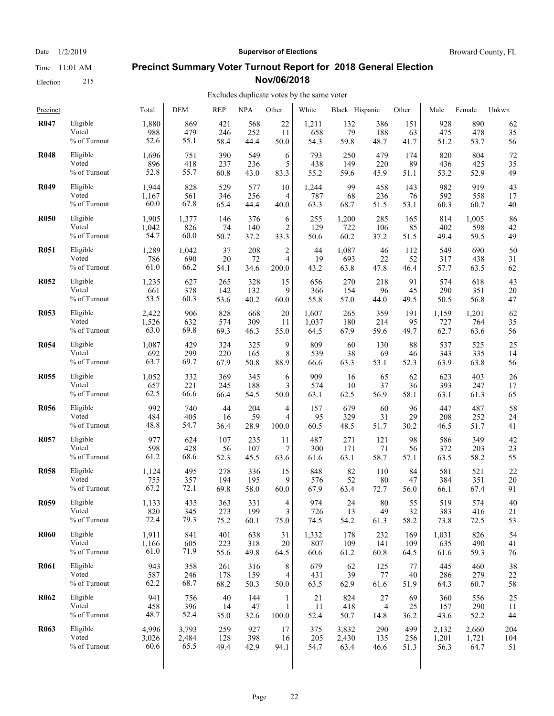Election 215

Date  $1/2/2019$  **Supervisor of Elections** Broward County, FL

#### **Precinct Summary Voter Turnout Report for 2018 General Election Nov/06/2018**

| Precinct    |                 | Total | <b>DEM</b> | <b>REP</b> | <b>NPA</b> | Other          | White | Black Hispanic |      | Other | Male  | Female | Unkwn |
|-------------|-----------------|-------|------------|------------|------------|----------------|-------|----------------|------|-------|-------|--------|-------|
| <b>R047</b> | Eligible        | 1,880 | 869        | 421        | 568        | 22             | 1,211 | 132            | 386  | 151   | 928   | 890    | 62    |
|             | Voted           | 988   | 479        | 246        | 252        | 11             | 658   | 79             | 188  | 63    | 475   | 478    | 35    |
|             | % of Turnout    | 52.6  | 55.1       | 58.4       | 44.4       | 50.0           | 54.3  | 59.8           | 48.7 | 41.7  | 51.2  | 53.7   | 56    |
| <b>R048</b> | Eligible        | 1,696 | 751        | 390        | 549        | 6              | 793   | 250            | 479  | 174   | 820   | 804    | 72    |
|             | Voted           | 896   | 418        | 237        | 236        | 5              | 438   | 149            | 220  | 89    | 436   | 425    | 35    |
|             | % of Turnout    | 52.8  | 55.7       | 60.8       | 43.0       | 83.3           | 55.2  | 59.6           | 45.9 | 51.1  | 53.2  | 52.9   | 49    |
| <b>R049</b> | Eligible        | 1,944 | 828        | 529        | 577        | 10             | 1,244 | 99             | 458  | 143   | 982   | 919    | 43    |
|             | Voted           | 1,167 | 561        | 346        | 256        | 4              | 787   | 68             | 236  | 76    | 592   | 558    | 17    |
|             | % of Turnout    | 60.0  | 67.8       | 65.4       | 44.4       | 40.0           | 63.3  | 68.7           | 51.5 | 53.1  | 60.3  | 60.7   | 40    |
| <b>R050</b> | Eligible        | 1,905 | 1,377      | 146        | 376        | 6              | 255   | 1,200          | 285  | 165   | 814   | 1,005  | 86    |
|             | Voted           | 1,042 | 826        | 74         | 140        | 2              | 129   | 722            | 106  | 85    | 402   | 598    | 42    |
|             | $\%$ of Turnout | 54.7  | 60.0       | 50.7       | 37.2       | 33.3           | 50.6  | 60.2           | 37.2 | 51.5  | 49.4  | 59.5   | 49    |
| <b>R051</b> | Eligible        | 1,289 | 1,042      | 37         | 208        | $\overline{c}$ | 44    | 1,087          | 46   | 112   | 549   | 690    | 50    |
|             | Voted           | 786   | 690        | 20         | 72         | 4              | 19    | 693            | 22   | 52    | 317   | 438    | 31    |
|             | % of Turnout    | 61.0  | 66.2       | 54.1       | 34.6       | 200.0          | 43.2  | 63.8           | 47.8 | 46.4  | 57.7  | 63.5   | 62    |
| <b>R052</b> | Eligible        | 1,235 | 627        | 265        | 328        | 15             | 656   | 270            | 218  | 91    | 574   | 618    | 43    |
|             | Voted           | 661   | 378        | 142        | 132        | 9              | 366   | 154            | 96   | 45    | 290   | 351    | 20    |
|             | % of Turnout    | 53.5  | 60.3       | 53.6       | 40.2       | $60.0\,$       | 55.8  | 57.0           | 44.0 | 49.5  | 50.5  | 56.8   | 47    |
| <b>R053</b> | Eligible        | 2,422 | 906        | 828        | 668        | 20             | 1,607 | 265            | 359  | 191   | 1,159 | 1,201  | 62    |
|             | Voted           | 1,526 | 632        | 574        | 309        | 11             | 1,037 | 180            | 214  | 95    | 727   | 764    | 35    |
|             | % of Turnout    | 63.0  | 69.8       | 69.3       | 46.3       | 55.0           | 64.5  | 67.9           | 59.6 | 49.7  | 62.7  | 63.6   | 56    |
| <b>R054</b> | Eligible        | 1,087 | 429        | 324        | 325        | 9              | 809   | 60             | 130  | 88    | 537   | 525    | 25    |
|             | Voted           | 692   | 299        | 220        | 165        | 8              | 539   | 38             | 69   | 46    | 343   | 335    | 14    |
|             | % of Turnout    | 63.7  | 69.7       | 67.9       | 50.8       | 88.9           | 66.6  | 63.3           | 53.1 | 52.3  | 63.9  | 63.8   | 56    |
| <b>R055</b> | Eligible        | 1,052 | 332        | 369        | 345        | 6              | 909   | 16             | 65   | 62    | 623   | 403    | 26    |
|             | Voted           | 657   | 221        | 245        | 188        | 3              | 574   | 10             | 37   | 36    | 393   | 247    | 17    |
|             | % of Turnout    | 62.5  | 66.6       | 66.4       | 54.5       | 50.0           | 63.1  | 62.5           | 56.9 | 58.1  | 63.1  | 61.3   | 65    |
| <b>R056</b> | Eligible        | 992   | 740        | 44         | 204        | 4              | 157   | 679            | 60   | 96    | 447   | 487    | 58    |
|             | Voted           | 484   | 405        | 16         | 59         | 4              | 95    | 329            | 31   | 29    | 208   | 252    | 24    |
|             | % of Turnout    | 48.8  | 54.7       | 36.4       | 28.9       | 100.0          | 60.5  | 48.5           | 51.7 | 30.2  | 46.5  | 51.7   | 41    |
| <b>R057</b> | Eligible        | 977   | 624        | 107        | 235        | 11             | 487   | 271            | 121  | 98    | 586   | 349    | 42    |
|             | Voted           | 598   | 428        | 56         | 107        | 7              | 300   | 171            | 71   | 56    | 372   | 203    | 23    |
|             | % of Turnout    | 61.2  | 68.6       | 52.3       | 45.5       | 63.6           | 61.6  | 63.1           | 58.7 | 57.1  | 63.5  | 58.2   | 55    |
| <b>R058</b> | Eligible        | 1,124 | 495        | 278        | 336        | 15             | 848   | 82             | 110  | 84    | 581   | 521    | 22    |
|             | Voted           | 755   | 357        | 194        | 195        | 9              | 576   | 52             | 80   | 47    | 384   | 351    | 20    |
|             | % of Turnout    | 67.2  | 72.1       | 69.8       | 58.0       | 60.0           | 67.9  | 63.4           | 72.7 | 56.0  | 66.1  | 67.4   | 91    |
| <b>R059</b> | Eligible        | 1,133 | 435        | 363        | 331        | 4              | 974   | 24             | 80   | 55    | 519   | 574    | 40    |
|             | Voted           | 820   | 345        | 273        | 199        | 3              | 726   | 13             | 49   | 32    | 383   | 416    | 21    |
|             | % of Turnout    | 72.4  | 79.3       | 75.2       | 60.1       | 75.0           | 74.5  | 54.2           | 61.3 | 58.2  | 73.8  | 72.5   | 53    |
| <b>R060</b> | Eligible        | 1,911 | 841        | 401        | 638        | 31             | 1,332 | 178            | 232  | 169   | 1,031 | 826    | 54    |
|             | Voted           | 1,166 | 605        | 223        | 318        | 20             | 807   | 109            | 141  | 109   | 635   | 490    | 41    |
|             | % of Turnout    | 61.0  | 71.9       | 55.6       | 49.8       | 64.5           | 60.6  | 61.2           | 60.8 | 64.5  | 61.6  | 59.3   | 76    |
| <b>R061</b> | Eligible        | 943   | 358        | 261        | 316        | 8              | 679   | 62             | 125  | 77    | 445   | 460    | 38    |
|             | Voted           | 587   | 246        | 178        | 159        | 4              | 431   | 39             | 77   | 40    | 286   | 279    | 22    |
|             | % of Turnout    | 62.2  | 68.7       | 68.2       | 50.3       | 50.0           | 63.5  | 62.9           | 61.6 | 51.9  | 64.3  | 60.7   | 58    |
| <b>R062</b> | Eligible        | 941   | 756        | 40         | 144        | 1              | 21    | 824            | 27   | 69    | 360   | 556    | 25    |
|             | Voted           | 458   | 396        | 14         | 47         | 1              | 11    | 418            | 4    | 25    | 157   | 290    | 11    |
|             | % of Turnout    | 48.7  | 52.4       | 35.0       | 32.6       | 100.0          | 52.4  | 50.7           | 14.8 | 36.2  | 43.6  | 52.2   | 44    |
| <b>R063</b> | Eligible        | 4,996 | 3,793      | 259        | 927        | 17             | 375   | 3,832          | 290  | 499   | 2,132 | 2,660  | 204   |
|             | Voted           | 3,026 | 2,484      | 128        | 398        | 16             | 205   | 2,430          | 135  | 256   | 1,201 | 1,721  | 104   |
|             | % of Turnout    | 60.6  | 65.5       | 49.4       | 42.9       | 94.1           | 54.7  | 63.4           | 46.6 | 51.3  | 56.3  | 64.7   | 51    |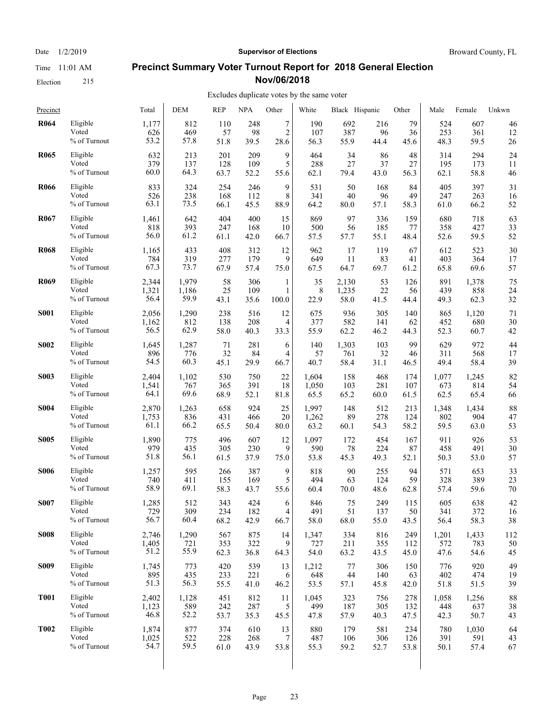Election 215

## Date  $1/2/2019$  **Supervisor of Elections** Broward County, FL **Precinct Summary Voter Turnout Report for 2018 General Election**

**Nov/06/2018**

| Precinct    |              | Total | <b>DEM</b> | <b>REP</b> | <b>NPA</b> | Other          | White | Black Hispanic |      | Other | Male  | Female | Unkwn |
|-------------|--------------|-------|------------|------------|------------|----------------|-------|----------------|------|-------|-------|--------|-------|
| <b>R064</b> | Eligible     | 1,177 | 812        | 110        | 248        | $\tau$         | 190   | 692            | 216  | 79    | 524   | 607    | 46    |
|             | Voted        | 626   | 469        | 57         | 98         | $\overline{c}$ | 107   | 387            | 96   | 36    | 253   | 361    | 12    |
|             | % of Turnout | 53.2  | 57.8       | 51.8       | 39.5       | 28.6           | 56.3  | 55.9           | 44.4 | 45.6  | 48.3  | 59.5   | 26    |
| <b>R065</b> | Eligible     | 632   | 213        | 201        | 209        | 9              | 464   | 34             | 86   | 48    | 314   | 294    | 24    |
|             | Voted        | 379   | 137        | 128        | 109        | 5              | 288   | 27             | 37   | 27    | 195   | 173    | 11    |
|             | % of Turnout | 60.0  | 64.3       | 63.7       | 52.2       | 55.6           | 62.1  | 79.4           | 43.0 | 56.3  | 62.1  | 58.8   | 46    |
| <b>R066</b> | Eligible     | 833   | 324        | 254        | 246        | 9              | 531   | 50             | 168  | 84    | 405   | 397    | 31    |
|             | Voted        | 526   | 238        | 168        | 112        | 8              | 341   | 40             | 96   | 49    | 247   | 263    | 16    |
|             | % of Turnout | 63.1  | 73.5       | 66.1       | 45.5       | 88.9           | 64.2  | 80.0           | 57.1 | 58.3  | 61.0  | 66.2   | 52    |
| <b>R067</b> | Eligible     | 1,461 | 642        | 404        | 400        | 15             | 869   | 97             | 336  | 159   | 680   | 718    | 63    |
|             | Voted        | 818   | 393        | 247        | 168        | 10             | 500   | 56             | 185  | 77    | 358   | 427    | 33    |
|             | % of Turnout | 56.0  | 61.2       | 61.1       | 42.0       | 66.7           | 57.5  | 57.7           | 55.1 | 48.4  | 52.6  | 59.5   | 52    |
| <b>R068</b> | Eligible     | 1,165 | 433        | 408        | 312        | 12             | 962   | 17             | 119  | 67    | 612   | 523    | 30    |
|             | Voted        | 784   | 319        | 277        | 179        | 9              | 649   | 11             | 83   | 41    | 403   | 364    | 17    |
|             | % of Turnout | 67.3  | 73.7       | 67.9       | 57.4       | 75.0           | 67.5  | 64.7           | 69.7 | 61.2  | 65.8  | 69.6   | 57    |
| <b>R069</b> | Eligible     | 2,344 | 1,979      | 58         | 306        | 1              | 35    | 2,130          | 53   | 126   | 891   | 1,378  | 75    |
|             | Voted        | 1,321 | 1,186      | 25         | 109        | 1              | 8     | 1,235          | 22   | 56    | 439   | 858    | 24    |
|             | % of Turnout | 56.4  | 59.9       | 43.1       | 35.6       | 100.0          | 22.9  | 58.0           | 41.5 | 44.4  | 49.3  | 62.3   | 32    |
| <b>S001</b> | Eligible     | 2,056 | 1,290      | 238        | 516        | 12             | 675   | 936            | 305  | 140   | 865   | 1,120  | 71    |
|             | Voted        | 1,162 | 812        | 138        | 208        | 4              | 377   | 582            | 141  | 62    | 452   | 680    | 30    |
|             | % of Turnout | 56.5  | 62.9       | 58.0       | 40.3       | 33.3           | 55.9  | 62.2           | 46.2 | 44.3  | 52.3  | 60.7   | 42    |
| <b>S002</b> | Eligible     | 1,645 | 1,287      | 71         | 281        | 6              | 140   | 1,303          | 103  | 99    | 629   | 972    | 44    |
|             | Voted        | 896   | 776        | 32         | 84         | $\overline{4}$ | 57    | 761            | 32   | 46    | 311   | 568    | 17    |
|             | % of Turnout | 54.5  | 60.3       | 45.1       | 29.9       | 66.7           | 40.7  | 58.4           | 31.1 | 46.5  | 49.4  | 58.4   | 39    |
| <b>S003</b> | Eligible     | 2,404 | 1,102      | 530        | 750        | 22             | 1,604 | 158            | 468  | 174   | 1,077 | 1,245  | 82    |
|             | Voted        | 1,541 | 767        | 365        | 391        | 18             | 1,050 | 103            | 281  | 107   | 673   | 814    | 54    |
|             | % of Turnout | 64.1  | 69.6       | 68.9       | 52.1       | 81.8           | 65.5  | 65.2           | 60.0 | 61.5  | 62.5  | 65.4   | 66    |
| <b>S004</b> | Eligible     | 2,870 | 1,263      | 658        | 924        | 25             | 1,997 | 148            | 512  | 213   | 1,348 | 1,434  | 88    |
|             | Voted        | 1,753 | 836        | 431        | 466        | 20             | 1,262 | 89             | 278  | 124   | 802   | 904    | 47    |
|             | % of Turnout | 61.1  | 66.2       | 65.5       | 50.4       | 80.0           | 63.2  | 60.1           | 54.3 | 58.2  | 59.5  | 63.0   | 53    |
| <b>S005</b> | Eligible     | 1,890 | 775        | 496        | 607        | 12             | 1,097 | 172            | 454  | 167   | 911   | 926    | 53    |
|             | Voted        | 979   | 435        | 305        | 230        | 9              | 590   | 78             | 224  | 87    | 458   | 491    | 30    |
|             | % of Turnout | 51.8  | 56.1       | 61.5       | 37.9       | 75.0           | 53.8  | 45.3           | 49.3 | 52.1  | 50.3  | 53.0   | 57    |
| <b>S006</b> | Eligible     | 1,257 | 595        | 266        | 387        | 9              | 818   | 90             | 255  | 94    | 571   | 653    | 33    |
|             | Voted        | 740   | 411        | 155        | 169        | 5              | 494   | 63             | 124  | 59    | 328   | 389    | 23    |
|             | % of Turnout | 58.9  | 69.1       | 58.3       | 43.7       | 55.6           | 60.4  | 70.0           | 48.6 | 62.8  | 57.4  | 59.6   | 70    |
| <b>S007</b> | Eligible     | 1,285 | 512        | 343        | 424        | 6              | 846   | 75             | 249  | 115   | 605   | 638    | 42    |
|             | Voted        | 729   | 309        | 234        | 182        | $\overline{4}$ | 491   | 51             | 137  | 50    | 341   | 372    | 16    |
|             | % of Turnout | 56.7  | 60.4       | 68.2       | 42.9       | 66.7           | 58.0  | 68.0           | 55.0 | 43.5  | 56.4  | 58.3   | 38    |
| <b>S008</b> | Eligible     | 2,746 | 1,290      | 567        | 875        | 14             | 1,347 | 334            | 816  | 249   | 1,201 | 1,433  | 112   |
|             | Voted        | 1,405 | 721        | 353        | 322        | 9              | 727   | 211            | 355  | 112   | 572   | 783    | 50    |
|             | % of Turnout | 51.2  | 55.9       | 62.3       | 36.8       | 64.3           | 54.0  | 63.2           | 43.5 | 45.0  | 47.6  | 54.6   | 45    |
| <b>S009</b> | Eligible     | 1,745 | 773        | 420        | 539        | 13             | 1,212 | 77             | 306  | 150   | 776   | 920    | 49    |
|             | Voted        | 895   | 435        | 233        | 221        | 6              | 648   | 44             | 140  | 63    | 402   | 474    | 19    |
|             | % of Turnout | 51.3  | 56.3       | 55.5       | 41.0       | 46.2           | 53.5  | 57.1           | 45.8 | 42.0  | 51.8  | 51.5   | 39    |
| <b>T001</b> | Eligible     | 2,402 | 1,128      | 451        | 812        | 11             | 1,045 | 323            | 756  | 278   | 1,058 | 1,256  | 88    |
|             | Voted        | 1,123 | 589        | 242        | 287        | 5              | 499   | 187            | 305  | 132   | 448   | 637    | 38    |
|             | % of Turnout | 46.8  | 52.2       | 53.7       | 35.3       | 45.5           | 47.8  | 57.9           | 40.3 | 47.5  | 42.3  | 50.7   | 43    |
| <b>T002</b> | Eligible     | 1,874 | 877        | 374        | 610        | 13             | 880   | 179            | 581  | 234   | 780   | 1,030  | 64    |
|             | Voted        | 1,025 | 522        | 228        | 268        | 7              | 487   | 106            | 306  | 126   | 391   | 591    | 43    |
|             | % of Turnout | 54.7  | 59.5       | 61.0       | 43.9       | 53.8           | 55.3  | 59.2           | 52.7 | 53.8  | 50.1  | 57.4   | 67    |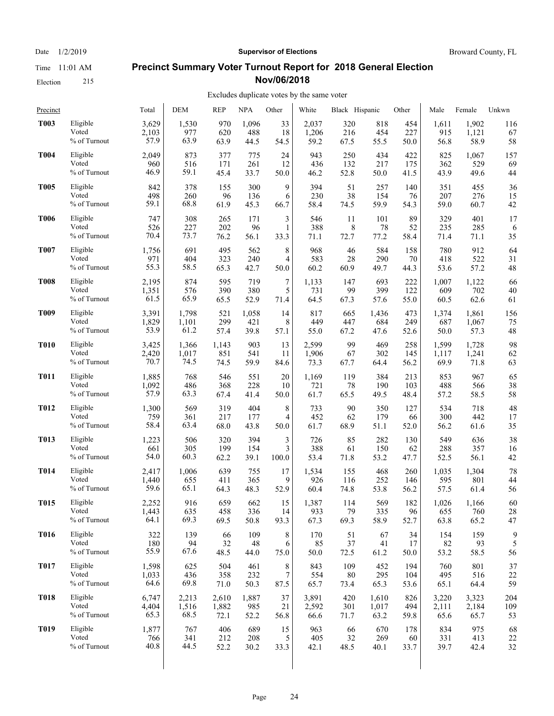Election 215

#### Date  $1/2/2019$  **Supervisor of Elections** Broward County, FL

#### **Precinct Summary Voter Turnout Report for 2018 General Election Nov/06/2018**

#### Excludes duplicate votes by the same voter

| Precinct    |              | Total | <b>DEM</b> | <b>REP</b> | <b>NPA</b> | Other | White | Black Hispanic |       | Other | Male  | Female | Unkwn |
|-------------|--------------|-------|------------|------------|------------|-------|-------|----------------|-------|-------|-------|--------|-------|
| <b>T003</b> | Eligible     | 3,629 | 1,530      | 970        | 1,096      | 33    | 2,037 | 320            | 818   | 454   | 1,611 | 1,902  | 116   |
|             | Voted        | 2,103 | 977        | 620        | 488        | 18    | 1,206 | 216            | 454   | 227   | 915   | 1,121  | 67    |
|             | % of Turnout | 57.9  | 63.9       | 63.9       | 44.5       | 54.5  | 59.2  | 67.5           | 55.5  | 50.0  | 56.8  | 58.9   | 58    |
| <b>T004</b> | Eligible     | 2,049 | 873        | 377        | 775        | 24    | 943   | 250            | 434   | 422   | 825   | 1,067  | 157   |
|             | Voted        | 960   | 516        | 171        | 261        | 12    | 436   | 132            | 217   | 175   | 362   | 529    | 69    |
|             | % of Turnout | 46.9  | 59.1       | 45.4       | 33.7       | 50.0  | 46.2  | 52.8           | 50.0  | 41.5  | 43.9  | 49.6   | 44    |
| <b>T005</b> | Eligible     | 842   | 378        | 155        | 300        | 9     | 394   | 51             | 257   | 140   | 351   | 455    | 36    |
|             | Voted        | 498   | 260        | 96         | 136        | 6     | 230   | 38             | 154   | 76    | 207   | 276    | 15    |
|             | % of Turnout | 59.1  | 68.8       | 61.9       | 45.3       | 66.7  | 58.4  | 74.5           | 59.9  | 54.3  | 59.0  | 60.7   | 42    |
| <b>T006</b> | Eligible     | 747   | 308        | 265        | 171        | 3     | 546   | 11             | 101   | 89    | 329   | 401    | 17    |
|             | Voted        | 526   | 227        | 202        | 96         | 1     | 388   | 8              | 78    | 52    | 235   | 285    | 6     |
|             | % of Turnout | 70.4  | 73.7       | 76.2       | 56.1       | 33.3  | 71.1  | 72.7           | 77.2  | 58.4  | 71.4  | 71.1   | 35    |
| <b>T007</b> | Eligible     | 1,756 | 691        | 495        | 562        | 8     | 968   | 46             | 584   | 158   | 780   | 912    | 64    |
|             | Voted        | 971   | 404        | 323        | 240        | 4     | 583   | 28             | 290   | 70    | 418   | 522    | 31    |
|             | % of Turnout | 55.3  | 58.5       | 65.3       | 42.7       | 50.0  | 60.2  | 60.9           | 49.7  | 44.3  | 53.6  | 57.2   | 48    |
| <b>T008</b> | Eligible     | 2,195 | 874        | 595        | 719        | 7     | 1,133 | 147            | 693   | 222   | 1,007 | 1,122  | 66    |
|             | Voted        | 1,351 | 576        | 390        | 380        | 5     | 731   | 99             | 399   | 122   | 609   | 702    | 40    |
|             | % of Turnout | 61.5  | 65.9       | 65.5       | 52.9       | 71.4  | 64.5  | 67.3           | 57.6  | 55.0  | 60.5  | 62.6   | 61    |
| <b>T009</b> | Eligible     | 3,391 | 1,798      | 521        | 1,058      | 14    | 817   | 665            | 1,436 | 473   | 1,374 | 1,861  | 156   |
|             | Voted        | 1,829 | 1,101      | 299        | 421        | 8     | 449   | 447            | 684   | 249   | 687   | 1,067  | 75    |
|             | % of Turnout | 53.9  | 61.2       | 57.4       | 39.8       | 57.1  | 55.0  | 67.2           | 47.6  | 52.6  | 50.0  | 57.3   | 48    |
| <b>T010</b> | Eligible     | 3,425 | 1,366      | 1,143      | 903        | 13    | 2,599 | 99             | 469   | 258   | 1,599 | 1,728  | 98    |
|             | Voted        | 2,420 | 1,017      | 851        | 541        | 11    | 1,906 | 67             | 302   | 145   | 1,117 | 1,241  | 62    |
|             | % of Turnout | 70.7  | 74.5       | 74.5       | 59.9       | 84.6  | 73.3  | 67.7           | 64.4  | 56.2  | 69.9  | 71.8   | 63    |
| <b>T011</b> | Eligible     | 1,885 | 768        | 546        | 551        | 20    | 1,169 | 119            | 384   | 213   | 853   | 967    | 65    |
|             | Voted        | 1,092 | 486        | 368        | 228        | 10    | 721   | 78             | 190   | 103   | 488   | 566    | 38    |
|             | % of Turnout | 57.9  | 63.3       | 67.4       | 41.4       | 50.0  | 61.7  | 65.5           | 49.5  | 48.4  | 57.2  | 58.5   | 58    |
| <b>T012</b> | Eligible     | 1,300 | 569        | 319        | 404        | 8     | 733   | 90             | 350   | 127   | 534   | 718    | 48    |
|             | Voted        | 759   | 361        | 217        | 177        | 4     | 452   | 62             | 179   | 66    | 300   | 442    | 17    |
|             | % of Turnout | 58.4  | 63.4       | 68.0       | 43.8       | 50.0  | 61.7  | 68.9           | 51.1  | 52.0  | 56.2  | 61.6   | 35    |
| <b>T013</b> | Eligible     | 1,223 | 506        | 320        | 394        | 3     | 726   | 85             | 282   | 130   | 549   | 636    | 38    |
|             | Voted        | 661   | 305        | 199        | 154        | 3     | 388   | 61             | 150   | 62    | 288   | 357    | 16    |
|             | % of Turnout | 54.0  | 60.3       | 62.2       | 39.1       | 100.0 | 53.4  | 71.8           | 53.2  | 47.7  | 52.5  | 56.1   | 42    |
| <b>T014</b> | Eligible     | 2,417 | 1,006      | 639        | 755        | 17    | 1,534 | 155            | 468   | 260   | 1,035 | 1,304  | 78    |
|             | Voted        | 1,440 | 655        | 411        | 365        | 9     | 926   | 116            | 252   | 146   | 595   | 801    | 44    |
|             | % of Turnout | 59.6  | 65.1       | 64.3       | 48.3       | 52.9  | 60.4  | 74.8           | 53.8  | 56.2  | 57.5  | 61.4   | 56    |
| <b>T015</b> | Eligible     | 2,252 | 916        | 659        | 662        | 15    | 1,387 | 114            | 569   | 182   | 1,026 | 1,166  | 60    |
|             | Voted        | 1,443 | 635        | 458        | 336        | 14    | 933   | 79             | 335   | 96    | 655   | 760    | 28    |
|             | % of Turnout | 64.1  | 69.3       | 69.5       | 50.8       | 93.3  | 67.3  | 69.3           | 58.9  | 52.7  | 63.8  | 65.2   | 47    |
| <b>T016</b> | Eligible     | 322   | 139        | 66         | 109        | 8     | 170   | 51             | 67    | 34    | 154   | 159    | 9     |
|             | Voted        | 180   | 94         | 32         | 48         | 6     | 85    | 37             | 41    | 17    | 82    | 93     | 5     |
|             | % of Turnout | 55.9  | 67.6       | 48.5       | 44.0       | 75.0  | 50.0  | 72.5           | 61.2  | 50.0  | 53.2  | 58.5   | 56    |
| <b>T017</b> | Eligible     | 1,598 | 625        | 504        | 461        | 8     | 843   | 109            | 452   | 194   | 760   | 801    | 37    |
|             | Voted        | 1,033 | 436        | 358        | 232        | 7     | 554   | 80             | 295   | 104   | 495   | 516    | 22    |
|             | % of Turnout | 64.6  | 69.8       | 71.0       | 50.3       | 87.5  | 65.7  | 73.4           | 65.3  | 53.6  | 65.1  | 64.4   | 59    |
| <b>T018</b> | Eligible     | 6,747 | 2,213      | 2,610      | 1,887      | 37    | 3,891 | 420            | 1,610 | 826   | 3,220 | 3,323  | 204   |
|             | Voted        | 4,404 | 1,516      | 1,882      | 985        | 21    | 2,592 | 301            | 1,017 | 494   | 2,111 | 2,184  | 109   |
|             | % of Turnout | 65.3  | 68.5       | 72.1       | 52.2       | 56.8  | 66.6  | 71.7           | 63.2  | 59.8  | 65.6  | 65.7   | 53    |
| <b>T019</b> | Eligible     | 1,877 | 767        | 406        | 689        | 15    | 963   | 66             | 670   | 178   | 834   | 975    | 68    |
|             | Voted        | 766   | 341        | 212        | 208        | 5     | 405   | 32             | 269   | 60    | 331   | 413    | 22    |
|             | % of Turnout | 40.8  | 44.5       | 52.2       | 30.2       | 33.3  | 42.1  | 48.5           | 40.1  | 33.7  | 39.7  | 42.4   | 32    |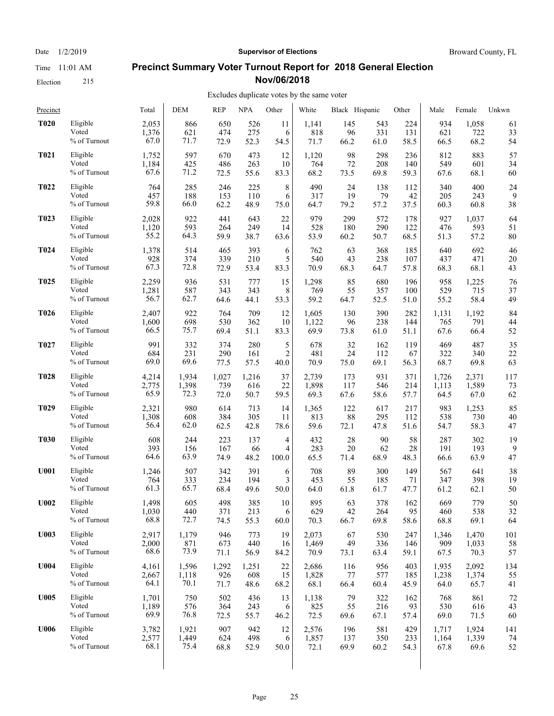Election 215

## Date  $1/2/2019$  **Supervisor of Elections** Broward County, FL

#### **Precinct Summary Voter Turnout Report for 2018 General Election Nov/06/2018**

#### Excludes duplicate votes by the same voter

| Precinct         |              | Total | <b>DEM</b> | <b>REP</b> | <b>NPA</b> | Other          | White | Black Hispanic |      | Other | Male  | Female | Unkwn |
|------------------|--------------|-------|------------|------------|------------|----------------|-------|----------------|------|-------|-------|--------|-------|
| <b>T020</b>      | Eligible     | 2,053 | 866        | 650        | 526        | 11             | 1,141 | 145            | 543  | 224   | 934   | 1,058  | 61    |
|                  | Voted        | 1,376 | 621        | 474        | 275        | 6              | 818   | 96             | 331  | 131   | 621   | 722    | 33    |
|                  | % of Turnout | 67.0  | 71.7       | 72.9       | 52.3       | 54.5           | 71.7  | 66.2           | 61.0 | 58.5  | 66.5  | 68.2   | 54    |
| <b>T021</b>      | Eligible     | 1,752 | 597        | 670        | 473        | 12             | 1,120 | 98             | 298  | 236   | 812   | 883    | 57    |
|                  | Voted        | 1,184 | 425        | 486        | 263        | 10             | 764   | 72             | 208  | 140   | 549   | 601    | 34    |
|                  | % of Turnout | 67.6  | 71.2       | 72.5       | 55.6       | 83.3           | 68.2  | 73.5           | 69.8 | 59.3  | 67.6  | 68.1   | 60    |
| <b>T022</b>      | Eligible     | 764   | 285        | 246        | 225        | 8              | 490   | 24             | 138  | 112   | 340   | 400    | 24    |
|                  | Voted        | 457   | 188        | 153        | 110        | 6              | 317   | 19             | 79   | 42    | 205   | 243    | 9     |
|                  | % of Turnout | 59.8  | 66.0       | 62.2       | 48.9       | 75.0           | 64.7  | 79.2           | 57.2 | 37.5  | 60.3  | 60.8   | 38    |
| T <sub>023</sub> | Eligible     | 2,028 | 922        | 441        | 643        | 22             | 979   | 299            | 572  | 178   | 927   | 1,037  | 64    |
|                  | Voted        | 1,120 | 593        | 264        | 249        | 14             | 528   | 180            | 290  | 122   | 476   | 593    | 51    |
|                  | % of Turnout | 55.2  | 64.3       | 59.9       | 38.7       | 63.6           | 53.9  | 60.2           | 50.7 | 68.5  | 51.3  | 57.2   | 80    |
| <b>T024</b>      | Eligible     | 1,378 | 514        | 465        | 393        | 6              | 762   | 63             | 368  | 185   | 640   | 692    | 46    |
|                  | Voted        | 928   | 374        | 339        | 210        | 5              | 540   | 43             | 238  | 107   | 437   | 471    | 20    |
|                  | % of Turnout | 67.3  | 72.8       | 72.9       | 53.4       | 83.3           | 70.9  | 68.3           | 64.7 | 57.8  | 68.3  | 68.1   | 43    |
| <b>T025</b>      | Eligible     | 2,259 | 936        | 531        | 777        | 15             | 1,298 | 85             | 680  | 196   | 958   | 1,225  | 76    |
|                  | Voted        | 1,281 | 587        | 343        | 343        | 8              | 769   | 55             | 357  | 100   | 529   | 715    | 37    |
|                  | % of Turnout | 56.7  | 62.7       | 64.6       | 44.1       | 53.3           | 59.2  | 64.7           | 52.5 | 51.0  | 55.2  | 58.4   | 49    |
| <b>T026</b>      | Eligible     | 2,407 | 922        | 764        | 709        | 12             | 1,605 | 130            | 390  | 282   | 1,131 | 1,192  | 84    |
|                  | Voted        | 1,600 | 698        | 530        | 362        | 10             | 1,122 | 96             | 238  | 144   | 765   | 791    | 44    |
|                  | % of Turnout | 66.5  | 75.7       | 69.4       | 51.1       | 83.3           | 69.9  | 73.8           | 61.0 | 51.1  | 67.6  | 66.4   | 52    |
| <b>T027</b>      | Eligible     | 991   | 332        | 374        | 280        | 5              | 678   | 32             | 162  | 119   | 469   | 487    | 35    |
|                  | Voted        | 684   | 231        | 290        | 161        | $\overline{2}$ | 481   | 24             | 112  | 67    | 322   | 340    | 22    |
|                  | % of Turnout | 69.0  | 69.6       | 77.5       | 57.5       | 40.0           | 70.9  | 75.0           | 69.1 | 56.3  | 68.7  | 69.8   | 63    |
| <b>T028</b>      | Eligible     | 4,214 | 1,934      | 1,027      | 1,216      | 37             | 2,739 | 173            | 931  | 371   | 1,726 | 2,371  | 117   |
|                  | Voted        | 2,775 | 1,398      | 739        | 616        | 22             | 1,898 | 117            | 546  | 214   | 1,113 | 1,589  | 73    |
|                  | % of Turnout | 65.9  | 72.3       | 72.0       | 50.7       | 59.5           | 69.3  | 67.6           | 58.6 | 57.7  | 64.5  | 67.0   | 62    |
| T <sub>029</sub> | Eligible     | 2,321 | 980        | 614        | 713        | 14             | 1,365 | 122            | 617  | 217   | 983   | 1,253  | 85    |
|                  | Voted        | 1,308 | 608        | 384        | 305        | 11             | 813   | 88             | 295  | 112   | 538   | 730    | 40    |
|                  | % of Turnout | 56.4  | 62.0       | 62.5       | 42.8       | 78.6           | 59.6  | 72.1           | 47.8 | 51.6  | 54.7  | 58.3   | 47    |
| <b>T030</b>      | Eligible     | 608   | 244        | 223        | 137        | 4              | 432   | 28             | 90   | 58    | 287   | 302    | 19    |
|                  | Voted        | 393   | 156        | 167        | 66         | 4              | 283   | $20\,$         | 62   | 28    | 191   | 193    | 9     |
|                  | % of Turnout | 64.6  | 63.9       | 74.9       | 48.2       | 100.0          | 65.5  | 71.4           | 68.9 | 48.3  | 66.6  | 63.9   | 47    |
| <b>U001</b>      | Eligible     | 1,246 | 507        | 342        | 391        | 6              | 708   | 89             | 300  | 149   | 567   | 641    | 38    |
|                  | Voted        | 764   | 333        | 234        | 194        | 3              | 453   | 55             | 185  | 71    | 347   | 398    | 19    |
|                  | % of Turnout | 61.3  | 65.7       | 68.4       | 49.6       | 50.0           | 64.0  | 61.8           | 61.7 | 47.7  | 61.2  | 62.1   | 50    |
| <b>U002</b>      | Eligible     | 1.498 | 605        | 498        | 385        | 10             | 895   | 63             | 378  | 162   | 669   | 779    | 50    |
|                  | Voted        | 1,030 | 440        | 371        | 213        | 6              | 629   | 42             | 264  | 95    | 460   | 538    | 32    |
|                  | % of Turnout | 68.8  | 72.7       | 74.5       | 55.3       | 60.0           | 70.3  | 66.7           | 69.8 | 58.6  | 68.8  | 69.1   | 64    |
| <b>U003</b>      | Eligible     | 2,917 | 1,179      | 946        | 773        | 19             | 2,073 | 67             | 530  | 247   | 1,346 | 1,470  | 101   |
|                  | Voted        | 2,000 | 871        | 673        | 440        | 16             | 1,469 | 49             | 336  | 146   | 909   | 1,033  | 58    |
|                  | % of Turnout | 68.6  | 73.9       | 71.1       | 56.9       | 84.2           | 70.9  | 73.1           | 63.4 | 59.1  | 67.5  | 70.3   | 57    |
| <b>U004</b>      | Eligible     | 4,161 | 1,596      | 1,292      | 1,251      | 22             | 2,686 | 116            | 956  | 403   | 1,935 | 2,092  | 134   |
|                  | Voted        | 2,667 | 1,118      | 926        | 608        | 15             | 1,828 | 77             | 577  | 185   | 1,238 | 1,374  | 55    |
|                  | % of Turnout | 64.1  | 70.1       | 71.7       | 48.6       | 68.2           | 68.1  | 66.4           | 60.4 | 45.9  | 64.0  | 65.7   | 41    |
| U005             | Eligible     | 1,701 | 750        | 502        | 436        | 13             | 1,138 | 79             | 322  | 162   | 768   | 861    | 72    |
|                  | Voted        | 1,189 | 576        | 364        | 243        | 6              | 825   | 55             | 216  | 93    | 530   | 616    | 43    |
|                  | % of Turnout | 69.9  | 76.8       | 72.5       | 55.7       | 46.2           | 72.5  | 69.6           | 67.1 | 57.4  | 69.0  | 71.5   | 60    |
| U006             | Eligible     | 3,782 | 1,921      | 907        | 942        | 12             | 2,576 | 196            | 581  | 429   | 1,717 | 1,924  | 141   |
|                  | Voted        | 2,577 | 1,449      | 624        | 498        | 6              | 1,857 | 137            | 350  | 233   | 1,164 | 1,339  | 74    |
|                  | % of Turnout | 68.1  | 75.4       | 68.8       | 52.9       | 50.0           | 72.1  | 69.9           | 60.2 | 54.3  | 67.8  | 69.6   | 52    |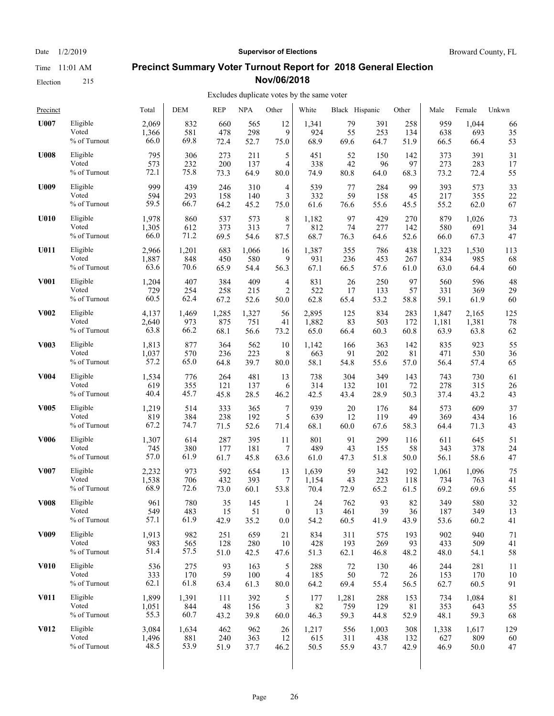Election 215

# Date  $1/2/2019$  **Supervisor of Elections** Broward County, FL

#### **Precinct Summary Voter Turnout Report for 2018 General Election Nov/06/2018**

#### Excludes duplicate votes by the same voter  $\overline{1}$

| Precinct         |                 | Total | DEM   | REP   | <b>NPA</b> | Other            | White | Black Hispanic |       | Other | Male  | Female | Unkwn |
|------------------|-----------------|-------|-------|-------|------------|------------------|-------|----------------|-------|-------|-------|--------|-------|
| U007             | Eligible        | 2,069 | 832   | 660   | 565        | 12               | 1,341 | 79             | 391   | 258   | 959   | 1,044  | 66    |
|                  | Voted           | 1,366 | 581   | 478   | 298        | 9                | 924   | 55             | 253   | 134   | 638   | 693    | 35    |
|                  | $\%$ of Turnout | 66.0  | 69.8  | 72.4  | 52.7       | 75.0             | 68.9  | 69.6           | 64.7  | 51.9  | 66.5  | 66.4   | 53    |
| <b>U008</b>      | Eligible        | 795   | 306   | 273   | 211        | 5                | 451   | 52             | 150   | 142   | 373   | 391    | 31    |
|                  | Voted           | 573   | 232   | 200   | 137        | 4                | 338   | 42             | 96    | 97    | 273   | 283    | 17    |
|                  | % of Turnout    | 72.1  | 75.8  | 73.3  | 64.9       | 80.0             | 74.9  | 80.8           | 64.0  | 68.3  | 73.2  | 72.4   | 55    |
| <b>U009</b>      | Eligible        | 999   | 439   | 246   | 310        | 4                | 539   | 77             | 284   | 99    | 393   | 573    | 33    |
|                  | Voted           | 594   | 293   | 158   | 140        | 3                | 332   | 59             | 158   | 45    | 217   | 355    | 22    |
|                  | % of Turnout    | 59.5  | 66.7  | 64.2  | 45.2       | 75.0             | 61.6  | 76.6           | 55.6  | 45.5  | 55.2  | 62.0   | 67    |
| U010             | Eligible        | 1,978 | 860   | 537   | 573        | 8                | 1,182 | 97             | 429   | 270   | 879   | 1,026  | 73    |
|                  | Voted           | 1,305 | 612   | 373   | 313        | 7                | 812   | 74             | 277   | 142   | 580   | 691    | 34    |
|                  | $\%$ of Turnout | 66.0  | 71.2  | 69.5  | 54.6       | 87.5             | 68.7  | 76.3           | 64.6  | 52.6  | 66.0  | 67.3   | 47    |
| U011             | Eligible        | 2,966 | 1,201 | 683   | 1,066      | 16               | 1,387 | 355            | 786   | 438   | 1,323 | 1,530  | 113   |
|                  | Voted           | 1,887 | 848   | 450   | 580        | 9                | 931   | 236            | 453   | 267   | 834   | 985    | 68    |
|                  | % of Turnout    | 63.6  | 70.6  | 65.9  | 54.4       | 56.3             | 67.1  | 66.5           | 57.6  | 61.0  | 63.0  | 64.4   | 60    |
| <b>V001</b>      | Eligible        | 1,204 | 407   | 384   | 409        | $\overline{4}$   | 831   | 26             | 250   | 97    | 560   | 596    | 48    |
|                  | Voted           | 729   | 254   | 258   | 215        | $\overline{2}$   | 522   | 17             | 133   | 57    | 331   | 369    | 29    |
|                  | % of Turnout    | 60.5  | 62.4  | 67.2  | 52.6       | 50.0             | 62.8  | 65.4           | 53.2  | 58.8  | 59.1  | 61.9   | 60    |
| <b>V002</b>      | Eligible        | 4,137 | 1,469 | 1,285 | 1,327      | 56               | 2,895 | 125            | 834   | 283   | 1,847 | 2.165  | 125   |
|                  | Voted           | 2,640 | 973   | 875   | 751        | 41               | 1,882 | 83             | 503   | 172   | 1,181 | 1,381  | 78    |
|                  | % of Turnout    | 63.8  | 66.2  | 68.1  | 56.6       | 73.2             | 65.0  | 66.4           | 60.3  | 60.8  | 63.9  | 63.8   | 62    |
| <b>V003</b>      | Eligible        | 1,813 | 877   | 364   | 562        | 10               | 1,142 | 166            | 363   | 142   | 835   | 923    | 55    |
|                  | Voted           | 1,037 | 570   | 236   | 223        | 8                | 663   | 91             | 202   | 81    | 471   | 530    | 36    |
|                  | % of Turnout    | 57.2  | 65.0  | 64.8  | 39.7       | 80.0             | 58.1  | 54.8           | 55.6  | 57.0  | 56.4  | 57.4   | 65    |
| <b>V004</b>      | Eligible        | 1,534 | 776   | 264   | 481        | 13               | 738   | 304            | 349   | 143   | 743   | 730    | 61    |
|                  | Voted           | 619   | 355   | 121   | 137        | 6                | 314   | 132            | 101   | 72    | 278   | 315    | 26    |
|                  | $\%$ of Turnout | 40.4  | 45.7  | 45.8  | 28.5       | 46.2             | 42.5  | 43.4           | 28.9  | 50.3  | 37.4  | 43.2   | 43    |
| <b>V005</b>      | Eligible        | 1,219 | 514   | 333   | 365        | $\boldsymbol{7}$ | 939   | 20             | 176   | 84    | 573   | 609    | 37    |
|                  | Voted           | 819   | 384   | 238   | 192        | 5                | 639   | 12             | 119   | 49    | 369   | 434    | 16    |
|                  | % of Turnout    | 67.2  | 74.7  | 71.5  | 52.6       | 71.4             | 68.1  | 60.0           | 67.6  | 58.3  | 64.4  | 71.3   | 43    |
| <b>V006</b>      | Eligible        | 1,307 | 614   | 287   | 395        | 11               | 801   | 91             | 299   | 116   | 611   | 645    | 51    |
|                  | Voted           | 745   | 380   | 177   | 181        | 7                | 489   | 43             | 155   | 58    | 343   | 378    | 24    |
|                  | % of Turnout    | 57.0  | 61.9  | 61.7  | 45.8       | 63.6             | 61.0  | 47.3           | 51.8  | 50.0  | 56.1  | 58.6   | 47    |
| <b>V007</b>      | Eligible        | 2,232 | 973   | 592   | 654        | 13               | 1,639 | 59             | 342   | 192   | 1,061 | 1,096  | 75    |
|                  | Voted           | 1,538 | 706   | 432   | 393        | 7                | 1,154 | 43             | 223   | 118   | 734   | 763    | 41    |
|                  | % of Turnout    | 68.9  | 72.6  | 73.0  | 60.1       | 53.8             | 70.4  | 72.9           | 65.2  | 61.5  | 69.2  | 69.6   | 55    |
| <b>V008</b>      | Eligible        | 961   | 780   | 35    | 145        | 1                | 24    | 762            | 93    | 82    | 349   | 580    | 32    |
|                  | Voted           | 549   | 483   | 15    | 51         | $\boldsymbol{0}$ | 13    | 461            | 39    | 36    | 187   | 349    | 13    |
|                  | % of Turnout    | 57.1  | 61.9  | 42.9  | 35.2       | $0.0\,$          | 54.2  | 60.5           | 41.9  | 43.9  | 53.6  | 60.2   | 41    |
| V <sub>009</sub> | Eligible        | 1,913 | 982   | 251   | 659        | 21               | 834   | 311            | 575   | 193   | 902   | 940    | 71    |
|                  | Voted           | 983   | 565   | 128   | 280        | 10               | 428   | 193            | 269   | 93    | 433   | 509    | 41    |
|                  | % of Turnout    | 51.4  | 57.5  | 51.0  | 42.5       | 47.6             | 51.3  | 62.1           | 46.8  | 48.2  | 48.0  | 54.1   | 58    |
| <b>V010</b>      | Eligible        | 536   | 275   | 93    | 163        | 5                | 288   | 72             | 130   | 46    | 244   | 281    | 11    |
|                  | Voted           | 333   | 170   | 59    | 100        | $\overline{4}$   | 185   | 50             | 72    | 26    | 153   | 170    | 10    |
|                  | % of Turnout    | 62.1  | 61.8  | 63.4  | 61.3       | 80.0             | 64.2  | 69.4           | 55.4  | 56.5  | 62.7  | 60.5   | 91    |
| <b>V011</b>      | Eligible        | 1,899 | 1,391 | 111   | 392        | 5                | 177   | 1,281          | 288   | 153   | 734   | 1,084  | 81    |
|                  | Voted           | 1,051 | 844   | 48    | 156        | 3                | 82    | 759            | 129   | 81    | 353   | 643    | 55    |
|                  | % of Turnout    | 55.3  | 60.7  | 43.2  | 39.8       | 60.0             | 46.3  | 59.3           | 44.8  | 52.9  | 48.1  | 59.3   | 68    |
| <b>V012</b>      | Eligible        | 3,084 | 1,634 | 462   | 962        | 26               | 1,217 | 556            | 1,003 | 308   | 1,338 | 1,617  | 129   |
|                  | Voted           | 1,496 | 881   | 240   | 363        | 12               | 615   | 311            | 438   | 132   | 627   | 809    | 60    |
|                  | % of Turnout    | 48.5  | 53.9  | 51.9  | 37.7       | 46.2             | 50.5  | 55.9           | 43.7  | 42.9  | 46.9  | 50.0   | 47    |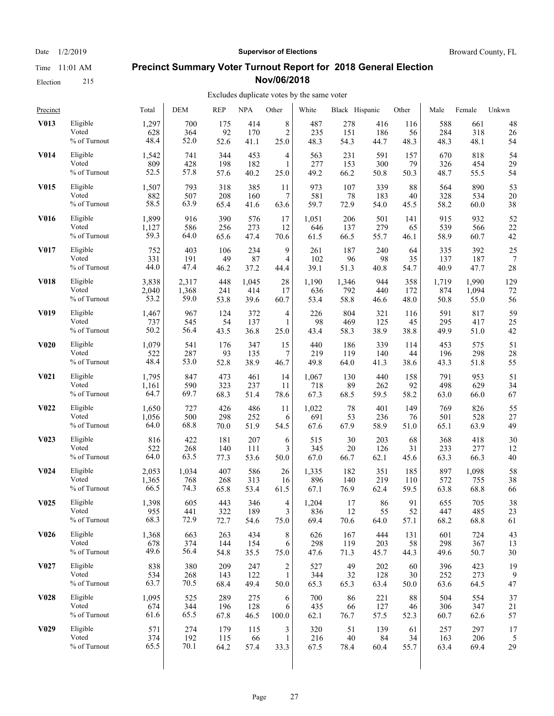Election 215

# Date  $1/2/2019$  **Supervisor of Elections** Broward County, FL

#### **Precinct Summary Voter Turnout Report for 2018 General Election Nov/06/2018**

| Precinct          |                 | Total | <b>DEM</b> | <b>REP</b> | <b>NPA</b> | Other            | White | Black Hispanic |      | Other | Male  | Female | Unkwn |
|-------------------|-----------------|-------|------------|------------|------------|------------------|-------|----------------|------|-------|-------|--------|-------|
| V013              | Eligible        | 1,297 | 700        | 175        | 414        | 8                | 487   | 278            | 416  | 116   | 588   | 661    | 48    |
|                   | Voted           | 628   | 364        | 92         | 170        | $\overline{c}$   | 235   | 151            | 186  | 56    | 284   | 318    | 26    |
|                   | % of Turnout    | 48.4  | 52.0       | 52.6       | 41.1       | 25.0             | 48.3  | 54.3           | 44.7 | 48.3  | 48.3  | 48.1   | 54    |
| <b>V014</b>       | Eligible        | 1,542 | 741        | 344        | 453        | 4                | 563   | 231            | 591  | 157   | 670   | 818    | 54    |
|                   | Voted           | 809   | 428        | 198        | 182        | 1                | 277   | 153            | 300  | 79    | 326   | 454    | 29    |
|                   | % of Turnout    | 52.5  | 57.8       | 57.6       | 40.2       | 25.0             | 49.2  | 66.2           | 50.8 | 50.3  | 48.7  | 55.5   | 54    |
| <b>V015</b>       | Eligible        | 1,507 | 793        | 318        | 385        | 11               | 973   | 107            | 339  | 88    | 564   | 890    | 53    |
|                   | Voted           | 882   | 507        | 208        | 160        | 7                | 581   | 78             | 183  | 40    | 328   | 534    | 20    |
|                   | % of Turnout    | 58.5  | 63.9       | 65.4       | 41.6       | 63.6             | 59.7  | 72.9           | 54.0 | 45.5  | 58.2  | 60.0   | 38    |
| <b>V016</b>       | Eligible        | 1,899 | 916        | 390        | 576        | 17               | 1,051 | 206            | 501  | 141   | 915   | 932    | 52    |
|                   | Voted           | 1,127 | 586        | 256        | 273        | 12               | 646   | 137            | 279  | 65    | 539   | 566    | 22    |
|                   | $\%$ of Turnout | 59.3  | 64.0       | 65.6       | 47.4       | 70.6             | 61.5  | 66.5           | 55.7 | 46.1  | 58.9  | 60.7   | 42    |
| V017              | Eligible        | 752   | 403        | 106        | 234        | 9                | 261   | 187            | 240  | 64    | 335   | 392    | 25    |
|                   | Voted           | 331   | 191        | 49         | 87         | 4                | 102   | 96             | 98   | 35    | 137   | 187    | 7     |
|                   | % of Turnout    | 44.0  | 47.4       | 46.2       | 37.2       | 44.4             | 39.1  | 51.3           | 40.8 | 54.7  | 40.9  | 47.7   | 28    |
| <b>V018</b>       | Eligible        | 3,838 | 2,317      | 448        | 1,045      | 28               | 1,190 | 1,346          | 944  | 358   | 1,719 | 1,990  | 129   |
|                   | Voted           | 2,040 | 1,368      | 241        | 414        | 17               | 636   | 792            | 440  | 172   | 874   | 1,094  | 72    |
|                   | % of Turnout    | 53.2  | 59.0       | 53.8       | 39.6       | 60.7             | 53.4  | 58.8           | 46.6 | 48.0  | 50.8  | 55.0   | 56    |
| V <sub>0</sub> 19 | Eligible        | 1,467 | 967        | 124        | 372        | 4                | 226   | 804            | 321  | 116   | 591   | 817    | 59    |
|                   | Voted           | 737   | 545        | 54         | 137        | 1                | 98    | 469            | 125  | 45    | 295   | 417    | 25    |
|                   | % of Turnout    | 50.2  | 56.4       | 43.5       | 36.8       | 25.0             | 43.4  | 58.3           | 38.9 | 38.8  | 49.9  | 51.0   | 42    |
| <b>V020</b>       | Eligible        | 1,079 | 541        | 176        | 347        | 15               | 440   | 186            | 339  | 114   | 453   | 575    | 51    |
|                   | Voted           | 522   | 287        | 93         | 135        | 7                | 219   | 119            | 140  | 44    | 196   | 298    | 28    |
|                   | % of Turnout    | 48.4  | 53.0       | 52.8       | 38.9       | 46.7             | 49.8  | 64.0           | 41.3 | 38.6  | 43.3  | 51.8   | 55    |
| V <sub>0</sub> 21 | Eligible        | 1,795 | 847        | 473        | 461        | 14               | 1,067 | 130            | 440  | 158   | 791   | 953    | 51    |
|                   | Voted           | 1,161 | 590        | 323        | 237        | 11               | 718   | 89             | 262  | 92    | 498   | 629    | 34    |
|                   | % of Turnout    | 64.7  | 69.7       | 68.3       | 51.4       | 78.6             | 67.3  | 68.5           | 59.5 | 58.2  | 63.0  | 66.0   | 67    |
| V <sub>0</sub> 22 | Eligible        | 1,650 | 727        | 426        | 486        | 11               | 1,022 | 78             | 401  | 149   | 769   | 826    | 55    |
|                   | Voted           | 1,056 | 500        | 298        | 252        | 6                | 691   | 53             | 236  | 76    | 501   | 528    | 27    |
|                   | % of Turnout    | 64.0  | 68.8       | 70.0       | 51.9       | 54.5             | 67.6  | 67.9           | 58.9 | 51.0  | 65.1  | 63.9   | 49    |
| V <sub>0</sub> 23 | Eligible        | 816   | 422        | 181        | 207        | 6                | 515   | 30             | 203  | 68    | 368   | 418    | 30    |
|                   | Voted           | 522   | 268        | 140        | 111        | 3                | 345   | 20             | 126  | 31    | 233   | 277    | 12    |
|                   | % of Turnout    | 64.0  | 63.5       | 77.3       | 53.6       | 50.0             | 67.0  | 66.7           | 62.1 | 45.6  | 63.3  | 66.3   | 40    |
| V <sub>0</sub> 24 | Eligible        | 2,053 | 1,034      | 407        | 586        | 26               | 1,335 | 182            | 351  | 185   | 897   | 1,098  | 58    |
|                   | Voted           | 1,365 | 768        | 268        | 313        | 16               | 896   | 140            | 219  | 110   | 572   | 755    | 38    |
|                   | % of Turnout    | 66.5  | 74.3       | 65.8       | 53.4       | 61.5             | 67.1  | 76.9           | 62.4 | 59.5  | 63.8  | 68.8   | 66    |
| V <sub>0</sub> 25 | Eligible        | 1,398 | 605        | 443        | 346        | 4                | 1,204 | 17             | 86   | 91    | 655   | 705    | 38    |
|                   | Voted           | 955   | 441        | 322        | 189        | 3                | 836   | 12             | 55   | 52    | 447   | 485    | 23    |
|                   | % of Turnout    | 68.3  | 72.9       | 72.7       | 54.6       | 75.0             | 69.4  | 70.6           | 64.0 | 57.1  | 68.2  | 68.8   | 61    |
| <b>V026</b>       | Eligible        | 1,368 | 663        | 263        | 434        | 8                | 626   | 167            | 444  | 131   | 601   | 724    | 43    |
|                   | Voted           | 678   | 374        | 144        | 154        | 6                | 298   | 119            | 203  | 58    | 298   | 367    | 13    |
|                   | % of Turnout    | 49.6  | 56.4       | 54.8       | 35.5       | 75.0             | 47.6  | 71.3           | 45.7 | 44.3  | 49.6  | 50.7   | 30    |
| V <sub>0</sub> 27 | Eligible        | 838   | 380        | 209        | 247        | $\boldsymbol{2}$ | 527   | 49             | 202  | 60    | 396   | 423    | 19    |
|                   | Voted           | 534   | 268        | 143        | 122        | $\mathbf{1}$     | 344   | 32             | 128  | 30    | 252   | 273    | 9     |
|                   | % of Turnout    | 63.7  | 70.5       | 68.4       | 49.4       | 50.0             | 65.3  | 65.3           | 63.4 | 50.0  | 63.6  | 64.5   | 47    |
| <b>V028</b>       | Eligible        | 1,095 | 525        | 289        | 275        | 6                | 700   | 86             | 221  | 88    | 504   | 554    | 37    |
|                   | Voted           | 674   | 344        | 196        | 128        | 6                | 435   | 66             | 127  | 46    | 306   | 347    | 21    |
|                   | % of Turnout    | 61.6  | 65.5       | 67.8       | 46.5       | 100.0            | 62.1  | 76.7           | 57.5 | 52.3  | 60.7  | 62.6   | 57    |
| V <sub>0</sub> 29 | Eligible        | 571   | 274        | 179        | 115        | 3                | 320   | 51             | 139  | 61    | 257   | 297    | 17    |
|                   | Voted           | 374   | 192        | 115        | 66         | $\mathbf{1}$     | 216   | 40             | 84   | 34    | 163   | 206    | 5     |
|                   | % of Turnout    | 65.5  | 70.1       | 64.2       | 57.4       | 33.3             | 67.5  | 78.4           | 60.4 | 55.7  | 63.4  | 69.4   | 29    |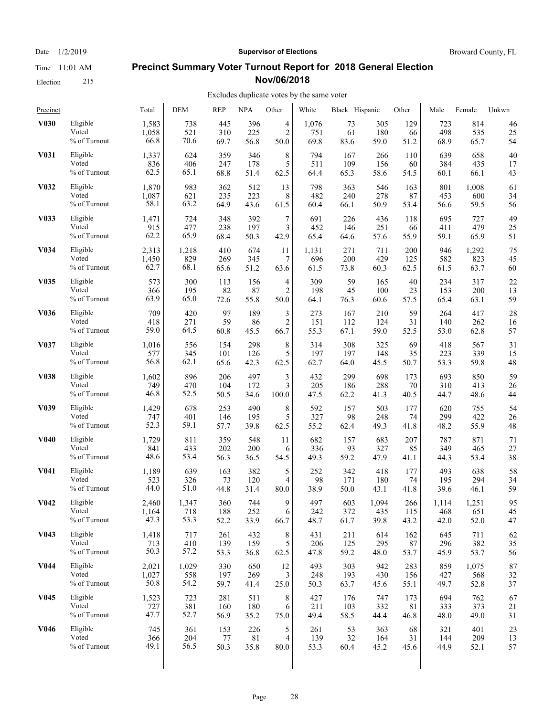Election 215

#### Date  $1/2/2019$  **Supervisor of Elections** Broward County, FL

## **Precinct Summary Voter Turnout Report for 2018 General Election Nov/06/2018**

#### Excludes duplicate votes by the same voter

| Precinct          |              | Total | DEM   | <b>REP</b> | <b>NPA</b> | Other          | White | Black Hispanic |       | Other | Male  | Female | Unkwn |
|-------------------|--------------|-------|-------|------------|------------|----------------|-------|----------------|-------|-------|-------|--------|-------|
| <b>V030</b>       | Eligible     | 1,583 | 738   | 445        | 396        | 4              | 1,076 | 73             | 305   | 129   | 723   | 814    | 46    |
|                   | Voted        | 1,058 | 521   | 310        | 225        | $\overline{2}$ | 751   | 61             | 180   | 66    | 498   | 535    | 25    |
|                   | % of Turnout | 66.8  | 70.6  | 69.7       | 56.8       | 50.0           | 69.8  | 83.6           | 59.0  | 51.2  | 68.9  | 65.7   | 54    |
| <b>V031</b>       | Eligible     | 1,337 | 624   | 359        | 346        | 8              | 794   | 167            | 266   | 110   | 639   | 658    | 40    |
|                   | Voted        | 836   | 406   | 247        | 178        | 5              | 511   | 109            | 156   | 60    | 384   | 435    | 17    |
|                   | % of Turnout | 62.5  | 65.1  | 68.8       | 51.4       | 62.5           | 64.4  | 65.3           | 58.6  | 54.5  | 60.1  | 66.1   | 43    |
| V032              | Eligible     | 1,870 | 983   | 362        | 512        | 13             | 798   | 363            | 546   | 163   | 801   | 1,008  | 61    |
|                   | Voted        | 1,087 | 621   | 235        | 223        | 8              | 482   | 240            | 278   | 87    | 453   | 600    | 34    |
|                   | % of Turnout | 58.1  | 63.2  | 64.9       | 43.6       | 61.5           | 60.4  | 66.1           | 50.9  | 53.4  | 56.6  | 59.5   | 56    |
| V033              | Eligible     | 1,471 | 724   | 348        | 392        | $\sqrt{ }$     | 691   | 226            | 436   | 118   | 695   | 727    | 49    |
|                   | Voted        | 915   | 477   | 238        | 197        | 3              | 452   | 146            | 251   | 66    | 411   | 479    | 25    |
|                   | % of Turnout | 62.2  | 65.9  | 68.4       | 50.3       | 42.9           | 65.4  | 64.6           | 57.6  | 55.9  | 59.1  | 65.9   | 51    |
| <b>V034</b>       | Eligible     | 2,313 | 1,218 | 410        | 674        | 11             | 1,131 | 271            | 711   | 200   | 946   | 1,292  | 75    |
|                   | Voted        | 1,450 | 829   | 269        | 345        | 7              | 696   | 200            | 429   | 125   | 582   | 823    | 45    |
|                   | % of Turnout | 62.7  | 68.1  | 65.6       | 51.2       | 63.6           | 61.5  | 73.8           | 60.3  | 62.5  | 61.5  | 63.7   | 60    |
| <b>V035</b>       | Eligible     | 573   | 300   | 113        | 156        | 4              | 309   | 59             | 165   | 40    | 234   | 317    | 22    |
|                   | Voted        | 366   | 195   | 82         | 87         | $\overline{2}$ | 198   | 45             | 100   | 23    | 153   | 200    | 13    |
|                   | % of Turnout | 63.9  | 65.0  | 72.6       | 55.8       | 50.0           | 64.1  | 76.3           | 60.6  | 57.5  | 65.4  | 63.1   | 59    |
| V036              | Eligible     | 709   | 420   | 97         | 189        | 3              | 273   | 167            | 210   | 59    | 264   | 417    | 28    |
|                   | Voted        | 418   | 271   | 59         | 86         | $\overline{2}$ | 151   | 112            | 124   | 31    | 140   | 262    | 16    |
|                   | % of Turnout | 59.0  | 64.5  | 60.8       | 45.5       | 66.7           | 55.3  | 67.1           | 59.0  | 52.5  | 53.0  | 62.8   | 57    |
| V <sub>0</sub> 37 | Eligible     | 1,016 | 556   | 154        | 298        | 8              | 314   | 308            | 325   | 69    | 418   | 567    | 31    |
|                   | Voted        | 577   | 345   | 101        | 126        | 5              | 197   | 197            | 148   | 35    | 223   | 339    | 15    |
|                   | % of Turnout | 56.8  | 62.1  | 65.6       | 42.3       | 62.5           | 62.7  | 64.0           | 45.5  | 50.7  | 53.3  | 59.8   | 48    |
| <b>V038</b>       | Eligible     | 1,602 | 896   | 206        | 497        | 3              | 432   | 299            | 698   | 173   | 693   | 850    | 59    |
|                   | Voted        | 749   | 470   | 104        | 172        | 3              | 205   | 186            | 288   | 70    | 310   | 413    | 26    |
|                   | % of Turnout | 46.8  | 52.5  | 50.5       | 34.6       | 100.0          | 47.5  | 62.2           | 41.3  | 40.5  | 44.7  | 48.6   | 44    |
| V <sub>0</sub> 39 | Eligible     | 1,429 | 678   | 253        | 490        | 8              | 592   | 157            | 503   | 177   | 620   | 755    | 54    |
|                   | Voted        | 747   | 401   | 146        | 195        | 5              | 327   | 98             | 248   | 74    | 299   | 422    | 26    |
|                   | % of Turnout | 52.3  | 59.1  | 57.7       | 39.8       | 62.5           | 55.2  | 62.4           | 49.3  | 41.8  | 48.2  | 55.9   | 48    |
| <b>V040</b>       | Eligible     | 1,729 | 811   | 359        | 548        | 11             | 682   | 157            | 683   | 207   | 787   | 871    | 71    |
|                   | Voted        | 841   | 433   | 202        | 200        | 6              | 336   | 93             | 327   | 85    | 349   | 465    | 27    |
|                   | % of Turnout | 48.6  | 53.4  | 56.3       | 36.5       | 54.5           | 49.3  | 59.2           | 47.9  | 41.1  | 44.3  | 53.4   | 38    |
| <b>V041</b>       | Eligible     | 1,189 | 639   | 163        | 382        | 5              | 252   | 342            | 418   | 177   | 493   | 638    | 58    |
|                   | Voted        | 523   | 326   | 73         | 120        | $\overline{4}$ | 98    | 171            | 180   | 74    | 195   | 294    | 34    |
|                   | % of Turnout | 44.0  | 51.0  | 44.8       | 31.4       | 80.0           | 38.9  | 50.0           | 43.1  | 41.8  | 39.6  | 46.1   | 59    |
| V <sub>0</sub> 42 | Eligible     | 2,460 | 1,347 | 360        | 744        | 9              | 497   | 603            | 1,094 | 266   | 1,114 | 1,251  | 95    |
|                   | Voted        | 1,164 | 718   | 188        | 252        | 6              | 242   | 372            | 435   | 115   | 468   | 651    | 45    |
|                   | % of Turnout | 47.3  | 53.3  | 52.2       | 33.9       | 66.7           | 48.7  | 61.7           | 39.8  | 43.2  | 42.0  | 52.0   | 47    |
| V <sub>0</sub> 43 | Eligible     | 1,418 | 717   | 261        | 432        | 8              | 431   | 211            | 614   | 162   | 645   | 711    | 62    |
|                   | Voted        | 713   | 410   | 139        | 159        | 5              | 206   | 125            | 295   | 87    | 296   | 382    | 35    |
|                   | % of Turnout | 50.3  | 57.2  | 53.3       | 36.8       | 62.5           | 47.8  | 59.2           | 48.0  | 53.7  | 45.9  | 53.7   | 56    |
| <b>V044</b>       | Eligible     | 2,021 | 1,029 | 330        | 650        | 12             | 493   | 303            | 942   | 283   | 859   | 1,075  | 87    |
|                   | Voted        | 1,027 | 558   | 197        | 269        | 3              | 248   | 193            | 430   | 156   | 427   | 568    | 32    |
|                   | % of Turnout | 50.8  | 54.2  | 59.7       | 41.4       | 25.0           | 50.3  | 63.7           | 45.6  | 55.1  | 49.7  | 52.8   | 37    |
| V <sub>045</sub>  | Eligible     | 1,523 | 723   | 281        | 511        | 8              | 427   | 176            | 747   | 173   | 694   | 762    | 67    |
|                   | Voted        | 727   | 381   | 160        | 180        | 6              | 211   | 103            | 332   | 81    | 333   | 373    | 21    |
|                   | % of Turnout | 47.7  | 52.7  | 56.9       | 35.2       | 75.0           | 49.4  | 58.5           | 44.4  | 46.8  | 48.0  | 49.0   | 31    |
| V046              | Eligible     | 745   | 361   | 153        | 226        | 5              | 261   | 53             | 363   | 68    | 321   | 401    | 23    |
|                   | Voted        | 366   | 204   | 77         | 81         | $\overline{4}$ | 139   | 32             | 164   | 31    | 144   | 209    | 13    |
|                   | % of Turnout | 49.1  | 56.5  | 50.3       | 35.8       | 80.0           | 53.3  | 60.4           | 45.2  | 45.6  | 44.9  | 52.1   | 57    |
|                   |              |       |       |            |            |                |       |                |       |       |       |        |       |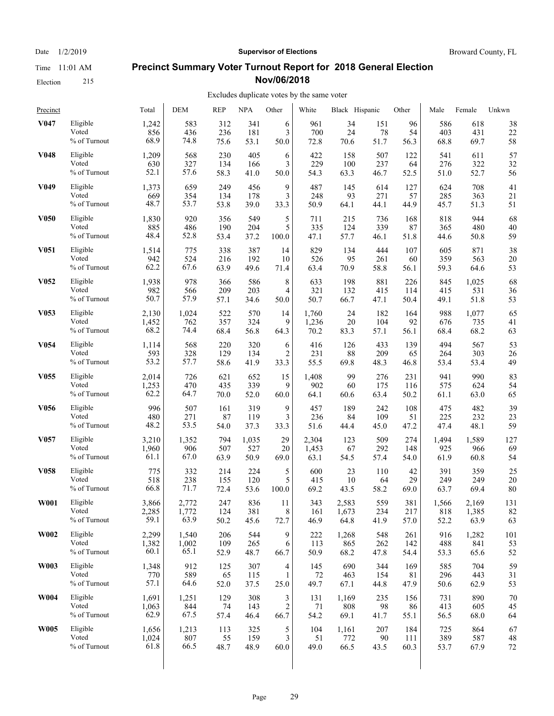Election 215

# Date  $1/2/2019$  **Supervisor of Elections** Broward County, FL

## **Precinct Summary Voter Turnout Report for 2018 General Election Nov/06/2018**

#### Excludes duplicate votes by the same voter

| Precinct         |                 | Total | <b>DEM</b> | <b>REP</b> | <b>NPA</b> | Other          | White | Black Hispanic |      | Other | Male  | Female | Unkwn |
|------------------|-----------------|-------|------------|------------|------------|----------------|-------|----------------|------|-------|-------|--------|-------|
| V047             | Eligible        | 1,242 | 583        | 312        | 341        | 6              | 961   | 34             | 151  | 96    | 586   | 618    | 38    |
|                  | Voted           | 856   | 436        | 236        | 181        | 3              | 700   | 24             | 78   | 54    | 403   | 431    | 22    |
|                  | % of Turnout    | 68.9  | 74.8       | 75.6       | 53.1       | 50.0           | 72.8  | 70.6           | 51.7 | 56.3  | 68.8  | 69.7   | 58    |
| V048             | Eligible        | 1,209 | 568        | 230        | 405        | 6              | 422   | 158            | 507  | 122   | 541   | 611    | 57    |
|                  | Voted           | 630   | 327        | 134        | 166        | 3              | 229   | 100            | 237  | 64    | 276   | 322    | 32    |
|                  | % of Turnout    | 52.1  | 57.6       | 58.3       | 41.0       | 50.0           | 54.3  | 63.3           | 46.7 | 52.5  | 51.0  | 52.7   | 56    |
| V049             | Eligible        | 1,373 | 659        | 249        | 456        | 9              | 487   | 145            | 614  | 127   | 624   | 708    | 41    |
|                  | Voted           | 669   | 354        | 134        | 178        | 3              | 248   | 93             | 271  | 57    | 285   | 363    | 21    |
|                  | % of Turnout    | 48.7  | 53.7       | 53.8       | 39.0       | 33.3           | 50.9  | 64.1           | 44.1 | 44.9  | 45.7  | 51.3   | 51    |
| <b>V050</b>      | Eligible        | 1,830 | 920        | 356        | 549        | 5              | 711   | 215            | 736  | 168   | 818   | 944    | 68    |
|                  | Voted           | 885   | 486        | 190        | 204        | 5              | 335   | 124            | 339  | 87    | 365   | 480    | 40    |
|                  | $\%$ of Turnout | 48.4  | 52.8       | 53.4       | 37.2       | 100.0          | 47.1  | 57.7           | 46.1 | 51.8  | 44.6  | 50.8   | 59    |
| V <sub>051</sub> | Eligible        | 1,514 | 775        | 338        | 387        | 14             | 829   | 134            | 444  | 107   | 605   | 871    | 38    |
|                  | Voted           | 942   | 524        | 216        | 192        | 10             | 526   | 95             | 261  | 60    | 359   | 563    | 20    |
|                  | % of Turnout    | 62.2  | 67.6       | 63.9       | 49.6       | 71.4           | 63.4  | 70.9           | 58.8 | 56.1  | 59.3  | 64.6   | 53    |
| V <sub>052</sub> | Eligible        | 1,938 | 978        | 366        | 586        | 8              | 633   | 198            | 881  | 226   | 845   | 1,025  | 68    |
|                  | Voted           | 982   | 566        | 209        | 203        | 4              | 321   | 132            | 415  | 114   | 415   | 531    | 36    |
|                  | % of Turnout    | 50.7  | 57.9       | 57.1       | 34.6       | 50.0           | 50.7  | 66.7           | 47.1 | 50.4  | 49.1  | 51.8   | 53    |
| V <sub>053</sub> | Eligible        | 2,130 | 1,024      | 522        | 570        | 14             | 1,760 | 24             | 182  | 164   | 988   | 1,077  | 65    |
|                  | Voted           | 1,452 | 762        | 357        | 324        | 9              | 1,236 | 20             | 104  | 92    | 676   | 735    | 41    |
|                  | % of Turnout    | 68.2  | 74.4       | 68.4       | 56.8       | 64.3           | 70.2  | 83.3           | 57.1 | 56.1  | 68.4  | 68.2   | 63    |
| V <sub>054</sub> | Eligible        | 1,114 | 568        | 220        | 320        | 6              | 416   | 126            | 433  | 139   | 494   | 567    | 53    |
|                  | Voted           | 593   | 328        | 129        | 134        | 2              | 231   | 88             | 209  | 65    | 264   | 303    | 26    |
|                  | % of Turnout    | 53.2  | 57.7       | 58.6       | 41.9       | 33.3           | 55.5  | 69.8           | 48.3 | 46.8  | 53.4  | 53.4   | 49    |
| V <sub>055</sub> | Eligible        | 2,014 | 726        | 621        | 652        | 15             | 1,408 | 99             | 276  | 231   | 941   | 990    | 83    |
|                  | Voted           | 1,253 | 470        | 435        | 339        | 9              | 902   | 60             | 175  | 116   | 575   | 624    | 54    |
|                  | % of Turnout    | 62.2  | 64.7       | 70.0       | 52.0       | 60.0           | 64.1  | 60.6           | 63.4 | 50.2  | 61.1  | 63.0   | 65    |
| V <sub>056</sub> | Eligible        | 996   | 507        | 161        | 319        | 9              | 457   | 189            | 242  | 108   | 475   | 482    | 39    |
|                  | Voted           | 480   | 271        | 87         | 119        | 3              | 236   | 84             | 109  | 51    | 225   | 232    | 23    |
|                  | % of Turnout    | 48.2  | 53.5       | 54.0       | 37.3       | 33.3           | 51.6  | 44.4           | 45.0 | 47.2  | 47.4  | 48.1   | 59    |
| V <sub>057</sub> | Eligible        | 3,210 | 1,352      | 794        | 1,035      | 29             | 2,304 | 123            | 509  | 274   | 1,494 | 1,589  | 127   |
|                  | Voted           | 1,960 | 906        | 507        | 527        | 20             | 1,453 | 67             | 292  | 148   | 925   | 966    | 69    |
|                  | $\%$ of Turnout | 61.1  | 67.0       | 63.9       | 50.9       | 69.0           | 63.1  | 54.5           | 57.4 | 54.0  | 61.9  | 60.8   | 54    |
| <b>V058</b>      | Eligible        | 775   | 332        | 214        | 224        | 5              | 600   | 23             | 110  | 42    | 391   | 359    | 25    |
|                  | Voted           | 518   | 238        | 155        | 120        | 5              | 415   | 10             | 64   | 29    | 249   | 249    | 20    |
|                  | % of Turnout    | 66.8  | 71.7       | 72.4       | 53.6       | 100.0          | 69.2  | 43.5           | 58.2 | 69.0  | 63.7  | 69.4   | 80    |
| <b>W001</b>      | Eligible        | 3.866 | 2,772      | 247        | 836        | 11             | 343   | 2,583          | 559  | 381   | 1,566 | 2,169  | 131   |
|                  | Voted           | 2,285 | 1,772      | 124        | 381        | 8              | 161   | 1,673          | 234  | 217   | 818   | 1,385  | 82    |
|                  | % of Turnout    | 59.1  | 63.9       | 50.2       | 45.6       | 72.7           | 46.9  | 64.8           | 41.9 | 57.0  | 52.2  | 63.9   | 63    |
| W002             | Eligible        | 2,299 | 1,540      | 206        | 544        | 9              | 222   | 1,268          | 548  | 261   | 916   | 1,282  | 101   |
|                  | Voted           | 1,382 | 1,002      | 109        | 265        | 6              | 113   | 865            | 262  | 142   | 488   | 841    | 53    |
|                  | % of Turnout    | 60.1  | 65.1       | 52.9       | 48.7       | 66.7           | 50.9  | 68.2           | 47.8 | 54.4  | 53.3  | 65.6   | 52    |
| W003             | Eligible        | 1,348 | 912        | 125        | 307        | 4              | 145   | 690            | 344  | 169   | 585   | 704    | 59    |
|                  | Voted           | 770   | 589        | 65         | 115        | 1              | 72    | 463            | 154  | 81    | 296   | 443    | 31    |
|                  | % of Turnout    | 57.1  | 64.6       | 52.0       | 37.5       | 25.0           | 49.7  | 67.1           | 44.8 | 47.9  | 50.6  | 62.9   | 53    |
| <b>W004</b>      | Eligible        | 1,691 | 1,251      | 129        | 308        | 3              | 131   | 1,169          | 235  | 156   | 731   | 890    | 70    |
|                  | Voted           | 1,063 | 844        | 74         | 143        | $\overline{c}$ | 71    | 808            | 98   | 86    | 413   | 605    | 45    |
|                  | % of Turnout    | 62.9  | 67.5       | 57.4       | 46.4       | 66.7           | 54.2  | 69.1           | 41.7 | 55.1  | 56.5  | 68.0   | 64    |
| <b>W005</b>      | Eligible        | 1,656 | 1,213      | 113        | 325        | 5              | 104   | 1,161          | 207  | 184   | 725   | 864    | 67    |
|                  | Voted           | 1,024 | 807        | 55         | 159        | 3              | 51    | 772            | 90   | 111   | 389   | 587    | 48    |
|                  | % of Turnout    | 61.8  | 66.5       | 48.7       | 48.9       | 60.0           | 49.0  | 66.5           | 43.5 | 60.3  | 53.7  | 67.9   | 72    |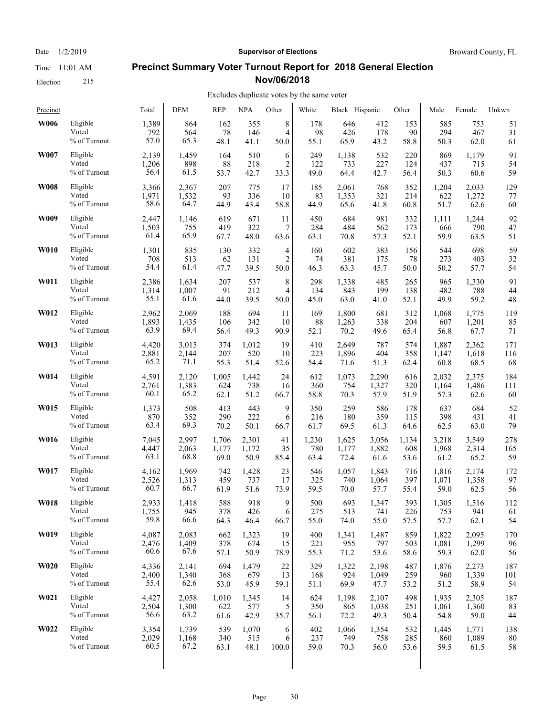Time 11:01 AM Election 215

Date  $1/2/2019$  **Supervisor of Elections** Broward County, FL

#### **Precinct Summary Voter Turnout Report for 2018 General Election Nov/06/2018**

| Precinct    |                 | Total | <b>DEM</b> | <b>REP</b> | <b>NPA</b> | Other          | White | Black Hispanic |       | Other | Male  | Female | Unkwn |
|-------------|-----------------|-------|------------|------------|------------|----------------|-------|----------------|-------|-------|-------|--------|-------|
| W006        | Eligible        | 1,389 | 864        | 162        | 355        | 8              | 178   | 646            | 412   | 153   | 585   | 753    | 51    |
|             | Voted           | 792   | 564        | 78         | 146        | 4              | 98    | 426            | 178   | 90    | 294   | 467    | 31    |
|             | % of Turnout    | 57.0  | 65.3       | 48.1       | 41.1       | 50.0           | 55.1  | 65.9           | 43.2  | 58.8  | 50.3  | 62.0   | 61    |
| W007        | Eligible        | 2,139 | 1,459      | 164        | 510        | 6              | 249   | 1,138          | 532   | 220   | 869   | 1,179  | 91    |
|             | Voted           | 1,206 | 898        | 88         | 218        | $\overline{2}$ | 122   | 733            | 227   | 124   | 437   | 715    | 54    |
|             | % of Turnout    | 56.4  | 61.5       | 53.7       | 42.7       | 33.3           | 49.0  | 64.4           | 42.7  | 56.4  | 50.3  | 60.6   | 59    |
| <b>W008</b> | Eligible        | 3,366 | 2,367      | 207        | 775        | 17             | 185   | 2,061          | 768   | 352   | 1,204 | 2,033  | 129   |
|             | Voted           | 1,971 | 1,532      | 93         | 336        | 10             | 83    | 1,353          | 321   | 214   | 622   | 1,272  | 77    |
|             | % of Turnout    | 58.6  | 64.7       | 44.9       | 43.4       | 58.8           | 44.9  | 65.6           | 41.8  | 60.8  | 51.7  | 62.6   | 60    |
| W009        | Eligible        | 2,447 | 1,146      | 619        | 671        | 11             | 450   | 684            | 981   | 332   | 1,111 | 1,244  | 92    |
|             | Voted           | 1,503 | 755        | 419        | 322        | 7              | 284   | 484            | 562   | 173   | 666   | 790    | 47    |
|             | % of Turnout    | 61.4  | 65.9       | 67.7       | 48.0       | 63.6           | 63.1  | 70.8           | 57.3  | 52.1  | 59.9  | 63.5   | 51    |
| <b>W010</b> | Eligible        | 1,301 | 835        | 130        | 332        | 4              | 160   | 602            | 383   | 156   | 544   | 698    | 59    |
|             | Voted           | 708   | 513        | 62         | 131        | 2              | 74    | 381            | 175   | 78    | 273   | 403    | 32    |
|             | % of Turnout    | 54.4  | 61.4       | 47.7       | 39.5       | 50.0           | 46.3  | 63.3           | 45.7  | 50.0  | 50.2  | 57.7   | 54    |
| W011        | Eligible        | 2,386 | 1,634      | 207        | 537        | 8              | 298   | 1,338          | 485   | 265   | 965   | 1,330  | 91    |
|             | Voted           | 1,314 | 1,007      | 91         | 212        | 4              | 134   | 843            | 199   | 138   | 482   | 788    | 44    |
|             | % of Turnout    | 55.1  | 61.6       | 44.0       | 39.5       | 50.0           | 45.0  | 63.0           | 41.0  | 52.1  | 49.9  | 59.2   | 48    |
| W012        | Eligible        | 2,962 | 2,069      | 188        | 694        | 11             | 169   | 1,800          | 681   | 312   | 1,068 | 1,775  | 119   |
|             | Voted           | 1,893 | 1,435      | 106        | 342        | 10             | 88    | 1,263          | 338   | 204   | 607   | 1,201  | 85    |
|             | % of Turnout    | 63.9  | 69.4       | 56.4       | 49.3       | 90.9           | 52.1  | 70.2           | 49.6  | 65.4  | 56.8  | 67.7   | 71    |
| W013        | Eligible        | 4,420 | 3,015      | 374        | 1,012      | 19             | 410   | 2,649          | 787   | 574   | 1,887 | 2,362  | 171   |
|             | Voted           | 2,881 | 2,144      | 207        | 520        | 10             | 223   | 1,896          | 404   | 358   | 1,147 | 1,618  | 116   |
|             | % of Turnout    | 65.2  | 71.1       | 55.3       | 51.4       | 52.6           | 54.4  | 71.6           | 51.3  | 62.4  | 60.8  | 68.5   | 68    |
| W014        | Eligible        | 4,591 | 2,120      | 1,005      | 1,442      | 24             | 612   | 1,073          | 2,290 | 616   | 2,032 | 2,375  | 184   |
|             | Voted           | 2,761 | 1,383      | 624        | 738        | 16             | 360   | 754            | 1,327 | 320   | 1,164 | 1,486  | 111   |
|             | % of Turnout    | 60.1  | 65.2       | 62.1       | 51.2       | 66.7           | 58.8  | 70.3           | 57.9  | 51.9  | 57.3  | 62.6   | 60    |
| W015        | Eligible        | 1,373 | 508        | 413        | 443        | 9              | 350   | 259            | 586   | 178   | 637   | 684    | 52    |
|             | Voted           | 870   | 352        | 290        | 222        | 6              | 216   | 180            | 359   | 115   | 398   | 431    | 41    |
|             | $\%$ of Turnout | 63.4  | 69.3       | 70.2       | 50.1       | 66.7           | 61.7  | 69.5           | 61.3  | 64.6  | 62.5  | 63.0   | 79    |
| W016        | Eligible        | 7,045 | 2,997      | 1,706      | 2,301      | 41             | 1,230 | 1,625          | 3,056 | 1,134 | 3,218 | 3,549  | 278   |
|             | Voted           | 4,447 | 2,063      | 1,177      | 1,172      | 35             | 780   | 1,177          | 1,882 | 608   | 1,968 | 2,314  | 165   |
|             | % of Turnout    | 63.1  | 68.8       | 69.0       | 50.9       | 85.4           | 63.4  | 72.4           | 61.6  | 53.6  | 61.2  | 65.2   | 59    |
| W017        | Eligible        | 4,162 | 1,969      | 742        | 1,428      | 23             | 546   | 1,057          | 1,843 | 716   | 1,816 | 2.174  | 172   |
|             | Voted           | 2,526 | 1,313      | 459        | 737        | 17             | 325   | 740            | 1,064 | 397   | 1,071 | 1,358  | 97    |
|             | % of Turnout    | 60.7  | 66.7       | 61.9       | 51.6       | 73.9           | 59.5  | 70.0           | 57.7  | 55.4  | 59.0  | 62.5   | 56    |
| W018        | Eligible        | 2,933 | 1,418      | 588        | 918        | 9              | 500   | 693            | 1,347 | 393   | 1,305 | 1,516  | 112   |
|             | Voted           | 1,755 | 945        | 378        | 426        | 6              | 275   | 513            | 741   | 226   | 753   | 941    | 61    |
|             | % of Turnout    | 59.8  | 66.6       | 64.3       | 46.4       | 66.7           | 55.0  | 74.0           | 55.0  | 57.5  | 57.7  | 62.1   | 54    |
| W019        | Eligible        | 4,087 | 2,083      | 662        | 1,323      | 19             | 400   | 1,341          | 1,487 | 859   | 1,822 | 2,095  | 170   |
|             | Voted           | 2,476 | 1,409      | 378        | 674        | 15             | 221   | 955            | 797   | 503   | 1,081 | 1,299  | 96    |
|             | % of Turnout    | 60.6  | 67.6       | 57.1       | 50.9       | 78.9           | 55.3  | 71.2           | 53.6  | 58.6  | 59.3  | 62.0   | 56    |
| <b>W020</b> | Eligible        | 4,336 | 2,141      | 694        | 1,479      | 22             | 329   | 1,322          | 2,198 | 487   | 1,876 | 2,273  | 187   |
|             | Voted           | 2,400 | 1,340      | 368        | 679        | 13             | 168   | 924            | 1,049 | 259   | 960   | 1,339  | 101   |
|             | % of Turnout    | 55.4  | 62.6       | 53.0       | 45.9       | 59.1           | 51.1  | 69.9           | 47.7  | 53.2  | 51.2  | 58.9   | 54    |
| W021        | Eligible        | 4,427 | 2,058      | 1,010      | 1,345      | 14             | 624   | 1,198          | 2,107 | 498   | 1,935 | 2,305  | 187   |
|             | Voted           | 2,504 | 1,300      | 622        | 577        | 5              | 350   | 865            | 1,038 | 251   | 1,061 | 1,360  | 83    |
|             | % of Turnout    | 56.6  | 63.2       | 61.6       | 42.9       | 35.7           | 56.1  | 72.2           | 49.3  | 50.4  | 54.8  | 59.0   | 44    |
| W022        | Eligible        | 3,354 | 1,739      | 539        | 1,070      | 6              | 402   | 1,066          | 1,354 | 532   | 1,445 | 1,771  | 138   |
|             | Voted           | 2,029 | 1,168      | 340        | 515        | 6              | 237   | 749            | 758   | 285   | 860   | 1,089  | 80    |
|             | % of Turnout    | 60.5  | 67.2       | 63.1       | 48.1       | 100.0          | 59.0  | 70.3           | 56.0  | 53.6  | 59.5  | 61.5   | 58    |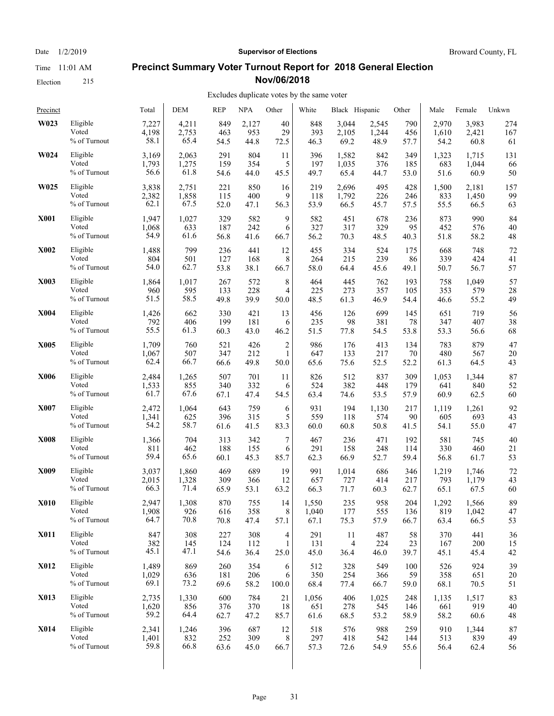Election 215

#### Date  $1/2/2019$  **Supervisor of Elections** Broward County, FL

#### **Precinct Summary Voter Turnout Report for 2018 General Election Nov/06/2018**

#### Excludes duplicate votes by the same voter

| Precinct    |                 | Total | <b>DEM</b> | <b>REP</b> | <b>NPA</b> | Other          | White | Black Hispanic |       | Other | Male  | Female | Unkwn |
|-------------|-----------------|-------|------------|------------|------------|----------------|-------|----------------|-------|-------|-------|--------|-------|
| W023        | Eligible        | 7,227 | 4,211      | 849        | 2,127      | 40             | 848   | 3,044          | 2,545 | 790   | 2,970 | 3,983  | 274   |
|             | Voted           | 4,198 | 2,753      | 463        | 953        | 29             | 393   | 2,105          | 1,244 | 456   | 1,610 | 2,421  | 167   |
|             | % of Turnout    | 58.1  | 65.4       | 54.5       | 44.8       | 72.5           | 46.3  | 69.2           | 48.9  | 57.7  | 54.2  | 60.8   | 61    |
| W024        | Eligible        | 3,169 | 2,063      | 291        | 804        | 11             | 396   | 1,582          | 842   | 349   | 1,323 | 1,715  | 131   |
|             | Voted           | 1,793 | 1,275      | 159        | 354        | 5              | 197   | 1,035          | 376   | 185   | 683   | 1,044  | 66    |
|             | % of Turnout    | 56.6  | 61.8       | 54.6       | 44.0       | 45.5           | 49.7  | 65.4           | 44.7  | 53.0  | 51.6  | 60.9   | 50    |
| W025        | Eligible        | 3,838 | 2,751      | 221        | 850        | 16             | 219   | 2,696          | 495   | 428   | 1,500 | 2,181  | 157   |
|             | Voted           | 2,382 | 1,858      | 115        | 400        | 9              | 118   | 1,792          | 226   | 246   | 833   | 1,450  | 99    |
|             | % of Turnout    | 62.1  | 67.5       | 52.0       | 47.1       | 56.3           | 53.9  | 66.5           | 45.7  | 57.5  | 55.5  | 66.5   | 63    |
| <b>X001</b> | Eligible        | 1,947 | 1,027      | 329        | 582        | 9              | 582   | 451            | 678   | 236   | 873   | 990    | 84    |
|             | Voted           | 1,068 | 633        | 187        | 242        | 6              | 327   | 317            | 329   | 95    | 452   | 576    | 40    |
|             | % of Turnout    | 54.9  | 61.6       | 56.8       | 41.6       | 66.7           | 56.2  | 70.3           | 48.5  | 40.3  | 51.8  | 58.2   | 48    |
| <b>X002</b> | Eligible        | 1,488 | 799        | 236        | 441        | 12             | 455   | 334            | 524   | 175   | 668   | 748    | 72    |
|             | Voted           | 804   | 501        | 127        | 168        | 8              | 264   | 215            | 239   | 86    | 339   | 424    | 41    |
|             | % of Turnout    | 54.0  | 62.7       | 53.8       | 38.1       | 66.7           | 58.0  | 64.4           | 45.6  | 49.1  | 50.7  | 56.7   | 57    |
| X003        | Eligible        | 1,864 | 1,017      | 267        | 572        | 8              | 464   | 445            | 762   | 193   | 758   | 1,049  | 57    |
|             | Voted           | 960   | 595        | 133        | 228        | 4              | 225   | 273            | 357   | 105   | 353   | 579    | 28    |
|             | % of Turnout    | 51.5  | 58.5       | 49.8       | 39.9       | 50.0           | 48.5  | 61.3           | 46.9  | 54.4  | 46.6  | 55.2   | 49    |
| <b>X004</b> | Eligible        | 1,426 | 662        | 330        | 421        | 13             | 456   | 126            | 699   | 145   | 651   | 719    | 56    |
|             | Voted           | 792   | 406        | 199        | 181        | 6              | 235   | 98             | 381   | 78    | 347   | 407    | 38    |
|             | % of Turnout    | 55.5  | 61.3       | 60.3       | 43.0       | 46.2           | 51.5  | 77.8           | 54.5  | 53.8  | 53.3  | 56.6   | 68    |
| X005        | Eligible        | 1,709 | 760        | 521        | 426        | $\overline{c}$ | 986   | 176            | 413   | 134   | 783   | 879    | 47    |
|             | Voted           | 1,067 | 507        | 347        | 212        | 1              | 647   | 133            | 217   | 70    | 480   | 567    | 20    |
|             | % of Turnout    | 62.4  | 66.7       | 66.6       | 49.8       | 50.0           | 65.6  | 75.6           | 52.5  | 52.2  | 61.3  | 64.5   | 43    |
| X006        | Eligible        | 2,484 | 1,265      | 507        | 701        | 11             | 826   | 512            | 837   | 309   | 1,053 | 1,344  | 87    |
|             | Voted           | 1,533 | 855        | 340        | 332        | 6              | 524   | 382            | 448   | 179   | 641   | 840    | 52    |
|             | $\%$ of Turnout | 61.7  | 67.6       | 67.1       | 47.4       | 54.5           | 63.4  | 74.6           | 53.5  | 57.9  | 60.9  | 62.5   | 60    |
| X007        | Eligible        | 2,472 | 1,064      | 643        | 759        | 6              | 931   | 194            | 1,130 | 217   | 1,119 | 1,261  | 92    |
|             | Voted           | 1,341 | 625        | 396        | 315        | 5              | 559   | 118            | 574   | 90    | 605   | 693    | 43    |
|             | % of Turnout    | 54.2  | 58.7       | 61.6       | 41.5       | 83.3           | 60.0  | 60.8           | 50.8  | 41.5  | 54.1  | 55.0   | 47    |
| <b>X008</b> | Eligible        | 1,366 | 704        | 313        | 342        | 7              | 467   | 236            | 471   | 192   | 581   | 745    | 40    |
|             | Voted           | 811   | 462        | 188        | 155        | 6              | 291   | 158            | 248   | 114   | 330   | 460    | 21    |
|             | % of Turnout    | 59.4  | 65.6       | 60.1       | 45.3       | 85.7           | 62.3  | 66.9           | 52.7  | 59.4  | 56.8  | 61.7   | 53    |
| X009        | Eligible        | 3,037 | 1,860      | 469        | 689        | 19             | 991   | 1,014          | 686   | 346   | 1,219 | 1,746  | 72    |
|             | Voted           | 2,015 | 1,328      | 309        | 366        | 12             | 657   | 727            | 414   | 217   | 793   | 1,179  | 43    |
|             | % of Turnout    | 66.3  | 71.4       | 65.9       | 53.1       | 63.2           | 66.3  | 71.7           | 60.3  | 62.7  | 65.1  | 67.5   | 60    |
| <b>X010</b> | Eligible        | 2.947 | 1,308      | 870        | 755        | 14             | 1,550 | 235            | 958   | 204   | 1,292 | 1,566  | 89    |
|             | Voted           | 1,908 | 926        | 616        | 358        | $8\,$          | 1,040 | 177            | 555   | 136   | 819   | 1,042  | 47    |
|             | % of Turnout    | 64.7  | 70.8       | 70.8       | 47.4       | 57.1           | 67.1  | 75.3           | 57.9  | 66.7  | 63.4  | 66.5   | 53    |
| <b>X011</b> | Eligible        | 847   | 308        | 227        | 308        | 4              | 291   | 11             | 487   | 58    | 370   | 441    | 36    |
|             | Voted           | 382   | 145        | 124        | 112        | $\mathbf{1}$   | 131   | $\overline{4}$ | 224   | 23    | 167   | 200    | 15    |
|             | % of Turnout    | 45.1  | 47.1       | 54.6       | 36.4       | 25.0           | 45.0  | 36.4           | 46.0  | 39.7  | 45.1  | 45.4   | 42    |
| <b>X012</b> | Eligible        | 1,489 | 869        | 260        | 354        | 6              | 512   | 328            | 549   | 100   | 526   | 924    | 39    |
|             | Voted           | 1,029 | 636        | 181        | 206        | 6              | 350   | 254            | 366   | 59    | 358   | 651    | 20    |
|             | % of Turnout    | 69.1  | 73.2       | 69.6       | 58.2       | 100.0          | 68.4  | 77.4           | 66.7  | 59.0  | 68.1  | 70.5   | 51    |
| X013        | Eligible        | 2,735 | 1,330      | 600        | 784        | 21             | 1,056 | 406            | 1,025 | 248   | 1,135 | 1,517  | 83    |
|             | Voted           | 1,620 | 856        | 376        | 370        | 18             | 651   | 278            | 545   | 146   | 661   | 919    | 40    |
|             | % of Turnout    | 59.2  | 64.4       | 62.7       | 47.2       | 85.7           | 61.6  | 68.5           | 53.2  | 58.9  | 58.2  | 60.6   | 48    |
| <b>X014</b> | Eligible        | 2,341 | 1,246      | 396        | 687        | 12             | 518   | 576            | 988   | 259   | 910   | 1,344  | 87    |
|             | Voted           | 1,401 | 832        | 252        | 309        | 8              | 297   | 418            | 542   | 144   | 513   | 839    | 49    |
|             | % of Turnout    | 59.8  | 66.8       | 63.6       | 45.0       | 66.7           | 57.3  | 72.6           | 54.9  | 55.6  | 56.4  | 62.4   | 56    |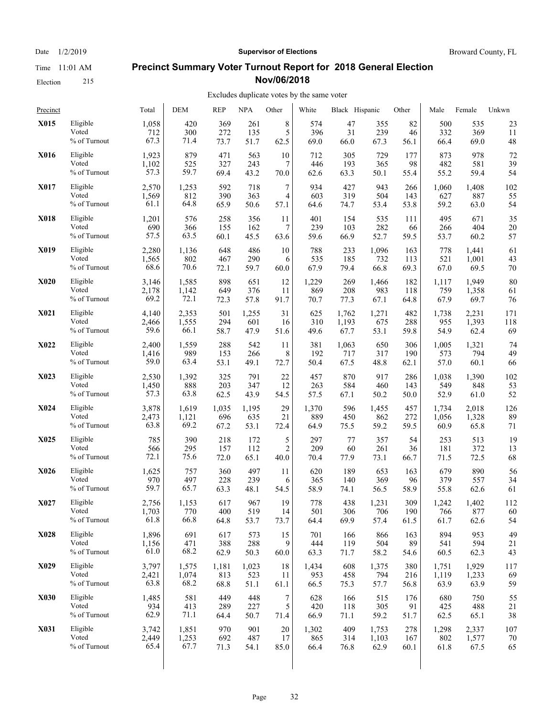Date  $1/2/2019$  **Supervisor of Elections** Broward County, FL

## **Precinct Summary Voter Turnout Report for 2018 General Election Nov/06/2018**

#### Excludes duplicate votes by the same voter

| Precinct    |                 | Total | DEM   | <b>REP</b> | <b>NPA</b> | Other          | White | Black Hispanic |       | Other | Male  | Female | Unkwn |
|-------------|-----------------|-------|-------|------------|------------|----------------|-------|----------------|-------|-------|-------|--------|-------|
| X015        | Eligible        | 1,058 | 420   | 369        | 261        | 8              | 574   | 47             | 355   | 82    | 500   | 535    | 23    |
|             | Voted           | 712   | 300   | 272        | 135        | 5              | 396   | 31             | 239   | 46    | 332   | 369    | 11    |
|             | % of Turnout    | 67.3  | 71.4  | 73.7       | 51.7       | 62.5           | 69.0  | 66.0           | 67.3  | 56.1  | 66.4  | 69.0   | 48    |
| X016        | Eligible        | 1,923 | 879   | 471        | 563        | 10             | 712   | 305            | 729   | 177   | 873   | 978    | 72    |
|             | Voted           | 1,102 | 525   | 327        | 243        | 7              | 446   | 193            | 365   | 98    | 482   | 581    | 39    |
|             | % of Turnout    | 57.3  | 59.7  | 69.4       | 43.2       | 70.0           | 62.6  | 63.3           | 50.1  | 55.4  | 55.2  | 59.4   | 54    |
| X017        | Eligible        | 2,570 | 1,253 | 592        | 718        | 7              | 934   | 427            | 943   | 266   | 1,060 | 1,408  | 102   |
|             | Voted           | 1,569 | 812   | 390        | 363        | 4              | 603   | 319            | 504   | 143   | 627   | 887    | 55    |
|             | % of Turnout    | 61.1  | 64.8  | 65.9       | 50.6       | 57.1           | 64.6  | 74.7           | 53.4  | 53.8  | 59.2  | 63.0   | 54    |
| X018        | Eligible        | 1,201 | 576   | 258        | 356        | 11             | 401   | 154            | 535   | 111   | 495   | 671    | 35    |
|             | Voted           | 690   | 366   | 155        | 162        | 7              | 239   | 103            | 282   | 66    | 266   | 404    | 20    |
|             | $\%$ of Turnout | 57.5  | 63.5  | 60.1       | 45.5       | 63.6           | 59.6  | 66.9           | 52.7  | 59.5  | 53.7  | 60.2   | 57    |
| X019        | Eligible        | 2,280 | 1,136 | 648        | 486        | 10             | 788   | 233            | 1,096 | 163   | 778   | 1,441  | 61    |
|             | Voted           | 1,565 | 802   | 467        | 290        | 6              | 535   | 185            | 732   | 113   | 521   | 1,001  | 43    |
|             | % of Turnout    | 68.6  | 70.6  | 72.1       | 59.7       | 60.0           | 67.9  | 79.4           | 66.8  | 69.3  | 67.0  | 69.5   | 70    |
| <b>X020</b> | Eligible        | 3,146 | 1,585 | 898        | 651        | 12             | 1,229 | 269            | 1,466 | 182   | 1,117 | 1,949  | 80    |
|             | Voted           | 2,178 | 1,142 | 649        | 376        | 11             | 869   | 208            | 983   | 118   | 759   | 1,358  | 61    |
|             | % of Turnout    | 69.2  | 72.1  | 72.3       | 57.8       | 91.7           | 70.7  | 77.3           | 67.1  | 64.8  | 67.9  | 69.7   | 76    |
| <b>X021</b> | Eligible        | 4,140 | 2,353 | 501        | 1,255      | 31             | 625   | 1,762          | 1,271 | 482   | 1,738 | 2,231  | 171   |
|             | Voted           | 2,466 | 1,555 | 294        | 601        | 16             | 310   | 1,193          | 675   | 288   | 955   | 1,393  | 118   |
|             | % of Turnout    | 59.6  | 66.1  | 58.7       | 47.9       | 51.6           | 49.6  | 67.7           | 53.1  | 59.8  | 54.9  | 62.4   | 69    |
| X022        | Eligible        | 2,400 | 1,559 | 288        | 542        | 11             | 381   | 1,063          | 650   | 306   | 1,005 | 1,321  | 74    |
|             | Voted           | 1,416 | 989   | 153        | 266        | 8              | 192   | 717            | 317   | 190   | 573   | 794    | 49    |
|             | % of Turnout    | 59.0  | 63.4  | 53.1       | 49.1       | 72.7           | 50.4  | 67.5           | 48.8  | 62.1  | 57.0  | 60.1   | 66    |
| X023        | Eligible        | 2,530 | 1,392 | 325        | 791        | 22             | 457   | 870            | 917   | 286   | 1,038 | 1,390  | 102   |
|             | Voted           | 1,450 | 888   | 203        | 347        | 12             | 263   | 584            | 460   | 143   | 549   | 848    | 53    |
|             | % of Turnout    | 57.3  | 63.8  | 62.5       | 43.9       | 54.5           | 57.5  | 67.1           | 50.2  | 50.0  | 52.9  | 61.0   | 52    |
| <b>X024</b> | Eligible        | 3,878 | 1,619 | 1,035      | 1,195      | 29             | 1,370 | 596            | 1,455 | 457   | 1,734 | 2,018  | 126   |
|             | Voted           | 2,473 | 1,121 | 696        | 635        | 21             | 889   | 450            | 862   | 272   | 1,056 | 1,328  | 89    |
|             | % of Turnout    | 63.8  | 69.2  | 67.2       | 53.1       | 72.4           | 64.9  | 75.5           | 59.2  | 59.5  | 60.9  | 65.8   | 71    |
| X025        | Eligible        | 785   | 390   | 218        | 172        | 5              | 297   | 77             | 357   | 54    | 253   | 513    | 19    |
|             | Voted           | 566   | 295   | 157        | 112        | $\overline{c}$ | 209   | 60             | 261   | 36    | 181   | 372    | 13    |
|             | % of Turnout    | 72.1  | 75.6  | 72.0       | 65.1       | 40.0           | 70.4  | 77.9           | 73.1  | 66.7  | 71.5  | 72.5   | 68    |
| X026        | Eligible        | 1,625 | 757   | 360        | 497        | 11             | 620   | 189            | 653   | 163   | 679   | 890    | 56    |
|             | Voted           | 970   | 497   | 228        | 239        | 6              | 365   | 140            | 369   | 96    | 379   | 557    | 34    |
|             | % of Turnout    | 59.7  | 65.7  | 63.3       | 48.1       | 54.5           | 58.9  | 74.1           | 56.5  | 58.9  | 55.8  | 62.6   | 61    |
| X027        | Eligible        | 2,756 | 1,153 | 617        | 967        | 19             | 778   | 438            | 1,231 | 309   | 1,242 | 1,402  | 112   |
|             | Voted           | 1,703 | 770   | 400        | 519        | 14             | 501   | 306            | 706   | 190   | 766   | 877    | 60    |
|             | $\%$ of Turnout | 61.8  | 66.8  | 64.8       | 53.7       | 73.7           | 64.4  | 69.9           | 57.4  | 61.5  | 61.7  | 62.6   | 54    |
| <b>X028</b> | Eligible        | 1,896 | 691   | 617        | 573        | 15             | 701   | 166            | 866   | 163   | 894   | 953    | 49    |
|             | Voted           | 1,156 | 471   | 388        | 288        | 9              | 444   | 119            | 504   | 89    | 541   | 594    | 21    |
|             | % of Turnout    | 61.0  | 68.2  | 62.9       | 50.3       | 60.0           | 63.3  | 71.7           | 58.2  | 54.6  | 60.5  | 62.3   | 43    |
| X029        | Eligible        | 3,797 | 1,575 | 1,181      | 1,023      | 18             | 1,434 | 608            | 1,375 | 380   | 1,751 | 1,929  | 117   |
|             | Voted           | 2,421 | 1,074 | 813        | 523        | 11             | 953   | 458            | 794   | 216   | 1,119 | 1,233  | 69    |
|             | % of Turnout    | 63.8  | 68.2  | 68.8       | 51.1       | 61.1           | 66.5  | 75.3           | 57.7  | 56.8  | 63.9  | 63.9   | 59    |
| <b>X030</b> | Eligible        | 1,485 | 581   | 449        | 448        | 7              | 628   | 166            | 515   | 176   | 680   | 750    | 55    |
|             | Voted           | 934   | 413   | 289        | 227        | 5              | 420   | 118            | 305   | 91    | 425   | 488    | 21    |
|             | % of Turnout    | 62.9  | 71.1  | 64.4       | 50.7       | 71.4           | 66.9  | 71.1           | 59.2  | 51.7  | 62.5  | 65.1   | 38    |
| X031        | Eligible        | 3,742 | 1,851 | 970        | 901        | 20             | 1,302 | 409            | 1,753 | 278   | 1,298 | 2,337  | 107   |
|             | Voted           | 2,449 | 1,253 | 692        | 487        | 17             | 865   | 314            | 1,103 | 167   | 802   | 1,577  | 70    |
|             | % of Turnout    | 65.4  | 67.7  | 71.3       | 54.1       | 85.0           | 66.4  | 76.8           | 62.9  | 60.1  | 61.8  | 67.5   | 65    |
|             |                 |       |       |            |            |                |       |                |       |       |       |        |       |

Election 215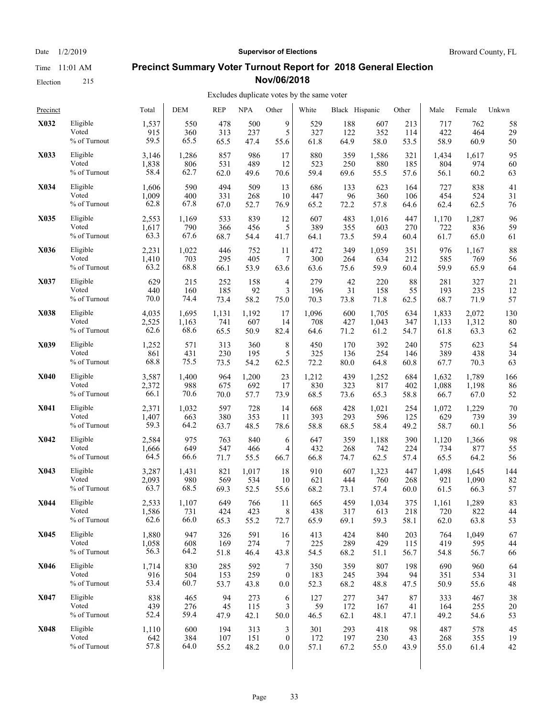Election 215

# Date  $1/2/2019$  **Supervisor of Elections** Broward County, FL

#### **Precinct Summary Voter Turnout Report for 2018 General Election Nov/06/2018**

| Precinct    |                 | Total | <b>DEM</b> | <b>REP</b> | <b>NPA</b> | Other            | White | Black Hispanic |       | Other | Male  | Female | Unkwn |
|-------------|-----------------|-------|------------|------------|------------|------------------|-------|----------------|-------|-------|-------|--------|-------|
| X032        | Eligible        | 1,537 | 550        | 478        | 500        | 9                | 529   | 188            | 607   | 213   | 717   | 762    | 58    |
|             | Voted           | 915   | 360        | 313        | 237        | 5                | 327   | 122            | 352   | 114   | 422   | 464    | 29    |
|             | % of Turnout    | 59.5  | 65.5       | 65.5       | 47.4       | 55.6             | 61.8  | 64.9           | 58.0  | 53.5  | 58.9  | 60.9   | 50    |
| X033        | Eligible        | 3,146 | 1,286      | 857        | 986        | 17               | 880   | 359            | 1,586 | 321   | 1,434 | 1,617  | 95    |
|             | Voted           | 1,838 | 806        | 531        | 489        | 12               | 523   | 250            | 880   | 185   | 804   | 974    | 60    |
|             | % of Turnout    | 58.4  | 62.7       | 62.0       | 49.6       | 70.6             | 59.4  | 69.6           | 55.5  | 57.6  | 56.1  | 60.2   | 63    |
| X034        | Eligible        | 1,606 | 590        | 494        | 509        | 13               | 686   | 133            | 623   | 164   | 727   | 838    | 41    |
|             | Voted           | 1,009 | 400        | 331        | 268        | 10               | 447   | 96             | 360   | 106   | 454   | 524    | 31    |
|             | % of Turnout    | 62.8  | 67.8       | 67.0       | 52.7       | 76.9             | 65.2  | 72.2           | 57.8  | 64.6  | 62.4  | 62.5   | 76    |
| X035        | Eligible        | 2,553 | 1,169      | 533        | 839        | 12               | 607   | 483            | 1,016 | 447   | 1,170 | 1,287  | 96    |
|             | Voted           | 1,617 | 790        | 366        | 456        | 5                | 389   | 355            | 603   | 270   | 722   | 836    | 59    |
|             | % of Turnout    | 63.3  | 67.6       | 68.7       | 54.4       | 41.7             | 64.1  | 73.5           | 59.4  | 60.4  | 61.7  | 65.0   | 61    |
| X036        | Eligible        | 2,231 | 1,022      | 446        | 752        | 11               | 472   | 349            | 1,059 | 351   | 976   | 1,167  | 88    |
|             | Voted           | 1,410 | 703        | 295        | 405        | 7                | 300   | 264            | 634   | 212   | 585   | 769    | 56    |
|             | % of Turnout    | 63.2  | 68.8       | 66.1       | 53.9       | 63.6             | 63.6  | 75.6           | 59.9  | 60.4  | 59.9  | 65.9   | 64    |
| X037        | Eligible        | 629   | 215        | 252        | 158        | 4                | 279   | 42             | 220   | 88    | 281   | 327    | 21    |
|             | Voted           | 440   | 160        | 185        | 92         | 3                | 196   | 31             | 158   | 55    | 193   | 235    | 12    |
|             | % of Turnout    | 70.0  | 74.4       | 73.4       | 58.2       | 75.0             | 70.3  | 73.8           | 71.8  | 62.5  | 68.7  | 71.9   | 57    |
| X038        | Eligible        | 4,035 | 1,695      | 1,131      | 1,192      | 17               | 1,096 | 600            | 1,705 | 634   | 1,833 | 2,072  | 130   |
|             | Voted           | 2,525 | 1,163      | 741        | 607        | 14               | 708   | 427            | 1,043 | 347   | 1,133 | 1,312  | 80    |
|             | % of Turnout    | 62.6  | 68.6       | 65.5       | 50.9       | 82.4             | 64.6  | 71.2           | 61.2  | 54.7  | 61.8  | 63.3   | 62    |
| X039        | Eligible        | 1,252 | 571        | 313        | 360        | 8                | 450   | 170            | 392   | 240   | 575   | 623    | 54    |
|             | Voted           | 861   | 431        | 230        | 195        | 5                | 325   | 136            | 254   | 146   | 389   | 438    | 34    |
|             | % of Turnout    | 68.8  | 75.5       | 73.5       | 54.2       | 62.5             | 72.2  | 80.0           | 64.8  | 60.8  | 67.7  | 70.3   | 63    |
| <b>X040</b> | Eligible        | 3,587 | 1,400      | 964        | 1,200      | 23               | 1,212 | 439            | 1,252 | 684   | 1,632 | 1,789  | 166   |
|             | Voted           | 2,372 | 988        | 675        | 692        | 17               | 830   | 323            | 817   | 402   | 1,088 | 1,198  | 86    |
|             | $\%$ of Turnout | 66.1  | 70.6       | 70.0       | 57.7       | 73.9             | 68.5  | 73.6           | 65.3  | 58.8  | 66.7  | 67.0   | 52    |
| X041        | Eligible        | 2,371 | 1,032      | 597        | 728        | 14               | 668   | 428            | 1,021 | 254   | 1,072 | 1,229  | 70    |
|             | Voted           | 1,407 | 663        | 380        | 353        | 11               | 393   | 293            | 596   | 125   | 629   | 739    | 39    |
|             | % of Turnout    | 59.3  | 64.2       | 63.7       | 48.5       | 78.6             | 58.8  | 68.5           | 58.4  | 49.2  | 58.7  | 60.1   | 56    |
| X042        | Eligible        | 2,584 | 975        | 763        | 840        | 6                | 647   | 359            | 1,188 | 390   | 1,120 | 1,366  | 98    |
|             | Voted           | 1,666 | 649        | 547        | 466        | 4                | 432   | 268            | 742   | 224   | 734   | 877    | 55    |
|             | % of Turnout    | 64.5  | 66.6       | 71.7       | 55.5       | 66.7             | 66.8  | 74.7           | 62.5  | 57.4  | 65.5  | 64.2   | 56    |
| X043        | Eligible        | 3,287 | 1,431      | 821        | 1,017      | 18               | 910   | 607            | 1,323 | 447   | 1,498 | 1,645  | 144   |
|             | Voted           | 2,093 | 980        | 569        | 534        | 10               | 621   | 444            | 760   | 268   | 921   | 1,090  | 82    |
|             | % of Turnout    | 63.7  | 68.5       | 69.3       | 52.5       | 55.6             | 68.2  | 73.1           | 57.4  | 60.0  | 61.5  | 66.3   | 57    |
| X044        | Eligible        | 2,533 | 1,107      | 649        | 766        | 11               | 665   | 459            | 1,034 | 375   | 1,161 | 1,289  | 83    |
|             | Voted           | 1,586 | 731        | 424        | 423        | 8                | 438   | 317            | 613   | 218   | 720   | 822    | 44    |
|             | % of Turnout    | 62.6  | 66.0       | 65.3       | 55.2       | 72.7             | 65.9  | 69.1           | 59.3  | 58.1  | 62.0  | 63.8   | 53    |
| X045        | Eligible        | 1,880 | 947        | 326        | 591        | 16               | 413   | 424            | 840   | 203   | 764   | 1,049  | 67    |
|             | Voted           | 1,058 | 608        | 169        | 274        | 7                | 225   | 289            | 429   | 115   | 419   | 595    | 44    |
|             | % of Turnout    | 56.3  | 64.2       | 51.8       | 46.4       | 43.8             | 54.5  | 68.2           | 51.1  | 56.7  | 54.8  | 56.7   | 66    |
| X046        | Eligible        | 1,714 | 830        | 285        | 592        | 7                | 350   | 359            | 807   | 198   | 690   | 960    | 64    |
|             | Voted           | 916   | 504        | 153        | 259        | $\boldsymbol{0}$ | 183   | 245            | 394   | 94    | 351   | 534    | 31    |
|             | % of Turnout    | 53.4  | 60.7       | 53.7       | 43.8       | 0.0              | 52.3  | 68.2           | 48.8  | 47.5  | 50.9  | 55.6   | 48    |
| X047        | Eligible        | 838   | 465        | 94         | 273        | 6                | 127   | 277            | 347   | 87    | 333   | 467    | 38    |
|             | Voted           | 439   | 276        | 45         | 115        | 3                | 59    | 172            | 167   | 41    | 164   | 255    | 20    |
|             | % of Turnout    | 52.4  | 59.4       | 47.9       | 42.1       | 50.0             | 46.5  | 62.1           | 48.1  | 47.1  | 49.2  | 54.6   | 53    |
| X048        | Eligible        | 1,110 | 600        | 194        | 313        | 3                | 301   | 293            | 418   | 98    | 487   | 578    | 45    |
|             | Voted           | 642   | 384        | 107        | 151        | $\boldsymbol{0}$ | 172   | 197            | 230   | 43    | 268   | 355    | 19    |
|             | % of Turnout    | 57.8  | 64.0       | 55.2       | 48.2       | 0.0              | 57.1  | 67.2           | 55.0  | 43.9  | 55.0  | 61.4   | 42    |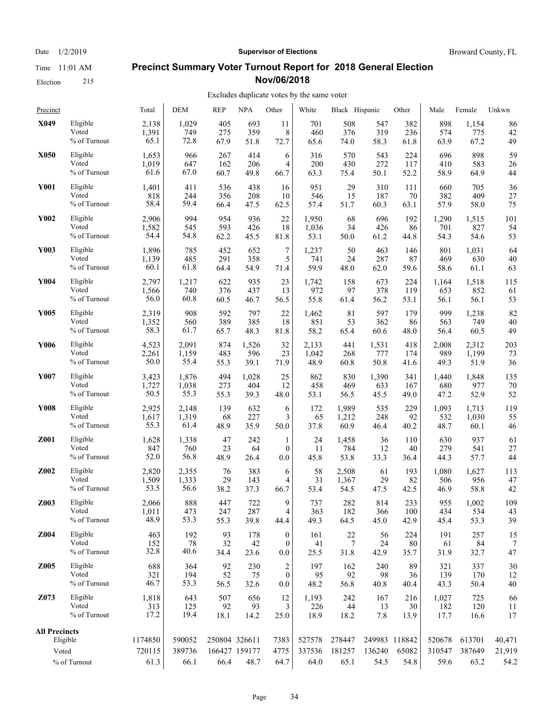Election 215

#### Date  $1/2/2019$  **Supervisor of Elections** Broward County, FL

## **Precinct Summary Voter Turnout Report for 2018 General Election Nov/06/2018**

#### Excludes duplicate votes by the same voter  $\mathbf{L}$

| Precinct             |                 | Total          | <b>DEM</b>     | <b>REP</b>    | NPA                   | Other            | White          | Black Hispanic |                | Other         | Male           | Female         | Unkwn          |
|----------------------|-----------------|----------------|----------------|---------------|-----------------------|------------------|----------------|----------------|----------------|---------------|----------------|----------------|----------------|
| X049                 | Eligible        | 2,138          | 1,029          | 405           | 693                   | 11               | 701            | 508            | 547            | 382           | 898            | 1,154          | 86             |
|                      | Voted           | 1,391          | 749            | 275           | 359                   | 8                | 460            | 376            | 319            | 236           | 574            | 775            | 42             |
|                      | % of Turnout    | 65.1           | 72.8           | 67.9          | 51.8                  | 72.7             | 65.6           | 74.0           | 58.3           | 61.8          | 63.9           | 67.2           | 49             |
| X050                 | Eligible        | 1,653          | 966            | 267           | 414                   | 6                | 316            | 570            | 543            | 224           | 696            | 898            | 59             |
|                      | Voted           | 1,019          | 647            | 162           | 206                   | 4                | 200            | 430            | 272            | 117           | 410            | 583            | 26             |
|                      | % of Turnout    | 61.6           | 67.0           | 60.7          | 49.8                  | 66.7             | 63.3           | 75.4           | 50.1           | 52.2          | 58.9           | 64.9           | 44             |
| <b>Y001</b>          | Eligible        | 1,401          | 411            | 536           | 438                   | 16               | 951            | 29             | 310            | 111           | 660            | 705            | 36             |
|                      | Voted           | 818            | 244            | 356           | 208                   | 10               | 546            | 15             | 187            | 70            | 382            | 409            | 27             |
|                      | % of Turnout    | 58.4           | 59.4           | 66.4          | 47.5                  | 62.5             | 57.4           | 51.7           | 60.3           | 63.1          | 57.9           | 58.0           | 75             |
| Y002                 | Eligible        | 2,906          | 994            | 954           | 936                   | 22               | 1,950          | 68             | 696            | 192           | 1,290          | 1,515          | 101            |
|                      | Voted           | 1,582          | 545            | 593           | 426                   | 18               | 1,036          | 34             | 426            | 86            | 701            | 827            | 54             |
|                      | $\%$ of Turnout | 54.4           | 54.8           | 62.2          | 45.5                  | 81.8             | 53.1           | 50.0           | 61.2           | 44.8          | 54.3           | 54.6           | 53             |
| Y003                 | Eligible        | 1,896          | 785            | 452           | 652                   | 7                | 1,237          | 50             | 463            | 146           | 801            | 1,031          | 64             |
|                      | Voted           | 1,139          | 485            | 291           | 358                   | 5                | 741            | 24             | 287            | 87            | 469            | 630            | 40             |
|                      | % of Turnout    | 60.1           | 61.8           | 64.4          | 54.9                  | 71.4             | 59.9           | 48.0           | 62.0           | 59.6          | 58.6           | 61.1           | 63             |
| Y004                 | Eligible        | 2,797          | 1,217          | 622           | 935                   | 23               | 1,742          | 158            | 673            | 224           | 1,164          | 1,518          | 115            |
|                      | Voted           | 1,566          | 740            | 376           | 437                   | 13               | 972            | 97             | 378            | 119           | 653            | 852            | 61             |
|                      | % of Turnout    | 56.0           | 60.8           | 60.5          | 46.7                  | 56.5             | 55.8           | 61.4           | 56.2           | 53.1          | 56.1           | 56.1           | 53             |
| Y005                 | Eligible        | 2,319          | 908            | 592           | 797                   | 22               | 1,462          | 81             | 597            | 179           | 999            | 1,238          | 82             |
|                      | Voted           | 1,352          | 560            | 389           | 385                   | 18               | 851            | 53             | 362            | 86            | 563            | 749            | 40             |
|                      | % of Turnout    | 58.3           | 61.7           | 65.7          | 48.3                  | 81.8             | 58.2           | 65.4           | 60.6           | 48.0          | 56.4           | 60.5           | 49             |
| Y006                 | Eligible        | 4,523          | 2,091          | 874           | 1,526                 | 32               | 2,133          | 441            | 1,531          | 418           | 2,008          | 2,312          | 203            |
|                      | Voted           | 2,261          | 1,159          | 483           | 596                   | 23               | 1,042          | 268            | 777            | 174           | 989            | 1,199          | 73             |
|                      | % of Turnout    | 50.0           | 55.4           | 55.3          | 39.1                  | 71.9             | 48.9           | 60.8           | 50.8           | 41.6          | 49.3           | 51.9           | 36             |
| Y007                 | Eligible        | 3,423          | 1,876          | 494           | 1,028                 | 25               | 862            | 830            | 1,390          | 341           | 1,440          | 1,848          | 135            |
|                      | Voted           | 1,727          | 1,038          | 273           | 404                   | 12               | 458            | 469            | 633            | 167           | 680            | 977            | 70             |
|                      | % of Turnout    | 50.5           | 55.3           | 55.3          | 39.3                  | 48.0             | 53.1           | 56.5           | 45.5           | 49.0          | 47.2           | 52.9           | 52             |
| Y008                 | Eligible        | 2,925          | 2,148          | 139           | 632                   | 6                | 172            | 1,989          | 535            | 229           | 1,093          | 1,713          | 119            |
|                      | Voted           | 1,617          | 1,319          | 68            | 227                   | 3                | 65             | 1,212          | 248            | 92            | 532            | 1,030          | 55             |
|                      | % of Turnout    | 55.3           | 61.4           | 48.9          | 35.9                  | 50.0             | 37.8           | 60.9           | 46.4           | 40.2          | 48.7           | 60.1           | 46             |
| Z001                 | Eligible        | 1,628          | 1,338          | 47            | 242                   | $\mathbf{1}$     | 24             | 1,458          | 36             | 110           | 630            | 937            | 61             |
|                      | Voted           | 847            | 760            | 23            | 64                    | $\mathbf{0}$     | 11             | 784            | 12             | 40            | 279            | 541            | 27             |
|                      | % of Turnout    | 52.0           | 56.8           | 48.9          | 26.4                  | 0.0              | 45.8           | 53.8           | 33.3           | 36.4          | 44.3           | 57.7           | 44             |
| Z002                 | Eligible        | 2,820          | 2,355          | 76            | 383                   | 6                | 58             | 2,508          | 61             | 193           | 1,080          | 1,627          | 113            |
|                      | Voted           | 1,509          | 1,333          | 29            | 143                   | 4                | 31             | 1,367          | 29             | 82            | 506            | 956            | 47             |
|                      | % of Turnout    | 53.5           | 56.6           | 38.2          | 37.3                  | 66.7             | 53.4           | 54.5           | 47.5           | 42.5          | 46.9           | 58.8           | 42             |
| Z003                 | Eligible        | 2,066          | 888            | 447           | 722                   | 9                | 737            | 282            | 814            | 233           | 955            | 1,002          | 109            |
|                      | Voted           | 1,011          | 473            | 247           | 287                   | 4                | 363            | 182            | 366            | $100\,$       | 434            | 534            | 43             |
|                      | % of Turnout    | 48.9           | 53.3           | 55.3          | 39.8                  | 44.4             | 49.3           | 64.5           | 45.0           | 42.9          | 45.4           | 53.3           | 39             |
| Z004                 | Eligible        | 463            | 192            | 93            | 178                   | $\boldsymbol{0}$ | 161            | $22\,$         | 56             | 224           | 191            | 257            | 15             |
|                      | Voted           | 152            | 78             | 32            | 42                    | $\mathbf{0}$     | 41             | 7              | 24             | 80            | 61             | 84             | 7              |
|                      | % of Turnout    | 32.8           | 40.6           | 34.4          | 23.6                  | 0.0              | 25.5           | 31.8           | 42.9           | 35.7          | 31.9           | 32.7           | 47             |
| Z005                 | Eligible        | 688            | 364            | 92            | 230                   | $\overline{2}$   | 197            | 162            | 240            | 89            | 321            | 337            | 30             |
|                      | Voted           | 321            | 194            | 52            | 75                    | $\mathbf{0}$     | 95             | 92             | 98             | 36            | 139            | 170            | 12             |
|                      | % of Turnout    | 46.7           | 53.3           | 56.5          | 32.6                  | 0.0              | 48.2           | 56.8           | 40.8           | 40.4          | 43.3           | 50.4           | 40             |
| Z073                 | Eligible        | 1,818          | 643            | 507           | 656                   | 12               | 1,193          | 242            | 167            | 216           | 1,027          | 725            | 66             |
|                      | Voted           | 313            | 125            | 92            | 93                    | 3                | 226            | 44             | 13             | 30            | 182            | 120            | 11             |
|                      | % of Turnout    | 17.2           | 19.4           | 18.1          | 14.2                  | 25.0             | 18.9           | 18.2           | 7.8            | 13.9          | 17.7           | 16.6           | 17             |
| <b>All Precincts</b> | Eligible        | 1174850        | 590052         | 250804 326611 |                       | 7383             | 527578         | 278447         | 249983 118842  |               | 520678         | 613701         | 40,471         |
| Voted                | % of Turnout    | 720115<br>61.3 | 389736<br>66.1 | 66.4          | 166427 159177<br>48.7 | 4775<br>64.7     | 337536<br>64.0 | 181257<br>65.1 | 136240<br>54.5 | 65082<br>54.8 | 310547<br>59.6 | 387649<br>63.2 | 21,919<br>54.2 |
|                      |                 |                |                |               |                       |                  |                |                |                |               |                |                |                |